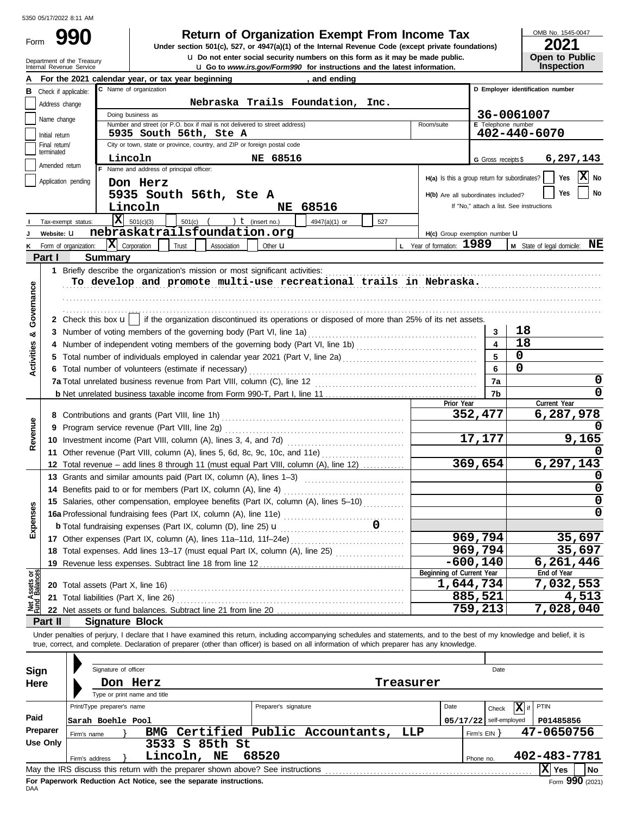Form

Department of the Treasury<br>Internal Revenue Service

# **990 2001 2021 Return of Organization Exempt From Income Tax**

**u** Go to *www.irs.gov/Form990* for instructions and the latest information. **u** Do not enter social security numbers on this form as it may be made public. **Under section 501(c), 527, or 4947(a)(1) of the Internal Revenue Code (except private foundations)** OMB No. 1545-0047

| ZUZ I                 |  |  |  |  |  |  |
|-----------------------|--|--|--|--|--|--|
| <b>Open to Public</b> |  |  |  |  |  |  |
| <b>Inspection</b>     |  |  |  |  |  |  |

|                           |                       | For the 2021 calendar year, or tax year beginning                                                                                                                          | and ending                                                                            |           |                                               |                         |                                          |  |  |  |
|---------------------------|-----------------------|----------------------------------------------------------------------------------------------------------------------------------------------------------------------------|---------------------------------------------------------------------------------------|-----------|-----------------------------------------------|-------------------------|------------------------------------------|--|--|--|
| в                         | Check if applicable:  | C Name of organization                                                                                                                                                     |                                                                                       |           |                                               |                         | D Employer identification number         |  |  |  |
|                           | Address change        |                                                                                                                                                                            | Nebraska Trails Foundation, Inc.                                                      |           |                                               |                         |                                          |  |  |  |
|                           |                       | Doing business as                                                                                                                                                          |                                                                                       |           |                                               |                         | 36-0061007                               |  |  |  |
|                           | Name change           | Number and street (or P.O. box if mail is not delivered to street address)                                                                                                 |                                                                                       |           | Room/suite                                    | E Telephone number      |                                          |  |  |  |
|                           | Initial return        | 5935 South 56th, Ste A                                                                                                                                                     |                                                                                       |           |                                               |                         | 402-440-6070                             |  |  |  |
|                           | Final return/         | City or town, state or province, country, and ZIP or foreign postal code                                                                                                   |                                                                                       |           |                                               |                         |                                          |  |  |  |
|                           | terminated            | Lincoln                                                                                                                                                                    | NE 68516                                                                              |           |                                               | G Gross receipts \$     | 6,297,143                                |  |  |  |
|                           | Amended return        | F Name and address of principal officer:                                                                                                                                   |                                                                                       |           |                                               |                         |                                          |  |  |  |
|                           | Application pending   | Don Herz                                                                                                                                                                   |                                                                                       |           | H(a) Is this a group return for subordinates? |                         | X No<br>Yes                              |  |  |  |
|                           |                       |                                                                                                                                                                            |                                                                                       |           | H(b) Are all subordinates included?           |                         | No<br>Yes                                |  |  |  |
|                           |                       | 5935 South 56th, Ste A                                                                                                                                                     |                                                                                       |           |                                               |                         |                                          |  |  |  |
|                           |                       | Lincoln                                                                                                                                                                    | <b>NE 68516</b>                                                                       |           |                                               |                         | If "No," attach a list. See instructions |  |  |  |
|                           | Tax-exempt status:    | $\overline{\mathbf{X}}$ 501(c)(3)<br>$501(c)$ (                                                                                                                            | $\int$ (insert no.)<br>4947(a)(1) or                                                  | 527       |                                               |                         |                                          |  |  |  |
|                           | Website: U            | nebraskatrailsfoundation.org                                                                                                                                               |                                                                                       |           | H(c) Group exemption number U                 |                         |                                          |  |  |  |
|                           | Form of organization: | $ \mathbf{X} $ Corporation<br>Trust<br>Association                                                                                                                         | Other <b>u</b>                                                                        |           | L Year of formation: 1989                     |                         | M State of legal domicile: NE            |  |  |  |
|                           | Part I                | <b>Summary</b>                                                                                                                                                             |                                                                                       |           |                                               |                         |                                          |  |  |  |
|                           |                       | 1 Briefly describe the organization's mission or most significant activities:                                                                                              |                                                                                       |           |                                               |                         |                                          |  |  |  |
|                           |                       | To develop and promote multi-use recreational trails in Nebraska.                                                                                                          |                                                                                       |           |                                               |                         |                                          |  |  |  |
|                           |                       |                                                                                                                                                                            |                                                                                       |           |                                               |                         |                                          |  |  |  |
| Governance                |                       |                                                                                                                                                                            |                                                                                       |           |                                               |                         |                                          |  |  |  |
|                           |                       |                                                                                                                                                                            |                                                                                       |           |                                               |                         |                                          |  |  |  |
|                           |                       | 2 Check this box $\mathbf{u}$   if the organization discontinued its operations or disposed of more than 25% of its net assets.                                            |                                                                                       |           |                                               |                         |                                          |  |  |  |
| య                         |                       |                                                                                                                                                                            |                                                                                       |           |                                               | 3                       | 18                                       |  |  |  |
|                           |                       |                                                                                                                                                                            |                                                                                       |           |                                               | $\overline{\mathbf{4}}$ | 18                                       |  |  |  |
|                           |                       |                                                                                                                                                                            |                                                                                       |           |                                               | 5                       | 0                                        |  |  |  |
| Activities                |                       | 6 Total number of volunteers (estimate if necessary)                                                                                                                       |                                                                                       |           |                                               | 6                       | 0                                        |  |  |  |
|                           |                       |                                                                                                                                                                            |                                                                                       |           |                                               | 7a                      | 0                                        |  |  |  |
|                           |                       |                                                                                                                                                                            |                                                                                       |           |                                               | 7b                      | $\mathbf 0$                              |  |  |  |
|                           |                       |                                                                                                                                                                            |                                                                                       |           | Prior Year                                    |                         | Current Year                             |  |  |  |
|                           |                       |                                                                                                                                                                            |                                                                                       |           |                                               | 352,477                 | 6,287,978                                |  |  |  |
|                           |                       | 9 Program service revenue (Part VIII, line 2g)                                                                                                                             |                                                                                       |           |                                               |                         |                                          |  |  |  |
| Revenue                   |                       |                                                                                                                                                                            |                                                                                       |           |                                               |                         |                                          |  |  |  |
|                           |                       |                                                                                                                                                                            |                                                                                       |           |                                               |                         |                                          |  |  |  |
|                           |                       | 11 Other revenue (Part VIII, column (A), lines 5, 6d, 8c, 9c, 10c, and 11e)                                                                                                |                                                                                       |           |                                               |                         | 6,297,143                                |  |  |  |
|                           |                       |                                                                                                                                                                            | 12 Total revenue - add lines 8 through 11 (must equal Part VIII, column (A), line 12) |           |                                               |                         |                                          |  |  |  |
|                           |                       | 13 Grants and similar amounts paid (Part IX, column (A), lines 1-3)                                                                                                        |                                                                                       |           |                                               |                         |                                          |  |  |  |
|                           |                       | 14 Benefits paid to or for members (Part IX, column (A), line 4)                                                                                                           |                                                                                       |           |                                               |                         | 0                                        |  |  |  |
|                           |                       | 15 Salaries, other compensation, employee benefits (Part IX, column (A), lines 5-10)                                                                                       |                                                                                       |           |                                               |                         | $\mathbf 0$                              |  |  |  |
| penses                    |                       |                                                                                                                                                                            |                                                                                       |           |                                               |                         | $\Omega$                                 |  |  |  |
|                           |                       | <b>b</b> Total fundraising expenses (Part IX, column (D), line 25) $\mathbf{u}$                                                                                            |                                                                                       | .         |                                               |                         |                                          |  |  |  |
|                           |                       | 17 Other expenses (Part IX, column (A), lines 11a-11d, 11f-24e)                                                                                                            |                                                                                       |           |                                               | 969,794                 | 35,697                                   |  |  |  |
|                           |                       | 18 Total expenses. Add lines 13-17 (must equal Part IX, column (A), line 25)                                                                                               |                                                                                       |           |                                               | 969,794                 | 35,697                                   |  |  |  |
|                           |                       |                                                                                                                                                                            |                                                                                       |           |                                               | $-600, 140$             | 6,261,446                                |  |  |  |
|                           |                       | 19 Revenue less expenses. Subtract line 18 from line 12                                                                                                                    |                                                                                       |           | Beginning of Current Year                     |                         | End of Year                              |  |  |  |
| t Assets or<br>d Balances |                       | 20 Total assets (Part X, line 16)                                                                                                                                          |                                                                                       |           |                                               | 1,644,734               | 7,032,553                                |  |  |  |
|                           |                       |                                                                                                                                                                            |                                                                                       |           |                                               | 885,521                 | 4,513                                    |  |  |  |
| <b>PEN</b>                |                       | 21 Total liabilities (Part X, line 26)                                                                                                                                     |                                                                                       |           |                                               |                         | 7,028,040                                |  |  |  |
|                           |                       |                                                                                                                                                                            |                                                                                       |           |                                               | 759,213                 |                                          |  |  |  |
|                           | Part II               | <b>Signature Block</b>                                                                                                                                                     |                                                                                       |           |                                               |                         |                                          |  |  |  |
|                           |                       | Under penalties of perjury, I declare that I have examined this return, including accompanying schedules and statements, and to the best of my knowledge and belief, it is |                                                                                       |           |                                               |                         |                                          |  |  |  |
|                           |                       | true, correct, and complete. Declaration of preparer (other than officer) is based on all information of which preparer has any knowledge.                                 |                                                                                       |           |                                               |                         |                                          |  |  |  |
|                           |                       |                                                                                                                                                                            |                                                                                       |           |                                               |                         |                                          |  |  |  |
| Sign                      |                       | Signature of officer                                                                                                                                                       |                                                                                       |           |                                               | Date                    |                                          |  |  |  |
| Here                      |                       | Don Herz                                                                                                                                                                   |                                                                                       | Treasurer |                                               |                         |                                          |  |  |  |
|                           |                       | Type or print name and title                                                                                                                                               |                                                                                       |           |                                               |                         |                                          |  |  |  |
|                           |                       | Print/Type preparer's name                                                                                                                                                 | Preparer's signature                                                                  |           | Date                                          | Check                   | X if<br>PTIN                             |  |  |  |
| Paid                      |                       |                                                                                                                                                                            |                                                                                       |           |                                               |                         |                                          |  |  |  |
|                           | Preparer              | Sarah Boehle Pool                                                                                                                                                          |                                                                                       |           | 05/17/22                                      | self-employed           | P01485856                                |  |  |  |
|                           | <b>Use Only</b>       | BMG Certified Public Accountants,<br>Firm's name                                                                                                                           |                                                                                       | LLP       |                                               | Firm's EIN }            | 47-0650756                               |  |  |  |
|                           |                       | 3533 S 85th St                                                                                                                                                             |                                                                                       |           |                                               |                         |                                          |  |  |  |
|                           |                       | Lincoln, NE<br>Firm's address                                                                                                                                              | 68520                                                                                 |           |                                               | Phone no.               | 402-483-7781                             |  |  |  |
|                           |                       |                                                                                                                                                                            |                                                                                       |           |                                               |                         | $ \mathbf{X} $ Yes<br>  No               |  |  |  |

| Sign                                                                                                  |             | Signature of officer       |                              |                 |                      |                               |           |      |              | Date                     |      |              |
|-------------------------------------------------------------------------------------------------------|-------------|----------------------------|------------------------------|-----------------|----------------------|-------------------------------|-----------|------|--------------|--------------------------|------|--------------|
| Here                                                                                                  |             |                            | Don Herz                     |                 |                      |                               | Treasurer |      |              |                          |      |              |
|                                                                                                       |             |                            | Type or print name and title |                 |                      |                               |           |      |              |                          |      |              |
|                                                                                                       |             | Print/Type preparer's name |                              |                 | Preparer's signature |                               |           | Date |              | i X   if<br>Check        | PTIN |              |
| Paid                                                                                                  |             | Sarah Boehle Pool          |                              |                 |                      |                               |           |      |              | $05/17/22$ self-employed |      | P01485856    |
| <b>Preparer</b>                                                                                       | Firm's name |                            | BMG                          |                 |                      | Certified Public Accountants, | LLP       |      | Firm's $EIN$ |                          |      | 47-0650756   |
| Use Only                                                                                              |             |                            |                              | 3533 S 85th St  |                      |                               |           |      |              |                          |      |              |
|                                                                                                       |             | Firm's address             |                              | Lincoln,<br>NE. | 68520                |                               |           |      | Phone no.    |                          |      | 402-483-7781 |
| ΙxΙ<br>May the IRS discuss this return with the preparer shown above? See instructions<br>Yes<br>l No |             |                            |                              |                 |                      |                               |           |      |              |                          |      |              |
| Form 990 (2021)<br>For Paperwork Reduction Act Notice, see the separate instructions.<br><b>DAA</b>   |             |                            |                              |                 |                      |                               |           |      |              |                          |      |              |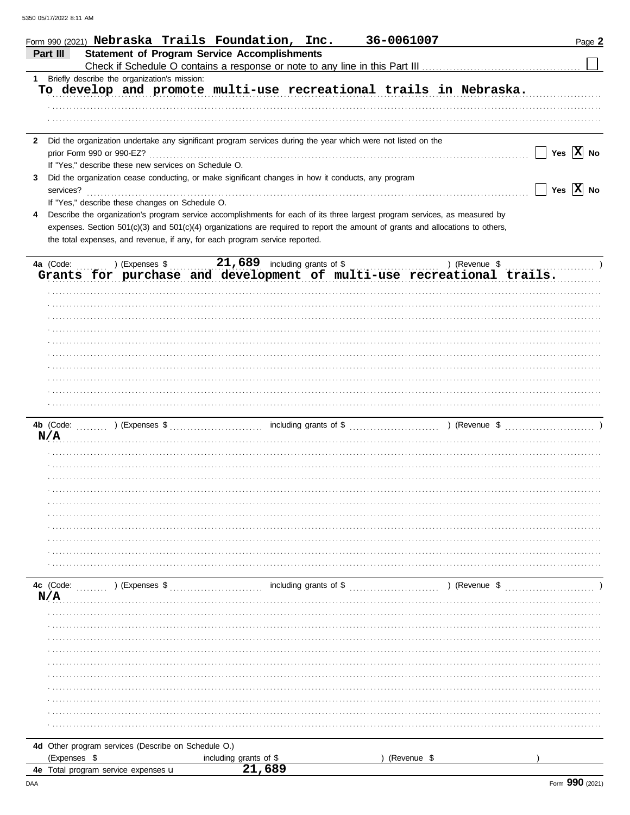|              | 36-0061007<br>Form 990 (2021) Nebraska Trails Foundation, Inc.                                                                                                                                                                        | Page 2                |
|--------------|---------------------------------------------------------------------------------------------------------------------------------------------------------------------------------------------------------------------------------------|-----------------------|
|              | <b>Statement of Program Service Accomplishments</b><br>Part III                                                                                                                                                                       |                       |
|              |                                                                                                                                                                                                                                       |                       |
| 1            | Briefly describe the organization's mission:                                                                                                                                                                                          |                       |
|              | To develop and promote multi-use recreational trails in Nebraska.                                                                                                                                                                     |                       |
|              |                                                                                                                                                                                                                                       |                       |
|              |                                                                                                                                                                                                                                       |                       |
|              |                                                                                                                                                                                                                                       |                       |
| $\mathbf{2}$ | Did the organization undertake any significant program services during the year which were not listed on the                                                                                                                          |                       |
|              | prior Form 990 or 990-EZ?                                                                                                                                                                                                             | Yes $\overline{X}$ No |
|              | If "Yes," describe these new services on Schedule O.                                                                                                                                                                                  |                       |
| 3            | Did the organization cease conducting, or make significant changes in how it conducts, any program                                                                                                                                    |                       |
|              | services?                                                                                                                                                                                                                             | Yes $\overline{X}$ No |
|              | If "Yes," describe these changes on Schedule O.                                                                                                                                                                                       |                       |
| 4            | Describe the organization's program service accomplishments for each of its three largest program services, as measured by                                                                                                            |                       |
|              | expenses. Section 501(c)(3) and 501(c)(4) organizations are required to report the amount of grants and allocations to others,                                                                                                        |                       |
|              | the total expenses, and revenue, if any, for each program service reported.                                                                                                                                                           |                       |
|              |                                                                                                                                                                                                                                       |                       |
|              | a (Code: ) (Expenses \$21,689 including grants of \$) (Revenue \$) (Revenue \$1,689 including grants of \$) (Revenue \$1,689 including grants of \$) (Revenue \$1,689 including grants of multi-use recreational trails.<br>4a (Code: |                       |
|              |                                                                                                                                                                                                                                       |                       |
|              |                                                                                                                                                                                                                                       |                       |
|              |                                                                                                                                                                                                                                       |                       |
|              |                                                                                                                                                                                                                                       |                       |
|              |                                                                                                                                                                                                                                       |                       |
|              |                                                                                                                                                                                                                                       |                       |
|              |                                                                                                                                                                                                                                       |                       |
|              |                                                                                                                                                                                                                                       |                       |
|              |                                                                                                                                                                                                                                       |                       |
|              |                                                                                                                                                                                                                                       |                       |
|              |                                                                                                                                                                                                                                       |                       |
|              |                                                                                                                                                                                                                                       |                       |
|              |                                                                                                                                                                                                                                       |                       |
|              | N/A                                                                                                                                                                                                                                   |                       |
|              |                                                                                                                                                                                                                                       |                       |
|              |                                                                                                                                                                                                                                       |                       |
|              |                                                                                                                                                                                                                                       |                       |
|              |                                                                                                                                                                                                                                       |                       |
|              |                                                                                                                                                                                                                                       |                       |
|              |                                                                                                                                                                                                                                       |                       |
|              |                                                                                                                                                                                                                                       |                       |
|              |                                                                                                                                                                                                                                       |                       |
|              |                                                                                                                                                                                                                                       |                       |
|              |                                                                                                                                                                                                                                       |                       |
|              |                                                                                                                                                                                                                                       |                       |
|              | 4c (Code:<br>including grants of \$<br>$($ Revenue \$<br>) (Expenses \$                                                                                                                                                               |                       |
|              | N/A                                                                                                                                                                                                                                   |                       |
|              |                                                                                                                                                                                                                                       |                       |
|              |                                                                                                                                                                                                                                       |                       |
|              |                                                                                                                                                                                                                                       |                       |
|              |                                                                                                                                                                                                                                       |                       |
|              |                                                                                                                                                                                                                                       |                       |
|              |                                                                                                                                                                                                                                       |                       |
|              |                                                                                                                                                                                                                                       |                       |
|              |                                                                                                                                                                                                                                       |                       |
|              |                                                                                                                                                                                                                                       |                       |
|              |                                                                                                                                                                                                                                       |                       |
|              |                                                                                                                                                                                                                                       |                       |
|              | 4d Other program services (Describe on Schedule O.)                                                                                                                                                                                   |                       |
|              | (Expenses \$<br>(Revenue \$<br>including grants of \$                                                                                                                                                                                 |                       |
|              | 21,689<br>4e Total program service expenses u                                                                                                                                                                                         |                       |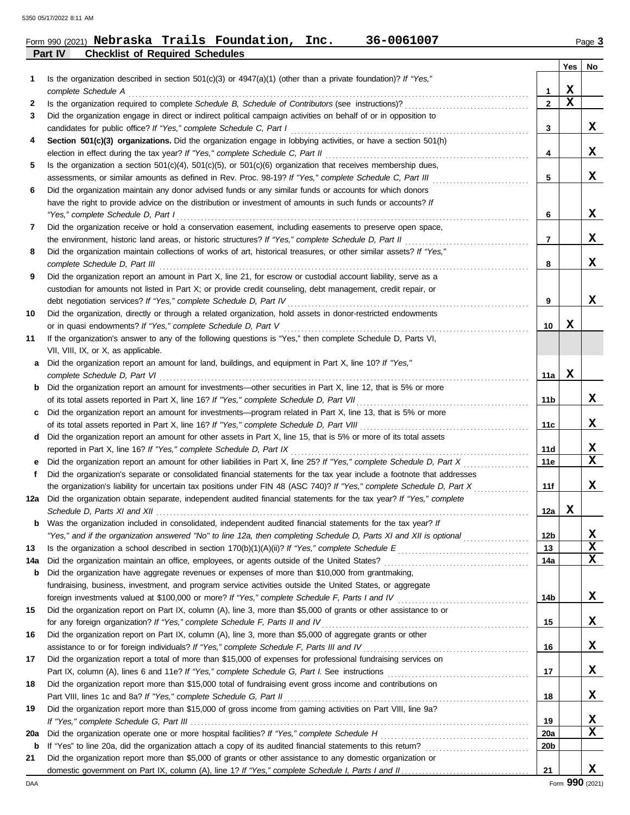### **Part IV Checklist of Required Schedules** Form 990 (2021) Page **3 Nebraska Trails Foundation, Inc. 36-0061007**

|        |                                                                                                                                                                                                   |                   | Yes              | No          |
|--------|---------------------------------------------------------------------------------------------------------------------------------------------------------------------------------------------------|-------------------|------------------|-------------|
| 1      | Is the organization described in section $501(c)(3)$ or $4947(a)(1)$ (other than a private foundation)? If "Yes,"                                                                                 |                   |                  |             |
|        | complete Schedule A<br>Is the organization required to complete Schedule B, Schedule of Contributors (see instructions)?                                                                          | 1<br>$\mathbf{2}$ | X<br>$\mathbf x$ |             |
| 2<br>3 | Did the organization engage in direct or indirect political campaign activities on behalf of or in opposition to                                                                                  |                   |                  |             |
|        | candidates for public office? If "Yes," complete Schedule C, Part I                                                                                                                               | 3                 |                  | X           |
| 4      | Section 501(c)(3) organizations. Did the organization engage in lobbying activities, or have a section 501(h)                                                                                     |                   |                  |             |
|        | election in effect during the tax year? If "Yes," complete Schedule C, Part II                                                                                                                    | 4                 |                  | X           |
| 5      | Is the organization a section $501(c)(4)$ , $501(c)(5)$ , or $501(c)(6)$ organization that receives membership dues,                                                                              |                   |                  |             |
|        | assessments, or similar amounts as defined in Rev. Proc. 98-19? If "Yes," complete Schedule C, Part III                                                                                           | 5                 |                  | X           |
| 6      | Did the organization maintain any donor advised funds or any similar funds or accounts for which donors                                                                                           |                   |                  |             |
|        | have the right to provide advice on the distribution or investment of amounts in such funds or accounts? If                                                                                       |                   |                  |             |
|        | "Yes," complete Schedule D, Part I                                                                                                                                                                | 6                 |                  | X           |
| 7      | Did the organization receive or hold a conservation easement, including easements to preserve open space,                                                                                         |                   |                  |             |
|        | the environment, historic land areas, or historic structures? If "Yes," complete Schedule D, Part II                                                                                              | 7                 |                  | X           |
| 8      | Did the organization maintain collections of works of art, historical treasures, or other similar assets? If "Yes,"                                                                               |                   |                  |             |
|        | complete Schedule D, Part III                                                                                                                                                                     | 8                 |                  | x           |
| 9      | Did the organization report an amount in Part X, line 21, for escrow or custodial account liability, serve as a                                                                                   |                   |                  |             |
|        | custodian for amounts not listed in Part X; or provide credit counseling, debt management, credit repair, or                                                                                      |                   |                  |             |
|        | debt negotiation services? If "Yes," complete Schedule D, Part IV                                                                                                                                 | 9                 |                  | x           |
| 10     | Did the organization, directly or through a related organization, hold assets in donor-restricted endowments                                                                                      |                   |                  |             |
|        | or in quasi endowments? If "Yes," complete Schedule D, Part V                                                                                                                                     | 10                | х                |             |
| 11     | If the organization's answer to any of the following questions is "Yes," then complete Schedule D, Parts VI,                                                                                      |                   |                  |             |
|        | VII, VIII, IX, or X, as applicable.<br>Did the organization report an amount for land, buildings, and equipment in Part X, line 10? If "Yes,"                                                     |                   |                  |             |
| a      | complete Schedule D, Part VI                                                                                                                                                                      | 11a               | X                |             |
| b      | Did the organization report an amount for investments-other securities in Part X, line 12, that is 5% or more                                                                                     |                   |                  |             |
|        | of its total assets reported in Part X, line 16? If "Yes," complete Schedule D, Part VII                                                                                                          | 11 <sub>b</sub>   |                  | x           |
| c      | Did the organization report an amount for investments—program related in Part X, line 13, that is 5% or more                                                                                      |                   |                  |             |
|        | of its total assets reported in Part X, line 16? If "Yes," complete Schedule D, Part VIII                                                                                                         | 11c               |                  | x           |
| d      | Did the organization report an amount for other assets in Part X, line 15, that is 5% or more of its total assets                                                                                 |                   |                  |             |
|        | reported in Part X, line 16? If "Yes," complete Schedule D, Part IX                                                                                                                               | 11d               |                  | X           |
| е      | Did the organization report an amount for other liabilities in Part X, line 25? If "Yes," complete Schedule D, Part X                                                                             | 11e               |                  | $\mathbf x$ |
| f      | Did the organization's separate or consolidated financial statements for the tax year include a footnote that addresses                                                                           |                   |                  |             |
|        | the organization's liability for uncertain tax positions under FIN 48 (ASC 740)? If "Yes," complete Schedule D, Part X                                                                            | 11f               |                  | x           |
|        | 12a Did the organization obtain separate, independent audited financial statements for the tax year? If "Yes," complete                                                                           |                   |                  |             |
|        | Schedule D, Parts XI and XII <i>contained</i> the Schedule D, Parts XI and XII                                                                                                                    | 12a               | X                |             |
|        | Was the organization included in consolidated, independent audited financial statements for the tax year? If                                                                                      |                   |                  |             |
|        | "Yes," and if the organization answered "No" to line 12a, then completing Schedule D, Parts XI and XII is optional                                                                                | 12 <sub>b</sub>   |                  | X           |
| 13     |                                                                                                                                                                                                   | 13                |                  | X           |
| 14a    | Did the organization maintain an office, employees, or agents outside of the United States?                                                                                                       | 14a               |                  | X           |
| b      | Did the organization have aggregate revenues or expenses of more than \$10,000 from grantmaking,                                                                                                  |                   |                  |             |
|        | fundraising, business, investment, and program service activities outside the United States, or aggregate                                                                                         |                   |                  |             |
|        | foreign investments valued at \$100,000 or more? If "Yes," complete Schedule F, Parts I and IV                                                                                                    | 14b               |                  | X           |
| 15     | Did the organization report on Part IX, column (A), line 3, more than \$5,000 of grants or other assistance to or<br>for any foreign organization? If "Yes," complete Schedule F, Parts II and IV | 15                |                  | x           |
| 16     | Did the organization report on Part IX, column (A), line 3, more than \$5,000 of aggregate grants or other                                                                                        |                   |                  |             |
|        | assistance to or for foreign individuals? If "Yes," complete Schedule F, Parts III and IV                                                                                                         | 16                |                  | x           |
| 17     | Did the organization report a total of more than \$15,000 of expenses for professional fundraising services on                                                                                    |                   |                  |             |
|        | Part IX, column (A), lines 6 and 11e? If "Yes," complete Schedule G, Part I. See instructions                                                                                                     | 17                |                  | x           |
| 18     | Did the organization report more than \$15,000 total of fundraising event gross income and contributions on                                                                                       |                   |                  |             |
|        | Part VIII, lines 1c and 8a? If "Yes," complete Schedule G, Part II                                                                                                                                | 18                |                  | X           |
| 19     | Did the organization report more than \$15,000 of gross income from gaming activities on Part VIII, line 9a?                                                                                      |                   |                  |             |
|        |                                                                                                                                                                                                   | 19                |                  | X           |
| 20a    | Did the organization operate one or more hospital facilities? If "Yes," complete Schedule H                                                                                                       | 20a               |                  | X           |
| b      | If "Yes" to line 20a, did the organization attach a copy of its audited financial statements to this return?                                                                                      | 20 <sub>b</sub>   |                  |             |
| 21     | Did the organization report more than \$5,000 of grants or other assistance to any domestic organization or                                                                                       |                   |                  |             |
|        |                                                                                                                                                                                                   | 21                |                  | X           |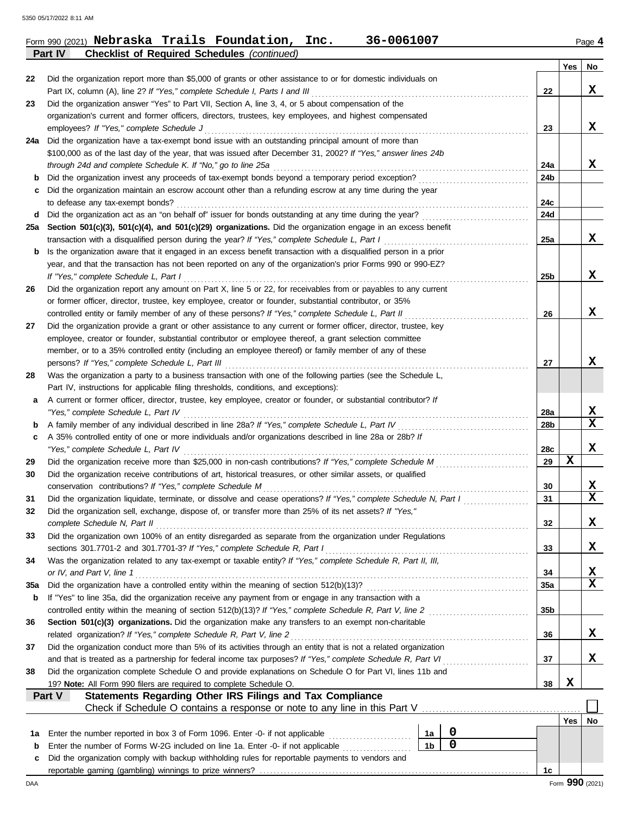|                |  | Form 990 (2021) Nebraska Trails Foundation, Inc.   | 36-0061007 | Page 4 |
|----------------|--|----------------------------------------------------|------------|--------|
| <b>Part IV</b> |  | <b>Checklist of Required Schedules (continued)</b> |            |        |

|     |                                                                                                                                                                                                                            |                 | Yes | No          |
|-----|----------------------------------------------------------------------------------------------------------------------------------------------------------------------------------------------------------------------------|-----------------|-----|-------------|
| 22  | Did the organization report more than \$5,000 of grants or other assistance to or for domestic individuals on                                                                                                              |                 |     |             |
|     | Part IX, column (A), line 2? If "Yes," complete Schedule I, Parts I and III                                                                                                                                                | 22              |     | x           |
| 23  | Did the organization answer "Yes" to Part VII, Section A, line 3, 4, or 5 about compensation of the                                                                                                                        |                 |     |             |
|     | organization's current and former officers, directors, trustees, key employees, and highest compensated                                                                                                                    |                 |     |             |
|     | employees? If "Yes," complete Schedule J                                                                                                                                                                                   | 23              |     | x           |
| 24a | Did the organization have a tax-exempt bond issue with an outstanding principal amount of more than                                                                                                                        |                 |     |             |
|     | \$100,000 as of the last day of the year, that was issued after December 31, 2002? If "Yes," answer lines 24b                                                                                                              |                 |     |             |
|     | through 24d and complete Schedule K. If "No," go to line 25a                                                                                                                                                               | 24a             |     | x           |
| b   | Did the organization invest any proceeds of tax-exempt bonds beyond a temporary period exception?                                                                                                                          | 24b             |     |             |
| c   | Did the organization maintain an escrow account other than a refunding escrow at any time during the year                                                                                                                  |                 |     |             |
|     | to defease any tax-exempt bonds?                                                                                                                                                                                           | 24c             |     |             |
| d   | Did the organization act as an "on behalf of" issuer for bonds outstanding at any time during the year?                                                                                                                    | 24d             |     |             |
| 25a | Section 501(c)(3), 501(c)(4), and 501(c)(29) organizations. Did the organization engage in an excess benefit                                                                                                               |                 |     |             |
|     | transaction with a disqualified person during the year? If "Yes," complete Schedule L, Part I                                                                                                                              | 25a             |     | X           |
| b   | Is the organization aware that it engaged in an excess benefit transaction with a disqualified person in a prior                                                                                                           |                 |     |             |
|     | year, and that the transaction has not been reported on any of the organization's prior Forms 990 or 990-EZ?                                                                                                               |                 |     | x           |
|     | If "Yes," complete Schedule L, Part I                                                                                                                                                                                      | 25 <sub>b</sub> |     |             |
| 26  | Did the organization report any amount on Part X, line 5 or 22, for receivables from or payables to any current<br>or former officer, director, trustee, key employee, creator or founder, substantial contributor, or 35% |                 |     |             |
|     | controlled entity or family member of any of these persons? If "Yes," complete Schedule L, Part II                                                                                                                         |                 |     | x           |
| 27  | Did the organization provide a grant or other assistance to any current or former officer, director, trustee, key                                                                                                          | 26              |     |             |
|     | employee, creator or founder, substantial contributor or employee thereof, a grant selection committee                                                                                                                     |                 |     |             |
|     | member, or to a 35% controlled entity (including an employee thereof) or family member of any of these                                                                                                                     |                 |     |             |
|     | persons? If "Yes," complete Schedule L, Part III                                                                                                                                                                           | 27              |     | x           |
| 28  | Was the organization a party to a business transaction with one of the following parties (see the Schedule L,                                                                                                              |                 |     |             |
|     | Part IV, instructions for applicable filing thresholds, conditions, and exceptions):                                                                                                                                       |                 |     |             |
| a   | A current or former officer, director, trustee, key employee, creator or founder, or substantial contributor? If                                                                                                           |                 |     |             |
|     | "Yes," complete Schedule L, Part IV                                                                                                                                                                                        | 28a             |     | X           |
| b   | A family member of any individual described in line 28a? If "Yes," complete Schedule L, Part IV [[[[[[[[[[[[[                                                                                                              | 28b             |     | X           |
| c   | A 35% controlled entity of one or more individuals and/or organizations described in line 28a or 28b? If                                                                                                                   |                 |     |             |
|     | "Yes," complete Schedule L, Part IV                                                                                                                                                                                        | 28c             |     | x           |
| 29  |                                                                                                                                                                                                                            | 29              | х   |             |
| 30  | Did the organization receive contributions of art, historical treasures, or other similar assets, or qualified                                                                                                             |                 |     |             |
|     | conservation contributions? If "Yes," complete Schedule M                                                                                                                                                                  | 30              |     | x           |
| 31  | Did the organization liquidate, terminate, or dissolve and cease operations? If "Yes," complete Schedule N, Part I                                                                                                         | 31              |     | $\mathbf x$ |
| 32  | Did the organization sell, exchange, dispose of, or transfer more than 25% of its net assets? If "Yes,"                                                                                                                    |                 |     |             |
|     | complete Schedule N, Part II                                                                                                                                                                                               | 32              |     | X           |
| 33  | Did the organization own 100% of an entity disregarded as separate from the organization under Regulations                                                                                                                 |                 |     |             |
|     | sections 301.7701-2 and 301.7701-3? If "Yes," complete Schedule R, Part I                                                                                                                                                  | 33              |     | x           |
| 34  | Was the organization related to any tax-exempt or taxable entity? If "Yes," complete Schedule R, Part II, III,                                                                                                             |                 |     |             |
|     | or IV, and Part V, line 1                                                                                                                                                                                                  | 34              |     | X           |
| 35a |                                                                                                                                                                                                                            | 35a             |     | X           |
| b   | If "Yes" to line 35a, did the organization receive any payment from or engage in any transaction with a                                                                                                                    |                 |     |             |
|     |                                                                                                                                                                                                                            | 35 <sub>b</sub> |     |             |
| 36  | Section 501(c)(3) organizations. Did the organization make any transfers to an exempt non-charitable                                                                                                                       |                 |     |             |
|     | related organization? If "Yes," complete Schedule R, Part V, line 2                                                                                                                                                        | 36              |     | x           |
| 37  | Did the organization conduct more than 5% of its activities through an entity that is not a related organization                                                                                                           | 37              |     | x           |
| 38  | Did the organization complete Schedule O and provide explanations on Schedule O for Part VI, lines 11b and                                                                                                                 |                 |     |             |
|     | 19? Note: All Form 990 filers are required to complete Schedule O.                                                                                                                                                         | 38              | X   |             |
|     | Part V<br><b>Statements Regarding Other IRS Filings and Tax Compliance</b>                                                                                                                                                 |                 |     |             |
|     | Check if Schedule O contains a response or note to any line in this Part V                                                                                                                                                 |                 |     |             |
|     |                                                                                                                                                                                                                            |                 | Yes | No          |
| 1a  | 0<br>1a                                                                                                                                                                                                                    |                 |     |             |
| b   | $\mathbf 0$<br>1 <sub>b</sub><br>Enter the number of Forms W-2G included on line 1a. Enter -0- if not applicable                                                                                                           |                 |     |             |
| с   | Did the organization comply with backup withholding rules for reportable payments to vendors and                                                                                                                           |                 |     |             |
|     |                                                                                                                                                                                                                            | 1c              |     |             |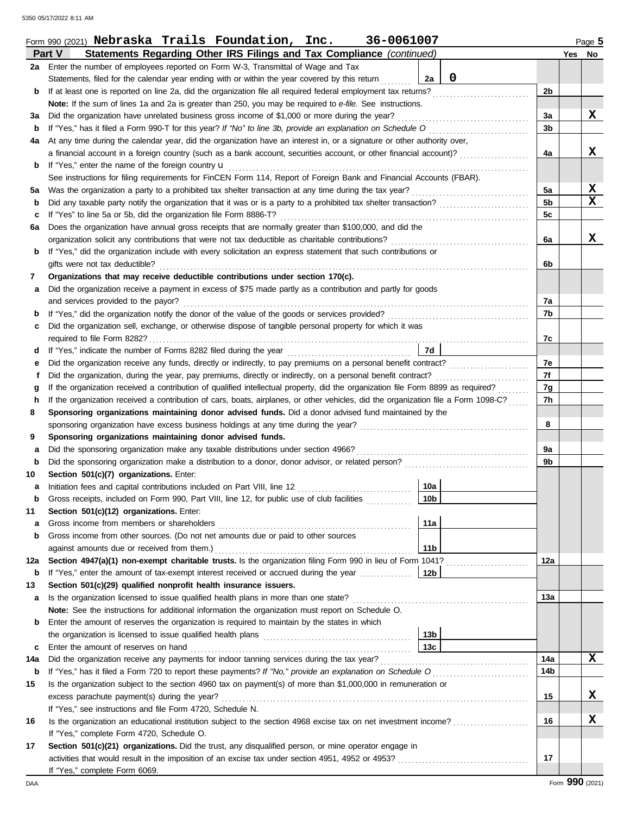|     | 36-0061007<br>Form 990 (2021) Nebraska Trails Foundation, Inc.                                                                     |                | Page 5      |
|-----|------------------------------------------------------------------------------------------------------------------------------------|----------------|-------------|
|     | Statements Regarding Other IRS Filings and Tax Compliance (continued)<br>Part V                                                    |                | Yes No      |
|     | 2a Enter the number of employees reported on Form W-3, Transmittal of Wage and Tax                                                 |                |             |
|     | 0<br>Statements, filed for the calendar year ending with or within the year covered by this return<br>2a                           |                |             |
| b   | If at least one is reported on line 2a, did the organization file all required federal employment tax returns?                     | 2 <sub>b</sub> |             |
|     | Note: If the sum of lines 1a and 2a is greater than 250, you may be required to e-file. See instructions.                          |                |             |
| За  | Did the organization have unrelated business gross income of \$1,000 or more during the year?                                      | 3a             | X           |
| b   | If "Yes," has it filed a Form 990-T for this year? If "No" to line 3b, provide an explanation on Schedule O                        | 3b             |             |
| 4a  | At any time during the calendar year, did the organization have an interest in, or a signature or other authority over,            |                |             |
|     | a financial account in a foreign country (such as a bank account, securities account, or other financial account)?                 | 4a             | x           |
| b   | If "Yes," enter the name of the foreign country <b>u</b>                                                                           |                |             |
|     | See instructions for filing requirements for FinCEN Form 114, Report of Foreign Bank and Financial Accounts (FBAR).                |                |             |
| 5а  | Was the organization a party to a prohibited tax shelter transaction at any time during the tax year?                              | 5a             | X           |
| b   | Did any taxable party notify the organization that it was or is a party to a prohibited tax shelter transaction?                   | 5b             | $\mathbf x$ |
| с   | If "Yes" to line 5a or 5b, did the organization file Form 8886-T?                                                                  | 5c             |             |
| 6a  | Does the organization have annual gross receipts that are normally greater than \$100,000, and did the                             |                |             |
|     | organization solicit any contributions that were not tax deductible as charitable contributions?                                   | 6a             | x           |
| b   | If "Yes," did the organization include with every solicitation an express statement that such contributions or                     |                |             |
|     | gifts were not tax deductible?                                                                                                     | 6b             |             |
| 7   | Organizations that may receive deductible contributions under section 170(c).                                                      |                |             |
| а   | Did the organization receive a payment in excess of \$75 made partly as a contribution and partly for goods                        |                |             |
|     | and services provided to the payor?                                                                                                | 7a             |             |
| b   |                                                                                                                                    | 7b             |             |
| c   | Did the organization sell, exchange, or otherwise dispose of tangible personal property for which it was                           |                |             |
|     | required to file Form 8282?                                                                                                        | 7c             |             |
| d   | 7d<br>If "Yes," indicate the number of Forms 8282 filed during the year                                                            |                |             |
| е   |                                                                                                                                    | 7e             |             |
| f   | Did the organization, during the year, pay premiums, directly or indirectly, on a personal benefit contract?                       | 7f             |             |
| g   | If the organization received a contribution of qualified intellectual property, did the organization file Form 8899 as required?   | 7g             |             |
| h   | If the organization received a contribution of cars, boats, airplanes, or other vehicles, did the organization file a Form 1098-C? | 7h             |             |
| 8   | Sponsoring organizations maintaining donor advised funds. Did a donor advised fund maintained by the                               |                |             |
|     | sponsoring organization have excess business holdings at any time during the year?                                                 | 8              |             |
| 9   | Sponsoring organizations maintaining donor advised funds.                                                                          |                |             |
| а   | Did the sponsoring organization make any taxable distributions under section 4966?                                                 | 9a             |             |
| b   |                                                                                                                                    | 9b             |             |
| 10  | Section 501(c)(7) organizations. Enter:                                                                                            |                |             |
|     | 10a                                                                                                                                |                |             |
| a   | $\sqrt{10b}$<br>Gross receipts, included on Form 990, Part VIII, line 12, for public use of club facilities                        |                |             |
| 11  | Section 501(c)(12) organizations. Enter:                                                                                           |                |             |
| а   | 11a<br>Gross income from members or shareholders                                                                                   |                |             |
| b   | Gross income from other sources. (Do not net amounts due or paid to other sources                                                  |                |             |
|     | 11 <sub>b</sub><br>against amounts due or received from them.)                                                                     |                |             |
| 12a | Section 4947(a)(1) non-exempt charitable trusts. Is the organization filing Form 990 in lieu of Form 1041?                         | 12a            |             |
| b   |                                                                                                                                    |                |             |
| 13  | Section 501(c)(29) qualified nonprofit health insurance issuers.                                                                   |                |             |
|     | Is the organization licensed to issue qualified health plans in more than one state?                                               | 13a            |             |
| а   | Note: See the instructions for additional information the organization must report on Schedule O.                                  |                |             |
| b   | Enter the amount of reserves the organization is required to maintain by the states in which                                       |                |             |
|     | 13b                                                                                                                                |                |             |
|     | 13 <sub>c</sub>                                                                                                                    |                |             |
| c   | Enter the amount of reserves on hand                                                                                               |                | X           |
| 14a | Did the organization receive any payments for indoor tanning services during the tax year?                                         | 14a            |             |
| b   |                                                                                                                                    | 14b            |             |
| 15  | Is the organization subject to the section 4960 tax on payment(s) of more than \$1,000,000 in remuneration or                      |                |             |
|     | excess parachute payment(s) during the year?                                                                                       | 15             | x           |
|     | If "Yes," see instructions and file Form 4720, Schedule N.                                                                         |                |             |
| 16  | Is the organization an educational institution subject to the section 4968 excise tax on net investment income?                    | 16             | X           |
|     | If "Yes," complete Form 4720, Schedule O.                                                                                          |                |             |
| 17  | Section 501(c)(21) organizations. Did the trust, any disqualified person, or mine operator engage in                               |                |             |
|     |                                                                                                                                    | 17             |             |
|     | If "Yes," complete Form 6069.                                                                                                      |                |             |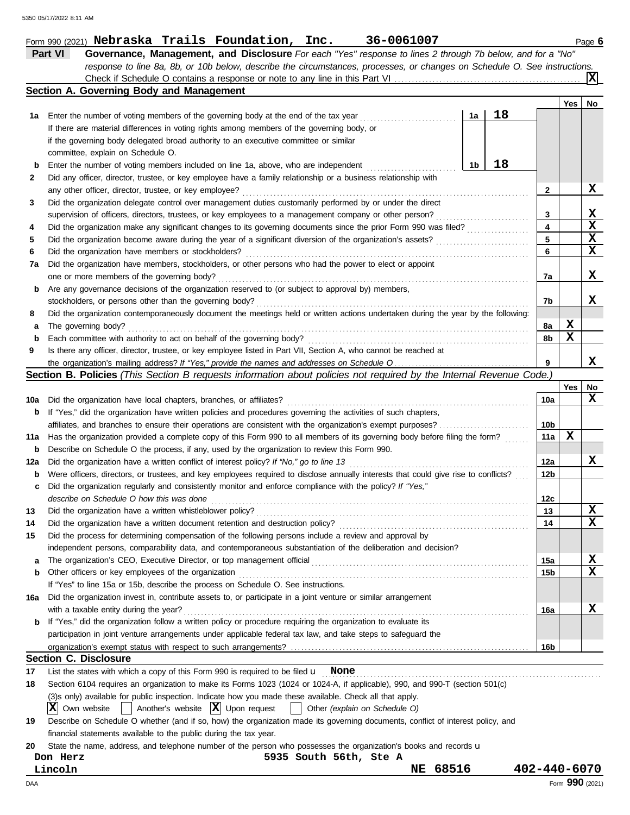|  | Form 990 (2021) Nebraska Trails Foundation, | Inc. | 36-0061007 | Page b |
|--|---------------------------------------------|------|------------|--------|
|  |                                             |      |            |        |

| Part VI | Governance, Management, and Disclosure For each "Yes" response to lines 2 through 7b below, and for a "No"                |
|---------|---------------------------------------------------------------------------------------------------------------------------|
|         | response to line 8a, 8b, or 10b below, describe the circumstances, processes, or changes on Schedule O. See instructions. |
|         | $\sqrt{\mathbf{X}}$                                                                                                       |
|         | Section A. Governing Body and Management                                                                                  |

|       |                                                                                                                                                                                                                                 |    |    |     | Yes | No     |
|-------|---------------------------------------------------------------------------------------------------------------------------------------------------------------------------------------------------------------------------------|----|----|-----|-----|--------|
| 1а    | Enter the number of voting members of the governing body at the end of the tax year                                                                                                                                             | 1a | 18 |     |     |        |
|       | If there are material differences in voting rights among members of the governing body, or                                                                                                                                      |    |    |     |     |        |
|       | if the governing body delegated broad authority to an executive committee or similar                                                                                                                                            |    |    |     |     |        |
|       | committee, explain on Schedule O.                                                                                                                                                                                               |    |    |     |     |        |
| b     | Enter the number of voting members included on line 1a, above, who are independent                                                                                                                                              | 1b | 18 |     |     |        |
| 2     | Did any officer, director, trustee, or key employee have a family relationship or a business relationship with                                                                                                                  |    |    |     |     |        |
|       | any other officer, director, trustee, or key employee?                                                                                                                                                                          |    |    | 2   |     | x      |
| 3     | Did the organization delegate control over management duties customarily performed by or under the direct                                                                                                                       |    |    |     |     |        |
|       | supervision of officers, directors, trustees, or key employees to a management company or other person?                                                                                                                         |    |    | 3   |     | X.     |
| 4     |                                                                                                                                                                                                                                 |    |    | 4   |     | X      |
| 5     |                                                                                                                                                                                                                                 |    |    | 5   |     | X      |
| 6     | Did the organization have members or stockholders?                                                                                                                                                                              |    |    | 6   |     | X      |
| 7a    | Did the organization have members, stockholders, or other persons who had the power to elect or appoint                                                                                                                         |    |    |     |     |        |
|       | one or more members of the governing body?                                                                                                                                                                                      |    |    | 7a  |     | X.     |
| b     | Are any governance decisions of the organization reserved to (or subject to approval by) members,                                                                                                                               |    |    |     |     |        |
|       | stockholders, or persons other than the governing body?                                                                                                                                                                         |    |    | 7b  |     | X.     |
| 8     | Did the organization contemporaneously document the meetings held or written actions undertaken during the year by the following:                                                                                               |    |    |     |     |        |
| а     | The governing body?                                                                                                                                                                                                             |    |    | 8а  | x   |        |
| b     | Each committee with authority to act on behalf of the governing body?                                                                                                                                                           |    |    | 8b  | x   |        |
| 9     | Is there any officer, director, trustee, or key employee listed in Part VII, Section A, who cannot be reached at                                                                                                                |    |    |     |     |        |
|       |                                                                                                                                                                                                                                 |    |    | 9   |     | x      |
|       | Section B. Policies (This Section B requests information about policies not required by the Internal Revenue Code.)                                                                                                             |    |    |     |     |        |
|       |                                                                                                                                                                                                                                 |    |    |     | Yes | No     |
| 10a l | Did the organization have local chapters, branches, or affiliates?                                                                                                                                                              |    |    | 10a |     | x      |
| b     | If "Yes," did the organization have written policies and procedures governing the activities of such chapters,                                                                                                                  |    |    |     |     |        |
|       | affiliates, and branches to ensure their operations are consistent with the organization's exempt purposes?                                                                                                                     |    |    | 10b |     |        |
| 11a   | Has the organization provided a complete copy of this Form 990 to all members of its governing body before filing the form?                                                                                                     |    |    | 11a | x   |        |
| b     | Describe on Schedule O the process, if any, used by the organization to review this Form 990.                                                                                                                                   |    |    |     |     |        |
| 12a   | Did the organization have a written conflict of interest policy? If "No," go to line 13                                                                                                                                         |    |    | 12a |     | x      |
| b     | Were officers, directors, or trustees, and key employees required to disclose annually interests that could give rise to conflicts?                                                                                             |    |    | 12b |     |        |
| c     | Did the organization regularly and consistently monitor and enforce compliance with the policy? If "Yes,"                                                                                                                       |    |    |     |     |        |
|       | describe on Schedule O how this was done                                                                                                                                                                                        |    |    | 12с |     |        |
| 13    | Did the organization have a written whistleblower policy?                                                                                                                                                                       |    |    | 13  |     | X      |
| 14    | Did the organization have a written document retention and destruction policy?                                                                                                                                                  |    |    | 14  |     | x      |
| 15    | Did the process for determining compensation of the following persons include a review and approval by                                                                                                                          |    |    |     |     |        |
|       | independent persons, comparability data, and contemporaneous substantiation of the deliberation and decision?                                                                                                                   |    |    |     |     |        |
| а     |                                                                                                                                                                                                                                 |    |    | 15a |     | X<br>X |
| b     | Other officers or key employees of the organization                                                                                                                                                                             |    |    | 15b |     |        |
|       | If "Yes" to line 15a or 15b, describe the process on Schedule O. See instructions.                                                                                                                                              |    |    |     |     |        |
| 16a   | Did the organization invest in, contribute assets to, or participate in a joint venture or similar arrangement<br>with a taxable entity during the year?                                                                        |    |    |     |     | X      |
|       |                                                                                                                                                                                                                                 |    |    | 16a |     |        |
| b     | If "Yes," did the organization follow a written policy or procedure requiring the organization to evaluate its<br>participation in joint venture arrangements under applicable federal tax law, and take steps to safeguard the |    |    |     |     |        |
|       |                                                                                                                                                                                                                                 |    |    | 16b |     |        |
|       | <b>Section C. Disclosure</b>                                                                                                                                                                                                    |    |    |     |     |        |
|       |                                                                                                                                                                                                                                 |    |    |     |     |        |
| 17    | List the states with which a copy of this Form 990 is required to be filed $\mathbf u$ None<br>Section 6104 requires an organization to make its Forms 1023 (1024 or 1024-A, if applicable), 990, and 990-T (section 501(c)     |    |    |     |     |        |
| 18    |                                                                                                                                                                                                                                 |    |    |     |     |        |

(3)s only) available for public inspection. Indicate how you made these available. Check all that apply.

 $\overline{X}$  Own website  $\begin{bmatrix} \overline{X} & \overline{X} \end{bmatrix}$  Upon request  $\begin{bmatrix} \overline{X} & \overline{X} \end{bmatrix}$  Other *(explain on Schedule O)* 

| 19 | Describe on Schedule O whether (and if so, how) the organization made its governing documents, conflict of interest policy, and |
|----|---------------------------------------------------------------------------------------------------------------------------------|
|    | financial statements available to the public during the tax year.                                                               |

**20** State the name, address, and telephone number of the person who possesses the organization's books and records u

| Don Herz | 5935 South 56th, Ste A |  |  |
|----------|------------------------|--|--|
| Lincoln  |                        |  |  |

**NE** 68516 **402-440-6070**<br>Form **990** (2021)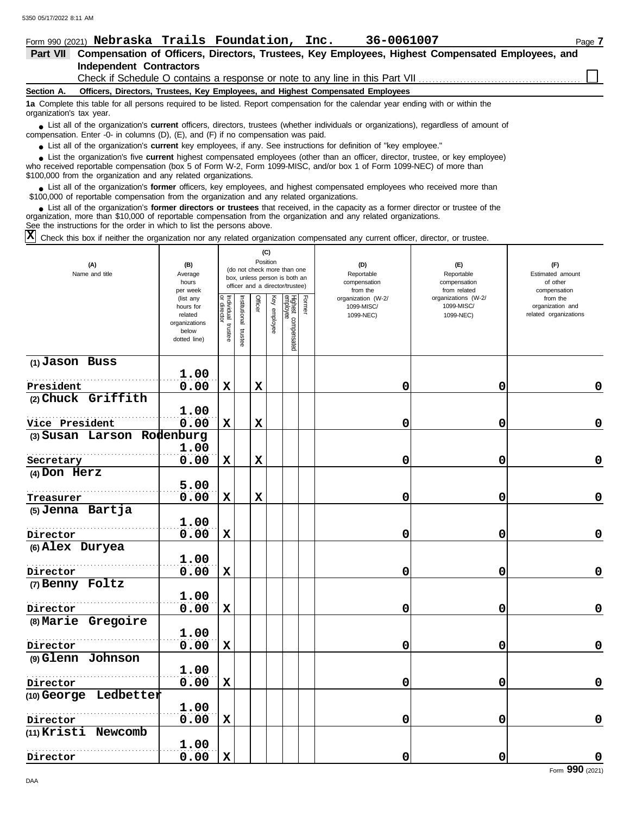|                 | Form 990 (2021) Nebraska Trails Foundation, Inc.<br>36-0061007                                                                                                                                                                     | Page 7 |  |  |  |  |  |  |  |  |
|-----------------|------------------------------------------------------------------------------------------------------------------------------------------------------------------------------------------------------------------------------------|--------|--|--|--|--|--|--|--|--|
| <b>Part VII</b> | Compensation of Officers, Directors, Trustees, Key Employees, Highest Compensated Employees, and                                                                                                                                   |        |  |  |  |  |  |  |  |  |
|                 | <b>Independent Contractors</b>                                                                                                                                                                                                     |        |  |  |  |  |  |  |  |  |
|                 | Check if Schedule O contains a response or note to any line in this Part VII                                                                                                                                                       |        |  |  |  |  |  |  |  |  |
| Section A.      | Officers, Directors, Trustees, Key Employees, and Highest Compensated Employees                                                                                                                                                    |        |  |  |  |  |  |  |  |  |
|                 | 1a Complete this table for all persons required to be listed. Report compensation for the calendar year ending with or within the<br>organization's tax year.                                                                      |        |  |  |  |  |  |  |  |  |
|                 | • List all of the organization's <b>current</b> officers, directors, trustees (whether individuals or organizations), regardless of amount of<br>compensation. Enter -0- in columns (D), (E), and (F) if no compensation was paid. |        |  |  |  |  |  |  |  |  |
|                 | • List all of the organization's current key employees, if any. See instructions for definition of "key employee."                                                                                                                 |        |  |  |  |  |  |  |  |  |
|                 | I ist the organization's five <b>current</b> highest compensated employees (other than an officer, director, trustee, or key employee)                                                                                             |        |  |  |  |  |  |  |  |  |

who received reportable compensation (box 5 of Form W-2, Form 1099-MISC, and/or box 1 of Form 1099-NEC) of more than \$100,000 from the organization and any related organizations. ■ List the organization's five **current** highest compensated employees (other than an officer, director, trustee, or key employee)<br> **•** Propised reportable compensation (box 5 of Form M/2, Form 1000 MISC, and/or box 1 of

■ List all of the organization's **former** officers, key employees, and highest compensated employees who received more than<br> **•** 00,000 of reportable compensation from the ergonization and any related ergonizations \$100,000 of reportable compensation from the organization and any related organizations.

List all of the organization's **former directors or trustees** that received, in the capacity as a former director or trustee of the organization, more than \$10,000 of reportable compensation from the organization and any related organizations. See the instructions for the order in which to list the persons above. **•**

 $\overline{X}$  Check this box if neither the organization nor any related organization compensated any current officer, director, or trustee.

| (A)<br>Name and title      | (B)<br>Average<br>hours                                                     | (C)<br>Position<br>(do not check more than one<br>box, unless person is both an<br>officer and a director/trustee)<br>per week |                         |             |              |                                 |        | (D)<br>Reportable<br>compensation<br>from the | (E)<br>Reportable<br>compensation<br>from related | (F)<br>Estimated amount<br>of other<br>compensation   |  |
|----------------------------|-----------------------------------------------------------------------------|--------------------------------------------------------------------------------------------------------------------------------|-------------------------|-------------|--------------|---------------------------------|--------|-----------------------------------------------|---------------------------------------------------|-------------------------------------------------------|--|
|                            | (list any<br>hours for<br>related<br>organizations<br>below<br>dotted line) | Individual<br>director<br>trustee                                                                                              | nstitutional<br>trustee | Officer     | Key employee | Highest compensated<br>employee | Former | organization (W-2/<br>1099-MISC/<br>1099-NEC) | organizations (W-2/<br>1099-MISC/<br>1099-NEC)    | from the<br>organization and<br>related organizations |  |
| (1) Jason Buss             | 1.00                                                                        |                                                                                                                                |                         |             |              |                                 |        |                                               |                                                   |                                                       |  |
| President                  | 0.00                                                                        | $\mathbf x$                                                                                                                    |                         | $\mathbf x$ |              |                                 |        | 0                                             | 0                                                 | 0                                                     |  |
| (2) Chuck Griffith         |                                                                             |                                                                                                                                |                         |             |              |                                 |        |                                               |                                                   |                                                       |  |
| Vice President             | 1.00<br>0.00                                                                | $\mathbf x$                                                                                                                    |                         | $\mathbf x$ |              |                                 |        | 0                                             | 0                                                 | $\mathbf 0$                                           |  |
| (3) Susan Larson Rodenburg |                                                                             |                                                                                                                                |                         |             |              |                                 |        |                                               |                                                   |                                                       |  |
|                            | 1.00                                                                        |                                                                                                                                |                         |             |              |                                 |        |                                               |                                                   |                                                       |  |
| Secretary                  | 0.00                                                                        | $\mathbf x$                                                                                                                    |                         | $\mathbf x$ |              |                                 |        | 0                                             | 0                                                 | $\mathbf 0$                                           |  |
| (4) Don Herz               |                                                                             |                                                                                                                                |                         |             |              |                                 |        |                                               |                                                   |                                                       |  |
|                            | 5.00                                                                        |                                                                                                                                |                         |             |              |                                 |        |                                               |                                                   |                                                       |  |
| Treasurer                  | 0.00                                                                        | $\mathbf x$                                                                                                                    |                         | $\mathbf x$ |              |                                 |        | 0                                             | 0                                                 | $\mathbf 0$                                           |  |
| (5) Jenna Bartja           | 1.00                                                                        |                                                                                                                                |                         |             |              |                                 |        |                                               |                                                   |                                                       |  |
| Director                   | 0.00                                                                        | $\mathbf x$                                                                                                                    |                         |             |              |                                 |        | 0                                             | 0                                                 | 0                                                     |  |
| (6) Alex Duryea            |                                                                             |                                                                                                                                |                         |             |              |                                 |        |                                               |                                                   |                                                       |  |
|                            | 1.00                                                                        |                                                                                                                                |                         |             |              |                                 |        |                                               |                                                   |                                                       |  |
| Director                   | 0.00                                                                        | $\mathbf x$                                                                                                                    |                         |             |              |                                 |        | 0                                             | 0                                                 | $\pmb{0}$                                             |  |
| (7) Benny Foltz            |                                                                             |                                                                                                                                |                         |             |              |                                 |        |                                               |                                                   |                                                       |  |
|                            | 1.00                                                                        |                                                                                                                                |                         |             |              |                                 |        |                                               |                                                   |                                                       |  |
| Director                   | 0.00                                                                        | $\mathbf x$                                                                                                                    |                         |             |              |                                 |        | 0                                             | 0                                                 | $\mathbf 0$                                           |  |
| (8) Marie Gregoire         |                                                                             |                                                                                                                                |                         |             |              |                                 |        |                                               |                                                   |                                                       |  |
|                            | 1.00                                                                        |                                                                                                                                |                         |             |              |                                 |        |                                               |                                                   |                                                       |  |
| Director                   | 0.00                                                                        | $\mathbf x$                                                                                                                    |                         |             |              |                                 |        | 0                                             | 0                                                 | $\mathbf 0$                                           |  |
| (9) Glenn Johnson          | 1.00                                                                        |                                                                                                                                |                         |             |              |                                 |        |                                               |                                                   |                                                       |  |
| Director                   | 0.00                                                                        | $\mathbf x$                                                                                                                    |                         |             |              |                                 |        | 0                                             | 0                                                 | $\mathbf 0$                                           |  |
| (10) George Ledbetter      |                                                                             |                                                                                                                                |                         |             |              |                                 |        |                                               |                                                   |                                                       |  |
|                            | 1.00                                                                        |                                                                                                                                |                         |             |              |                                 |        |                                               |                                                   |                                                       |  |
| Director                   | 0.00                                                                        | $\mathbf x$                                                                                                                    |                         |             |              |                                 |        | 0                                             | 0                                                 | 0                                                     |  |
| (11) Kristi Newcomb        |                                                                             |                                                                                                                                |                         |             |              |                                 |        |                                               |                                                   |                                                       |  |
|                            | 1.00                                                                        |                                                                                                                                |                         |             |              |                                 |        |                                               |                                                   |                                                       |  |
| Director                   | 0.00                                                                        | $\mathbf x$                                                                                                                    |                         |             |              |                                 |        | 0                                             | 0                                                 | 0                                                     |  |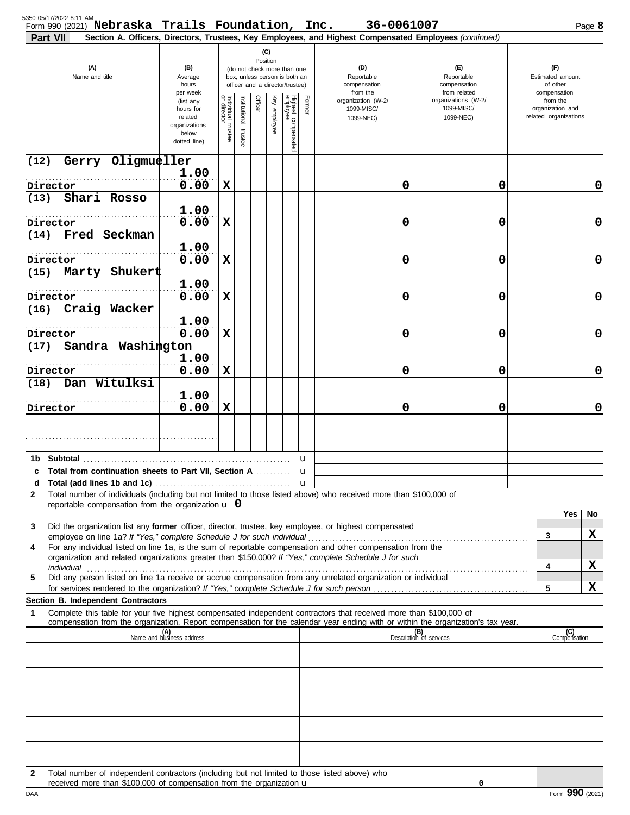| 5350 05/17/2022 8:11 AM<br>Form 990 (2021) Nebraska Trails Foundation, Inc. 36-0061007<br>Part VII                                                                                                                                                          |                                                                             |                                   |                       |                                                                                                                    |              |                                 |                                   | Section A. Officers, Directors, Trustees, Key Employees, and Highest Compensated Employees (continued) |                                                   |                                                       | Page 8              |             |
|-------------------------------------------------------------------------------------------------------------------------------------------------------------------------------------------------------------------------------------------------------------|-----------------------------------------------------------------------------|-----------------------------------|-----------------------|--------------------------------------------------------------------------------------------------------------------|--------------|---------------------------------|-----------------------------------|--------------------------------------------------------------------------------------------------------|---------------------------------------------------|-------------------------------------------------------|---------------------|-------------|
| (A)<br>Name and title                                                                                                                                                                                                                                       | (B)<br>Average<br>hours<br>per week                                         |                                   |                       | (C)<br>Position<br>(do not check more than one<br>box, unless person is both an<br>officer and a director/trustee) |              |                                 | (D)<br>Reportable<br>compensation |                                                                                                        | (F)<br>Reportable<br>compensation<br>from related | (F)<br>Estimated amount<br>of other<br>compensation   |                     |             |
|                                                                                                                                                                                                                                                             | (list any<br>hours for<br>related<br>organizations<br>below<br>dotted line) | Individual trustee<br>or director | Institutional trustee | Officer                                                                                                            | Key employee | Highest compensated<br>employee | Former                            | from the<br>organization (W-2/<br>1099-MISC/<br>1099-NEC)                                              | organizations (W-2/<br>1099-MISC/<br>1099-NEC)    | from the<br>organization and<br>related organizations |                     |             |
| Gerry Oligmueller<br>(12)                                                                                                                                                                                                                                   | 1.00                                                                        |                                   |                       |                                                                                                                    |              |                                 |                                   |                                                                                                        |                                                   |                                                       |                     |             |
| Director                                                                                                                                                                                                                                                    | 0.00                                                                        | X                                 |                       |                                                                                                                    |              |                                 |                                   | 0                                                                                                      | 0                                                 |                                                       |                     | 0           |
| Shari Rosso<br>(13)                                                                                                                                                                                                                                         | 1.00                                                                        |                                   |                       |                                                                                                                    |              |                                 |                                   |                                                                                                        |                                                   |                                                       |                     |             |
| Director<br>Fred Seckman<br>(14)                                                                                                                                                                                                                            | 0.00                                                                        | X                                 |                       |                                                                                                                    |              |                                 |                                   | 0                                                                                                      | 0                                                 |                                                       |                     | $\mathbf 0$ |
| Director                                                                                                                                                                                                                                                    | 1.00<br>0.00                                                                | X                                 |                       |                                                                                                                    |              |                                 |                                   | 0                                                                                                      | 0                                                 |                                                       |                     | $\mathbf 0$ |
| Marty Shukert<br>(15)                                                                                                                                                                                                                                       |                                                                             |                                   |                       |                                                                                                                    |              |                                 |                                   |                                                                                                        |                                                   |                                                       |                     |             |
| Director<br>Craig Wacker<br>(16)                                                                                                                                                                                                                            | 1.00<br>0.00                                                                | X                                 |                       |                                                                                                                    |              |                                 |                                   | 0                                                                                                      | 0                                                 |                                                       |                     | $\mathbf 0$ |
| Director                                                                                                                                                                                                                                                    | 1.00<br>0.00                                                                | $\mathbf x$                       |                       |                                                                                                                    |              |                                 |                                   | 0                                                                                                      | 0                                                 |                                                       |                     | $\mathbf 0$ |
| Sandra Washington<br>(17)                                                                                                                                                                                                                                   |                                                                             |                                   |                       |                                                                                                                    |              |                                 |                                   |                                                                                                        |                                                   |                                                       |                     |             |
| Director                                                                                                                                                                                                                                                    | 1.00<br>0.00                                                                | X                                 |                       |                                                                                                                    |              |                                 |                                   | 0                                                                                                      | 0                                                 |                                                       |                     | $\mathbf 0$ |
| Dan Witulksi<br>(18)                                                                                                                                                                                                                                        | 1.00                                                                        |                                   |                       |                                                                                                                    |              |                                 |                                   |                                                                                                        |                                                   |                                                       |                     |             |
| Director                                                                                                                                                                                                                                                    | 0.00                                                                        | X                                 |                       |                                                                                                                    |              |                                 |                                   | 0                                                                                                      | 0                                                 |                                                       |                     | $\mathbf 0$ |
|                                                                                                                                                                                                                                                             |                                                                             |                                   |                       |                                                                                                                    |              |                                 |                                   |                                                                                                        |                                                   |                                                       |                     |             |
|                                                                                                                                                                                                                                                             |                                                                             |                                   |                       |                                                                                                                    |              |                                 | u                                 |                                                                                                        |                                                   |                                                       |                     |             |
| c Total from continuation sheets to Part VII, Section A<br>Total (add lines 1b and 1c)                                                                                                                                                                      |                                                                             |                                   |                       |                                                                                                                    |              |                                 | u<br>u                            |                                                                                                        |                                                   |                                                       |                     |             |
| Total number of individuals (including but not limited to those listed above) who received more than \$100,000 of<br>2<br>reportable compensation from the organization $\mathbf u$ 0                                                                       |                                                                             |                                   |                       |                                                                                                                    |              |                                 |                                   |                                                                                                        |                                                   |                                                       |                     |             |
| Did the organization list any former officer, director, trustee, key employee, or highest compensated<br>3                                                                                                                                                  |                                                                             |                                   |                       |                                                                                                                    |              |                                 |                                   |                                                                                                        |                                                   |                                                       | Yes                 | No          |
| For any individual listed on line 1a, is the sum of reportable compensation and other compensation from the<br>4                                                                                                                                            |                                                                             |                                   |                       |                                                                                                                    |              |                                 |                                   |                                                                                                        |                                                   | 3                                                     |                     | X           |
| organization and related organizations greater than \$150,000? If "Yes," complete Schedule J for such                                                                                                                                                       |                                                                             |                                   |                       |                                                                                                                    |              |                                 |                                   |                                                                                                        |                                                   | 4                                                     |                     | х           |
| individual www.communications.com/www.communications.com/www.communications.com/www.communications.com/www.com<br>Did any person listed on line 1a receive or accrue compensation from any unrelated organization or individual<br>5                        |                                                                             |                                   |                       |                                                                                                                    |              |                                 |                                   |                                                                                                        |                                                   |                                                       |                     |             |
| for services rendered to the organization? If "Yes," complete Schedule J for such person<br>Section B. Independent Contractors                                                                                                                              |                                                                             |                                   |                       |                                                                                                                    |              |                                 |                                   |                                                                                                        |                                                   | 5                                                     |                     | х           |
| Complete this table for your five highest compensated independent contractors that received more than \$100,000 of<br>1<br>compensation from the organization. Report compensation for the calendar year ending with or within the organization's tax year. |                                                                             |                                   |                       |                                                                                                                    |              |                                 |                                   |                                                                                                        |                                                   |                                                       |                     |             |
|                                                                                                                                                                                                                                                             | (A)<br>Name and business address                                            |                                   |                       |                                                                                                                    |              |                                 |                                   |                                                                                                        | (B)<br>Description of services                    |                                                       | (C)<br>Compensation |             |
|                                                                                                                                                                                                                                                             |                                                                             |                                   |                       |                                                                                                                    |              |                                 |                                   |                                                                                                        |                                                   |                                                       |                     |             |
|                                                                                                                                                                                                                                                             |                                                                             |                                   |                       |                                                                                                                    |              |                                 |                                   |                                                                                                        |                                                   |                                                       |                     |             |
|                                                                                                                                                                                                                                                             |                                                                             |                                   |                       |                                                                                                                    |              |                                 |                                   |                                                                                                        |                                                   |                                                       |                     |             |
|                                                                                                                                                                                                                                                             |                                                                             |                                   |                       |                                                                                                                    |              |                                 |                                   |                                                                                                        |                                                   |                                                       |                     |             |
|                                                                                                                                                                                                                                                             |                                                                             |                                   |                       |                                                                                                                    |              |                                 |                                   |                                                                                                        |                                                   |                                                       |                     |             |
| Total number of independent contractors (including but not limited to those listed above) who<br>$\mathbf{2}$<br>received more than \$100,000 of compensation from the organization $\mathbf u$                                                             |                                                                             |                                   |                       |                                                                                                                    |              |                                 |                                   |                                                                                                        | 0                                                 |                                                       |                     |             |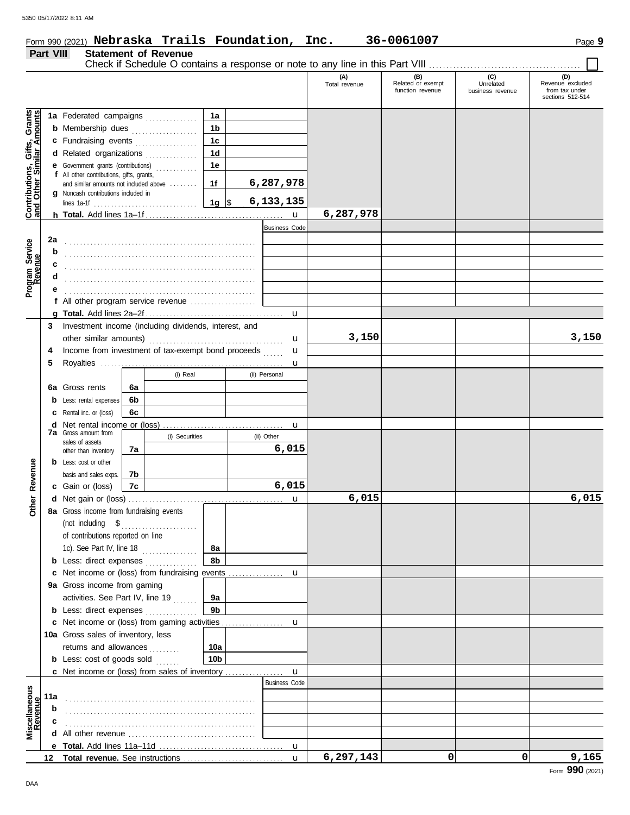#### Form 990 (2021) Page **9**

|                                                           |                                            |                                                                                                     |                        |                      | (A)<br>Total revenue | (B)<br>Related or exempt<br>function revenue | (C)<br>Unrelated<br>business revenue | (D)<br>Revenue excluded<br>from tax under<br>sections 512-514 |
|-----------------------------------------------------------|--------------------------------------------|-----------------------------------------------------------------------------------------------------|------------------------|----------------------|----------------------|----------------------------------------------|--------------------------------------|---------------------------------------------------------------|
|                                                           |                                            | 1a Federated campaigns                                                                              | 1a                     |                      |                      |                                              |                                      |                                                               |
| Contributions, Gifts, Grants<br>and Other Similar Amounts |                                            | <b>b</b> Membership dues                                                                            | 1 <sub>b</sub>         |                      |                      |                                              |                                      |                                                               |
|                                                           |                                            | c Fundraising events                                                                                | 1 <sub>c</sub>         |                      |                      |                                              |                                      |                                                               |
|                                                           |                                            | d Related organizations                                                                             | 1 <sub>d</sub>         |                      |                      |                                              |                                      |                                                               |
|                                                           |                                            | e Government grants (contributions)                                                                 | 1е                     |                      |                      |                                              |                                      |                                                               |
|                                                           | f All other contributions, gifts, grants,  | and similar amounts not included above                                                              | 1f                     | 6,287,978            |                      |                                              |                                      |                                                               |
|                                                           | <b>g</b> Noncash contributions included in |                                                                                                     |                        |                      |                      |                                              |                                      |                                                               |
|                                                           |                                            |                                                                                                     |                        | 6,133,135            |                      |                                              |                                      |                                                               |
|                                                           |                                            |                                                                                                     |                        | $\mathbf{u}$         | 6,287,978            |                                              |                                      |                                                               |
|                                                           |                                            |                                                                                                     |                        | <b>Business Code</b> |                      |                                              |                                      |                                                               |
| 2a                                                        |                                            |                                                                                                     |                        |                      |                      |                                              |                                      |                                                               |
| Program Service<br>Revenue<br>b                           |                                            |                                                                                                     |                        |                      |                      |                                              |                                      |                                                               |
| c                                                         |                                            |                                                                                                     |                        |                      |                      |                                              |                                      |                                                               |
| d                                                         |                                            |                                                                                                     |                        |                      |                      |                                              |                                      |                                                               |
|                                                           |                                            |                                                                                                     |                        |                      |                      |                                              |                                      |                                                               |
|                                                           |                                            | f All other program service revenue                                                                 |                        |                      |                      |                                              |                                      |                                                               |
| 3                                                         |                                            | Investment income (including dividends, interest, and                                               |                        | $\mathbf u$          |                      |                                              |                                      |                                                               |
|                                                           |                                            |                                                                                                     |                        |                      | 3,150                |                                              |                                      | 3,150                                                         |
| 4                                                         |                                            | Income from investment of tax-exempt bond proceeds                                                  |                        | u<br>u               |                      |                                              |                                      |                                                               |
| 5                                                         |                                            |                                                                                                     |                        | u                    |                      |                                              |                                      |                                                               |
|                                                           |                                            | (i) Real                                                                                            |                        | (ii) Personal        |                      |                                              |                                      |                                                               |
|                                                           | <b>6a</b> Gross rents                      | 6а                                                                                                  |                        |                      |                      |                                              |                                      |                                                               |
| b                                                         | Less: rental expenses                      | 6b                                                                                                  |                        |                      |                      |                                              |                                      |                                                               |
|                                                           | Rental inc. or (loss)                      | 6c                                                                                                  |                        |                      |                      |                                              |                                      |                                                               |
|                                                           |                                            |                                                                                                     |                        | u                    |                      |                                              |                                      |                                                               |
|                                                           | <b>7a</b> Gross amount from                | (i) Securities                                                                                      |                        | (ii) Other           |                      |                                              |                                      |                                                               |
|                                                           | sales of assets<br>other than inventory    | 7а                                                                                                  |                        | 6,015                |                      |                                              |                                      |                                                               |
|                                                           | <b>b</b> Less: cost or other               |                                                                                                     |                        |                      |                      |                                              |                                      |                                                               |
| Revenue                                                   | basis and sales exps.                      | 7b                                                                                                  |                        |                      |                      |                                              |                                      |                                                               |
|                                                           | c Gain or (loss)                           | 7c                                                                                                  |                        | 6,015                |                      |                                              |                                      |                                                               |
| <b>Other</b>                                              |                                            |                                                                                                     |                        | u                    | 6,015                |                                              |                                      | 6,015                                                         |
|                                                           | 8a Gross income from fundraising events    |                                                                                                     |                        |                      |                      |                                              |                                      |                                                               |
|                                                           | (not including $$$                         | .                                                                                                   |                        |                      |                      |                                              |                                      |                                                               |
|                                                           | of contributions reported on line          |                                                                                                     |                        |                      |                      |                                              |                                      |                                                               |
|                                                           |                                            | 1c). See Part IV, line 18                                                                           | 8а                     |                      |                      |                                              |                                      |                                                               |
|                                                           |                                            | <b>b</b> Less: direct expenses <i>minimum</i>                                                       | 8b                     |                      |                      |                                              |                                      |                                                               |
|                                                           |                                            | c Net income or (loss) from fundraising events                                                      |                        | u                    |                      |                                              |                                      |                                                               |
|                                                           | 9a Gross income from gaming                |                                                                                                     |                        |                      |                      |                                              |                                      |                                                               |
|                                                           |                                            | activities. See Part IV, line 19                                                                    | 9а                     |                      |                      |                                              |                                      |                                                               |
|                                                           |                                            | <b>b</b> Less: direct expenses                                                                      | 9b                     |                      |                      |                                              |                                      |                                                               |
|                                                           |                                            | <b>c</b> Net income or (loss) from gaming activities                                                |                        | $\mathbf u$          |                      |                                              |                                      |                                                               |
|                                                           | 10a Gross sales of inventory, less         |                                                                                                     |                        |                      |                      |                                              |                                      |                                                               |
|                                                           | returns and allowances                     |                                                                                                     | 10a<br>10 <sub>b</sub> |                      |                      |                                              |                                      |                                                               |
|                                                           | <b>b</b> Less: cost of goods sold          | c Net income or (loss) from sales of inventory                                                      |                        | $\mathbf{u}$         |                      |                                              |                                      |                                                               |
|                                                           |                                            |                                                                                                     |                        | <b>Business Code</b> |                      |                                              |                                      |                                                               |
| 11a                                                       |                                            |                                                                                                     |                        |                      |                      |                                              |                                      |                                                               |
| b                                                         |                                            |                                                                                                     |                        |                      |                      |                                              |                                      |                                                               |
|                                                           |                                            |                                                                                                     |                        |                      |                      |                                              |                                      |                                                               |
| Miscellaneous<br>Revenue                                  |                                            | <b>d</b> All other revenue $\ldots, \ldots, \ldots, \ldots, \ldots, \ldots, \ldots, \ldots, \ldots$ |                        |                      |                      |                                              |                                      |                                                               |
|                                                           |                                            |                                                                                                     |                        |                      |                      |                                              |                                      |                                                               |
|                                                           |                                            |                                                                                                     |                        |                      | 6,297,143            | 0                                            | 0                                    | 9,165                                                         |

**Nebraska Trails Foundation, Inc. 36-0061007**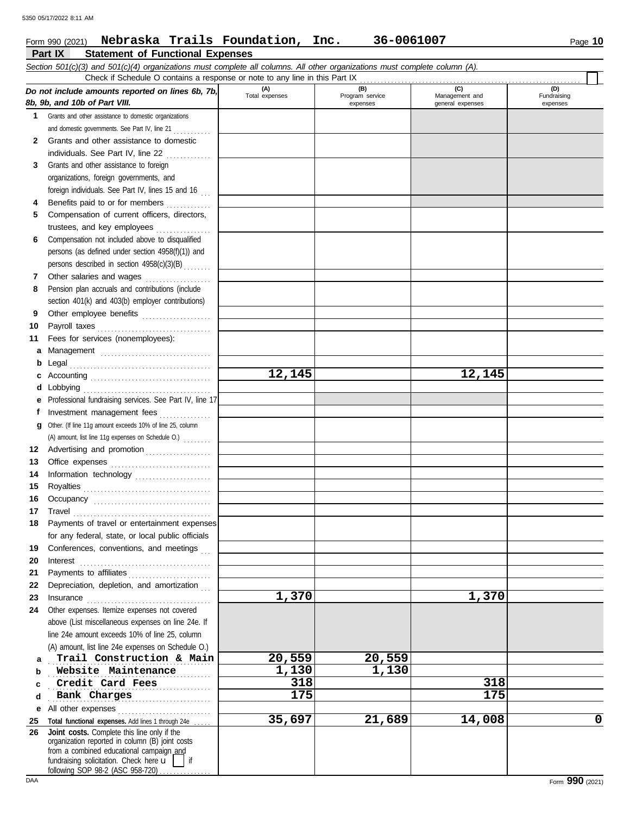## **Part IX Statement of Functional Expenses** Form 990 (2021) Page **10 Nebraska Trails Foundation, Inc. 36-0061007**

|             | Section 501(c)(3) and 501(c)(4) organizations must complete all columns. All other organizations must complete column (A).                                                                                                                                                                                                                                                                                                                                                                               |                       |                                    |                                           |                                |
|-------------|----------------------------------------------------------------------------------------------------------------------------------------------------------------------------------------------------------------------------------------------------------------------------------------------------------------------------------------------------------------------------------------------------------------------------------------------------------------------------------------------------------|-----------------------|------------------------------------|-------------------------------------------|--------------------------------|
|             | Check if Schedule O contains a response or note to any line in this Part IX                                                                                                                                                                                                                                                                                                                                                                                                                              |                       |                                    |                                           |                                |
|             | Do not include amounts reported on lines 6b, 7b,<br>8b, 9b, and 10b of Part VIII.                                                                                                                                                                                                                                                                                                                                                                                                                        | (A)<br>Total expenses | (B)<br>Program service<br>expenses | (C)<br>Management and<br>general expenses | (D)<br>Fundraising<br>expenses |
| $\mathbf 1$ | Grants and other assistance to domestic organizations                                                                                                                                                                                                                                                                                                                                                                                                                                                    |                       |                                    |                                           |                                |
|             | and domestic governments. See Part IV, line 21                                                                                                                                                                                                                                                                                                                                                                                                                                                           |                       |                                    |                                           |                                |
| 2           | Grants and other assistance to domestic                                                                                                                                                                                                                                                                                                                                                                                                                                                                  |                       |                                    |                                           |                                |
|             | individuals. See Part IV, line 22<br>.                                                                                                                                                                                                                                                                                                                                                                                                                                                                   |                       |                                    |                                           |                                |
| 3           | Grants and other assistance to foreign                                                                                                                                                                                                                                                                                                                                                                                                                                                                   |                       |                                    |                                           |                                |
|             | organizations, foreign governments, and                                                                                                                                                                                                                                                                                                                                                                                                                                                                  |                       |                                    |                                           |                                |
|             | foreign individuals. See Part IV, lines 15 and 16                                                                                                                                                                                                                                                                                                                                                                                                                                                        |                       |                                    |                                           |                                |
| 4           | Benefits paid to or for members                                                                                                                                                                                                                                                                                                                                                                                                                                                                          |                       |                                    |                                           |                                |
| 5.          | Compensation of current officers, directors,                                                                                                                                                                                                                                                                                                                                                                                                                                                             |                       |                                    |                                           |                                |
|             | trustees, and key employees                                                                                                                                                                                                                                                                                                                                                                                                                                                                              |                       |                                    |                                           |                                |
| 6           | Compensation not included above to disqualified                                                                                                                                                                                                                                                                                                                                                                                                                                                          |                       |                                    |                                           |                                |
|             | persons (as defined under section 4958(f)(1)) and                                                                                                                                                                                                                                                                                                                                                                                                                                                        |                       |                                    |                                           |                                |
|             | persons described in section 4958(c)(3)(B)                                                                                                                                                                                                                                                                                                                                                                                                                                                               |                       |                                    |                                           |                                |
| 7           | Other salaries and wages                                                                                                                                                                                                                                                                                                                                                                                                                                                                                 |                       |                                    |                                           |                                |
| 8           | Pension plan accruals and contributions (include                                                                                                                                                                                                                                                                                                                                                                                                                                                         |                       |                                    |                                           |                                |
|             | section 401(k) and 403(b) employer contributions)                                                                                                                                                                                                                                                                                                                                                                                                                                                        |                       |                                    |                                           |                                |
| 9           | Other employee benefits                                                                                                                                                                                                                                                                                                                                                                                                                                                                                  |                       |                                    |                                           |                                |
| 10          |                                                                                                                                                                                                                                                                                                                                                                                                                                                                                                          |                       |                                    |                                           |                                |
| 11          | Fees for services (nonemployees):                                                                                                                                                                                                                                                                                                                                                                                                                                                                        |                       |                                    |                                           |                                |
| а           |                                                                                                                                                                                                                                                                                                                                                                                                                                                                                                          |                       |                                    |                                           |                                |
| b           |                                                                                                                                                                                                                                                                                                                                                                                                                                                                                                          |                       |                                    |                                           |                                |
| c           |                                                                                                                                                                                                                                                                                                                                                                                                                                                                                                          | 12,145                |                                    | 12,145                                    |                                |
| d           |                                                                                                                                                                                                                                                                                                                                                                                                                                                                                                          |                       |                                    |                                           |                                |
|             | Professional fundraising services. See Part IV, line 17                                                                                                                                                                                                                                                                                                                                                                                                                                                  |                       |                                    |                                           |                                |
|             | Investment management fees                                                                                                                                                                                                                                                                                                                                                                                                                                                                               |                       |                                    |                                           |                                |
| a           | Other. (If line 11g amount exceeds 10% of line 25, column                                                                                                                                                                                                                                                                                                                                                                                                                                                |                       |                                    |                                           |                                |
|             | (A) amount, list line 11g expenses on Schedule O.)                                                                                                                                                                                                                                                                                                                                                                                                                                                       |                       |                                    |                                           |                                |
| 12          |                                                                                                                                                                                                                                                                                                                                                                                                                                                                                                          |                       |                                    |                                           |                                |
| 13          |                                                                                                                                                                                                                                                                                                                                                                                                                                                                                                          |                       |                                    |                                           |                                |
| 14          | Information technology                                                                                                                                                                                                                                                                                                                                                                                                                                                                                   |                       |                                    |                                           |                                |
| 15          |                                                                                                                                                                                                                                                                                                                                                                                                                                                                                                          |                       |                                    |                                           |                                |
| 16          |                                                                                                                                                                                                                                                                                                                                                                                                                                                                                                          |                       |                                    |                                           |                                |
| 17<br>18    | Payments of travel or entertainment expenses                                                                                                                                                                                                                                                                                                                                                                                                                                                             |                       |                                    |                                           |                                |
|             | for any federal, state, or local public officials                                                                                                                                                                                                                                                                                                                                                                                                                                                        |                       |                                    |                                           |                                |
| 19          | Conferences, conventions, and meetings                                                                                                                                                                                                                                                                                                                                                                                                                                                                   |                       |                                    |                                           |                                |
| 20          | Interest                                                                                                                                                                                                                                                                                                                                                                                                                                                                                                 |                       |                                    |                                           |                                |
| 21          | Payments to affiliates                                                                                                                                                                                                                                                                                                                                                                                                                                                                                   |                       |                                    |                                           |                                |
| 22          | Depreciation, depletion, and amortization                                                                                                                                                                                                                                                                                                                                                                                                                                                                |                       |                                    |                                           |                                |
| 23          | $In \textbf{surance} \begin{tabular}{@{}l@{}} \hline \textbf{unsum} & \textbf{unsum} \\ \hline \textbf{unsum} & \textbf{unsum} \\ \hline \textbf{unsum} & \textbf{unsum} \\ \hline \textbf{unsum} & \textbf{unsum} \\ \hline \textbf{unsum} & \textbf{unsum} \\ \hline \textbf{unsum} & \textbf{unsum} \\ \hline \textbf{unsum} & \textbf{unsum} \\ \hline \textbf{unsum} & \textbf{unsum} \\ \hline \textbf{unsum} & \textbf{unsum} \\ \hline \textbf{unsum} & \textbf{unsum} \\ \hline \textbf{unsum}$ | 1,370                 |                                    | 1,370                                     |                                |
| 24          | Other expenses. Itemize expenses not covered                                                                                                                                                                                                                                                                                                                                                                                                                                                             |                       |                                    |                                           |                                |
|             | above (List miscellaneous expenses on line 24e. If                                                                                                                                                                                                                                                                                                                                                                                                                                                       |                       |                                    |                                           |                                |
|             | line 24e amount exceeds 10% of line 25, column                                                                                                                                                                                                                                                                                                                                                                                                                                                           |                       |                                    |                                           |                                |
|             | (A) amount, list line 24e expenses on Schedule O.)                                                                                                                                                                                                                                                                                                                                                                                                                                                       |                       |                                    |                                           |                                |
| a           | Trail Construction & Main                                                                                                                                                                                                                                                                                                                                                                                                                                                                                | 20,559                | 20,559                             |                                           |                                |
| b           | Website Maintenance                                                                                                                                                                                                                                                                                                                                                                                                                                                                                      | 1,130                 | $\overline{1,}130$                 |                                           |                                |
| c           | Credit Card Fees                                                                                                                                                                                                                                                                                                                                                                                                                                                                                         | 318                   |                                    | 318                                       |                                |
| d           | Bank Charges<br>.                                                                                                                                                                                                                                                                                                                                                                                                                                                                                        | 175                   |                                    | 175                                       |                                |
| е           | All other expenses                                                                                                                                                                                                                                                                                                                                                                                                                                                                                       |                       |                                    |                                           |                                |
| 25          | Total functional expenses. Add lines 1 through 24e                                                                                                                                                                                                                                                                                                                                                                                                                                                       | 35,697                | 21,689                             | 14,008                                    | 0                              |
| 26          | Joint costs. Complete this line only if the<br>organization reported in column (B) joint costs                                                                                                                                                                                                                                                                                                                                                                                                           |                       |                                    |                                           |                                |
|             | from a combined educational campaign and                                                                                                                                                                                                                                                                                                                                                                                                                                                                 |                       |                                    |                                           |                                |
|             | fundraising solicitation. Check here u<br>if                                                                                                                                                                                                                                                                                                                                                                                                                                                             |                       |                                    |                                           |                                |

following SOP 98-2 (ASC 958-720) . . . . . . . . . . . . .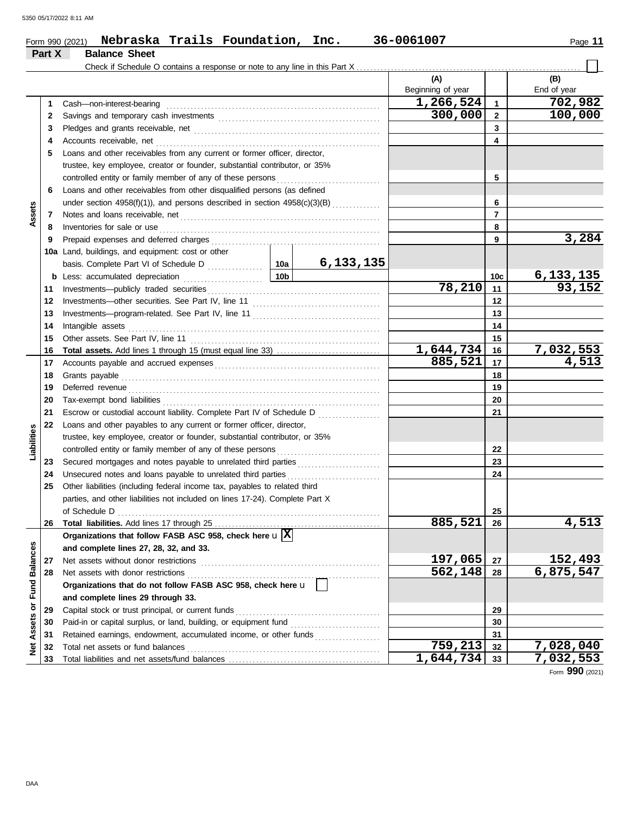| Part X      | Nebraska Trails Foundation, Inc.<br>Form 990 (2021)<br><b>Balance Sheet</b> |         |              | 36-0061007        |                | Page 11     |  |  |  |  |
|-------------|-----------------------------------------------------------------------------|---------|--------------|-------------------|----------------|-------------|--|--|--|--|
|             |                                                                             |         |              |                   |                |             |  |  |  |  |
|             |                                                                             |         |              | (A)               |                | (B)         |  |  |  |  |
|             |                                                                             |         |              | Beginning of year |                | End of year |  |  |  |  |
| 1           | Cash-non-interest-bearing                                                   |         |              | 1,266,524         | $\mathbf{1}$   | 702,982     |  |  |  |  |
| 2           |                                                                             | 300,000 | $\mathbf{2}$ | 100,000           |                |             |  |  |  |  |
| 3           |                                                                             |         |              |                   | 3              |             |  |  |  |  |
| 4           | Accounts receivable, net                                                    |         |              |                   | 4              |             |  |  |  |  |
| 5           | Loans and other receivables from any current or former officer, director,   |         |              |                   |                |             |  |  |  |  |
|             | trustee, key employee, creator or founder, substantial contributor, or 35%  |         |              |                   |                |             |  |  |  |  |
|             |                                                                             |         |              |                   |                |             |  |  |  |  |
| 6           | Loans and other receivables from other disqualified persons (as defined     |         |              |                   |                |             |  |  |  |  |
|             | under section 4958(f)(1)), and persons described in section 4958(c)(3)(B)   |         |              | 6                 |                |             |  |  |  |  |
| Assets<br>7 |                                                                             |         |              |                   | $\overline{7}$ |             |  |  |  |  |
| 8           |                                                                             |         |              |                   | 8              |             |  |  |  |  |
| 9           |                                                                             |         | 9            | 3,284             |                |             |  |  |  |  |
|             | 10a Land, buildings, and equipment: cost or other                           |         |              |                   |                |             |  |  |  |  |
|             |                                                                             |         | 6,133,135    |                   |                |             |  |  |  |  |
|             | 10b<br><b>b</b> Less: accumulated depreciation                              |         |              |                   | 10c            | 6, 133, 135 |  |  |  |  |
| 11          |                                                                             |         |              | 78,210            | 11             | 93,152      |  |  |  |  |
| 12          |                                                                             |         |              |                   | 12             |             |  |  |  |  |
| 13          |                                                                             |         |              |                   | 13             |             |  |  |  |  |
| 14          | Intangible assets                                                           |         |              |                   | 14             |             |  |  |  |  |
| 15          | Other assets. See Part IV, line 11                                          |         |              |                   | 15             |             |  |  |  |  |
| 16          |                                                                             |         |              | 1,644,734         | 16             | 7,032,553   |  |  |  |  |
| 17          |                                                                             |         |              | 885,521           | 17             | 4,513       |  |  |  |  |
| 18          | Grants payable                                                              |         |              |                   | 18             |             |  |  |  |  |
| 19          | Deferred revenue                                                            |         |              |                   | 19             |             |  |  |  |  |
| 20          |                                                                             |         |              |                   | 20             |             |  |  |  |  |
| 21          | Escrow or custodial account liability. Complete Part IV of Schedule D       |         |              |                   | 21             |             |  |  |  |  |
| 22          | Loans and other payables to any current or former officer, director,        |         |              |                   |                |             |  |  |  |  |
| lities      | trustee, key employee, creator or founder, substantial contributor, or 35%  |         |              |                   |                |             |  |  |  |  |

|             | 22 | Loans and other payables to any current or former officer, director,                    |           |    |                 |
|-------------|----|-----------------------------------------------------------------------------------------|-----------|----|-----------------|
| Liabilities |    | trustee, key employee, creator or founder, substantial contributor, or 35%              |           |    |                 |
|             |    | controlled entity or family member of any of these persons                              |           | 22 |                 |
|             | 23 | Secured mortgages and notes payable to unrelated third parties                          |           | 23 |                 |
|             | 24 | Unsecured notes and loans payable to unrelated third parties                            |           | 24 |                 |
|             | 25 | Other liabilities (including federal income tax, payables to related third              |           |    |                 |
|             |    | parties, and other liabilities not included on lines 17-24). Complete Part X            |           |    |                 |
|             |    | of Schedule D                                                                           |           | 25 |                 |
|             | 26 |                                                                                         | 885,521   | 26 | 4,513           |
|             |    | Organizations that follow FASB ASC 958, check here $\mathbf{u}$ $\overline{\mathbf{X}}$ |           |    |                 |
| <b>ces</b>  |    | and complete lines 27, 28, 32, and 33.                                                  |           |    |                 |
| Balano      |    | Net assets without donor restrictions                                                   | 197,065   | 27 | 152,493         |
|             | 28 | Net assets with donor restrictions                                                      | 562,148   | 28 | 6,875,547       |
| 뎓           |    | Organizations that do not follow FASB ASC 958, check here u                             |           |    |                 |
|             |    | and complete lines 29 through 33.                                                       |           |    |                 |
| ō           | 29 | Capital stock or trust principal, or current funds                                      |           | 29 |                 |
| Assets      | 30 | Paid-in or capital surplus, or land, building, or equipment fund                        |           | 30 |                 |
|             | 31 | Retained earnings, endowment, accumulated income, or other funds                        |           | 31 |                 |
| 횾           | 32 | Total net assets or fund balances                                                       | 759,213   | 32 | 7,028,040       |
|             | 33 |                                                                                         | 1,644,734 | 33 | 7,032,553       |
|             |    |                                                                                         |           |    | Form 990 (2021) |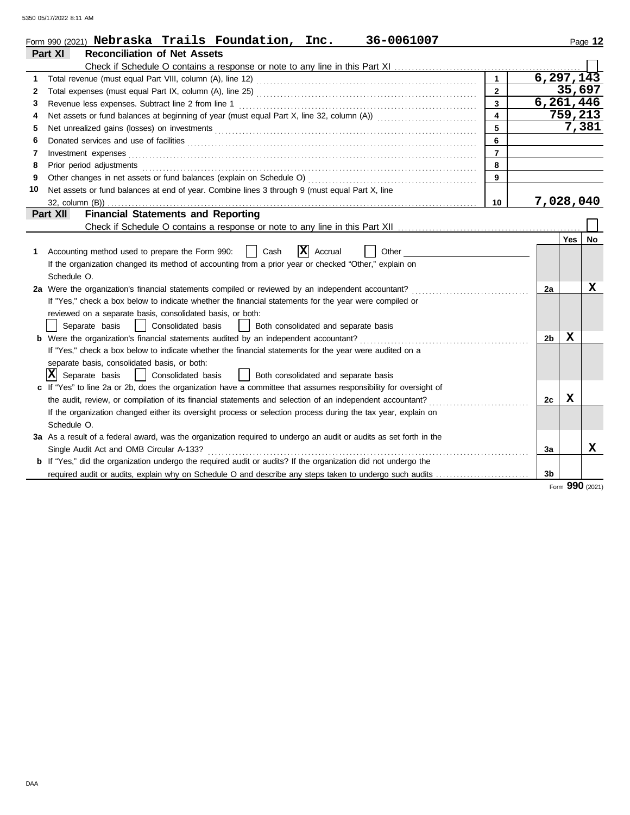|              | 36-0061007<br>Form 990 (2021) $Nebraska$ $\texttt{Trails}$ $\texttt{Foundation, Inc.}$                             |                         |                |         | Page 12 |
|--------------|--------------------------------------------------------------------------------------------------------------------|-------------------------|----------------|---------|---------|
|              | <b>Reconciliation of Net Assets</b><br>Part XI                                                                     |                         |                |         |         |
|              |                                                                                                                    |                         |                |         |         |
| 1            |                                                                                                                    |                         | 6, 297, 143    |         |         |
| $\mathbf{2}$ |                                                                                                                    | $\mathbf{2}$            |                | 35,697  |         |
| 3            | Revenue less expenses. Subtract line 2 from line 1                                                                 | $\overline{\mathbf{3}}$ | 6,261,446      |         |         |
| 4            |                                                                                                                    | $\overline{\mathbf{4}}$ |                | 759,213 |         |
| 5            |                                                                                                                    | 5                       |                |         | 7,381   |
| 6            |                                                                                                                    | 6                       |                |         |         |
| 7            |                                                                                                                    | $\overline{7}$          |                |         |         |
| 8            |                                                                                                                    | 8                       |                |         |         |
| 9            |                                                                                                                    | 9                       |                |         |         |
| 10           | Net assets or fund balances at end of year. Combine lines 3 through 9 (must equal Part X, line                     |                         |                |         |         |
|              |                                                                                                                    | 10                      | 7,028,040      |         |         |
|              | <b>Financial Statements and Reporting</b><br>Part XII                                                              |                         |                |         |         |
|              |                                                                                                                    |                         |                |         |         |
|              |                                                                                                                    |                         |                | Yes     | No      |
| 1.           | $ {\bf x} $<br>Accounting method used to prepare the Form 990:<br>Cash<br>Accrual<br>Other                         |                         |                |         |         |
|              | If the organization changed its method of accounting from a prior year or checked "Other," explain on              |                         |                |         |         |
|              | Schedule O.                                                                                                        |                         |                |         |         |
|              | 2a Were the organization's financial statements compiled or reviewed by an independent accountant?                 |                         | 2a             |         | x       |
|              | If "Yes," check a box below to indicate whether the financial statements for the year were compiled or             |                         |                |         |         |
|              | reviewed on a separate basis, consolidated basis, or both:                                                         |                         |                |         |         |
|              | Separate basis<br>  Consolidated basis<br>  Both consolidated and separate basis                                   |                         |                |         |         |
|              | <b>b</b> Were the organization's financial statements audited by an independent accountant?                        |                         | 2 <sub>b</sub> | X       |         |
|              | If "Yes," check a box below to indicate whether the financial statements for the year were audited on a            |                         |                |         |         |
|              | separate basis, consolidated basis, or both:                                                                       |                         |                |         |         |
|              | $ X $ Separate basis<br>  Consolidated basis<br>  Both consolidated and separate basis                             |                         |                |         |         |
|              | c If "Yes" to line 2a or 2b, does the organization have a committee that assumes responsibility for oversight of   |                         |                |         |         |
|              |                                                                                                                    |                         | 2c             | X       |         |
|              | If the organization changed either its oversight process or selection process during the tax year, explain on      |                         |                |         |         |
|              | Schedule O.                                                                                                        |                         |                |         |         |
|              | 3a As a result of a federal award, was the organization required to undergo an audit or audits as set forth in the |                         |                |         |         |
|              | Single Audit Act and OMB Circular A-133?                                                                           |                         | 3a             |         | x       |
|              | b If "Yes," did the organization undergo the required audit or audits? If the organization did not undergo the     |                         |                |         |         |
|              | required audit or audits, explain why on Schedule O and describe any steps taken to undergo such audits            |                         | 3 <sub>b</sub> |         |         |

Form **990** (2021)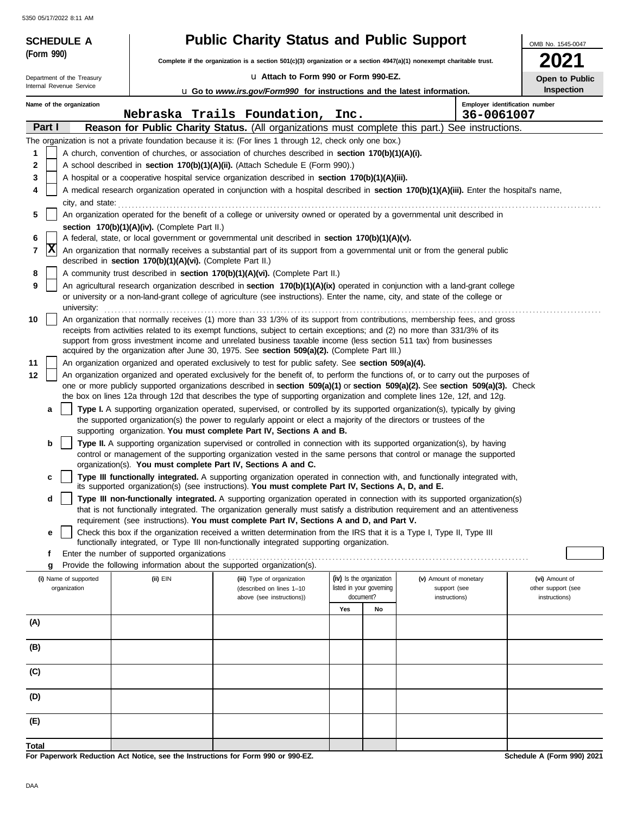| <b>Public Charity Status and Public Support</b><br>(Form 990)<br>Complete if the organization is a section 501(c)(3) organization or a section 4947(a)(1) nonexempt charitable trust.<br>La Attach to Form 990 or Form 990-EZ.<br>Department of the Treasury<br>Internal Revenue Service<br><b>u</b> Go to www.irs.gov/Form990 for instructions and the latest information.<br>Employer identification number<br>Name of the organization<br>Nebraska Trails Foundation,<br>36-0061007<br>Inc.<br>Part I<br>Reason for Public Charity Status. (All organizations must complete this part.) See instructions.<br>The organization is not a private foundation because it is: (For lines 1 through 12, check only one box.)<br>1<br>A church, convention of churches, or association of churches described in section 170(b)(1)(A)(i). | OMB No. 1545-0047<br>2021<br>Open to Public<br><b>Inspection</b> |
|--------------------------------------------------------------------------------------------------------------------------------------------------------------------------------------------------------------------------------------------------------------------------------------------------------------------------------------------------------------------------------------------------------------------------------------------------------------------------------------------------------------------------------------------------------------------------------------------------------------------------------------------------------------------------------------------------------------------------------------------------------------------------------------------------------------------------------------|------------------------------------------------------------------|
|                                                                                                                                                                                                                                                                                                                                                                                                                                                                                                                                                                                                                                                                                                                                                                                                                                      |                                                                  |
|                                                                                                                                                                                                                                                                                                                                                                                                                                                                                                                                                                                                                                                                                                                                                                                                                                      |                                                                  |
|                                                                                                                                                                                                                                                                                                                                                                                                                                                                                                                                                                                                                                                                                                                                                                                                                                      |                                                                  |
|                                                                                                                                                                                                                                                                                                                                                                                                                                                                                                                                                                                                                                                                                                                                                                                                                                      |                                                                  |
|                                                                                                                                                                                                                                                                                                                                                                                                                                                                                                                                                                                                                                                                                                                                                                                                                                      |                                                                  |
|                                                                                                                                                                                                                                                                                                                                                                                                                                                                                                                                                                                                                                                                                                                                                                                                                                      |                                                                  |
|                                                                                                                                                                                                                                                                                                                                                                                                                                                                                                                                                                                                                                                                                                                                                                                                                                      |                                                                  |
| 2<br>A school described in section 170(b)(1)(A)(ii). (Attach Schedule E (Form 990).)                                                                                                                                                                                                                                                                                                                                                                                                                                                                                                                                                                                                                                                                                                                                                 |                                                                  |
| 3<br>A hospital or a cooperative hospital service organization described in section 170(b)(1)(A)(iii).                                                                                                                                                                                                                                                                                                                                                                                                                                                                                                                                                                                                                                                                                                                               |                                                                  |
| A medical research organization operated in conjunction with a hospital described in section 170(b)(1)(A)(iii). Enter the hospital's name,<br>4                                                                                                                                                                                                                                                                                                                                                                                                                                                                                                                                                                                                                                                                                      |                                                                  |
| city, and state:<br>An organization operated for the benefit of a college or university owned or operated by a governmental unit described in<br>5                                                                                                                                                                                                                                                                                                                                                                                                                                                                                                                                                                                                                                                                                   |                                                                  |
| section 170(b)(1)(A)(iv). (Complete Part II.)                                                                                                                                                                                                                                                                                                                                                                                                                                                                                                                                                                                                                                                                                                                                                                                        |                                                                  |
| A federal, state, or local government or governmental unit described in section 170(b)(1)(A)(v).<br>6                                                                                                                                                                                                                                                                                                                                                                                                                                                                                                                                                                                                                                                                                                                                |                                                                  |
| X<br>An organization that normally receives a substantial part of its support from a governmental unit or from the general public<br>7<br>described in section 170(b)(1)(A)(vi). (Complete Part II.)                                                                                                                                                                                                                                                                                                                                                                                                                                                                                                                                                                                                                                 |                                                                  |
| 8<br>A community trust described in section 170(b)(1)(A)(vi). (Complete Part II.)                                                                                                                                                                                                                                                                                                                                                                                                                                                                                                                                                                                                                                                                                                                                                    |                                                                  |
| 9<br>An agricultural research organization described in section 170(b)(1)(A)(ix) operated in conjunction with a land-grant college<br>or university or a non-land-grant college of agriculture (see instructions). Enter the name, city, and state of the college or                                                                                                                                                                                                                                                                                                                                                                                                                                                                                                                                                                 |                                                                  |
| university:<br>10<br>An organization that normally receives (1) more than 33 1/3% of its support from contributions, membership fees, and gross<br>receipts from activities related to its exempt functions, subject to certain exceptions; and (2) no more than 331/3% of its                                                                                                                                                                                                                                                                                                                                                                                                                                                                                                                                                       |                                                                  |
| support from gross investment income and unrelated business taxable income (less section 511 tax) from businesses<br>acquired by the organization after June 30, 1975. See section 509(a)(2). (Complete Part III.)                                                                                                                                                                                                                                                                                                                                                                                                                                                                                                                                                                                                                   |                                                                  |
| 11<br>An organization organized and operated exclusively to test for public safety. See section 509(a)(4).                                                                                                                                                                                                                                                                                                                                                                                                                                                                                                                                                                                                                                                                                                                           |                                                                  |
| 12<br>An organization organized and operated exclusively for the benefit of, to perform the functions of, or to carry out the purposes of                                                                                                                                                                                                                                                                                                                                                                                                                                                                                                                                                                                                                                                                                            |                                                                  |
| one or more publicly supported organizations described in section 509(a)(1) or section 509(a)(2). See section 509(a)(3). Check                                                                                                                                                                                                                                                                                                                                                                                                                                                                                                                                                                                                                                                                                                       |                                                                  |
| the box on lines 12a through 12d that describes the type of supporting organization and complete lines 12e, 12f, and 12g.                                                                                                                                                                                                                                                                                                                                                                                                                                                                                                                                                                                                                                                                                                            |                                                                  |
| Type I. A supporting organization operated, supervised, or controlled by its supported organization(s), typically by giving<br>a<br>the supported organization(s) the power to regularly appoint or elect a majority of the directors or trustees of the<br>supporting organization. You must complete Part IV, Sections A and B.                                                                                                                                                                                                                                                                                                                                                                                                                                                                                                    |                                                                  |
| b<br>Type II. A supporting organization supervised or controlled in connection with its supported organization(s), by having                                                                                                                                                                                                                                                                                                                                                                                                                                                                                                                                                                                                                                                                                                         |                                                                  |
| control or management of the supporting organization vested in the same persons that control or manage the supported                                                                                                                                                                                                                                                                                                                                                                                                                                                                                                                                                                                                                                                                                                                 |                                                                  |
| organization(s). You must complete Part IV, Sections A and C.                                                                                                                                                                                                                                                                                                                                                                                                                                                                                                                                                                                                                                                                                                                                                                        |                                                                  |
| Type III functionally integrated. A supporting organization operated in connection with, and functionally integrated with,<br>c<br>its supported organization(s) (see instructions). You must complete Part IV, Sections A, D, and E.                                                                                                                                                                                                                                                                                                                                                                                                                                                                                                                                                                                                |                                                                  |
| Type III non-functionally integrated. A supporting organization operated in connection with its supported organization(s)<br>d<br>that is not functionally integrated. The organization generally must satisfy a distribution requirement and an attentiveness                                                                                                                                                                                                                                                                                                                                                                                                                                                                                                                                                                       |                                                                  |
| requirement (see instructions). You must complete Part IV, Sections A and D, and Part V.                                                                                                                                                                                                                                                                                                                                                                                                                                                                                                                                                                                                                                                                                                                                             |                                                                  |
| Check this box if the organization received a written determination from the IRS that it is a Type I, Type II, Type III<br>е<br>functionally integrated, or Type III non-functionally integrated supporting organization.                                                                                                                                                                                                                                                                                                                                                                                                                                                                                                                                                                                                            |                                                                  |
| Enter the number of supported organizations<br>f                                                                                                                                                                                                                                                                                                                                                                                                                                                                                                                                                                                                                                                                                                                                                                                     |                                                                  |
| Provide the following information about the supported organization(s).<br>g                                                                                                                                                                                                                                                                                                                                                                                                                                                                                                                                                                                                                                                                                                                                                          |                                                                  |
| (iv) Is the organization<br>(i) Name of supported<br>(ii) EIN<br>(v) Amount of monetary<br>(iii) Type of organization<br>listed in your governing<br>organization<br>(described on lines 1-10<br>support (see<br>document?<br>above (see instructions))<br>instructions)                                                                                                                                                                                                                                                                                                                                                                                                                                                                                                                                                             | (vi) Amount of<br>other support (see<br>instructions)            |
| Yes<br>No                                                                                                                                                                                                                                                                                                                                                                                                                                                                                                                                                                                                                                                                                                                                                                                                                            |                                                                  |
| (A)                                                                                                                                                                                                                                                                                                                                                                                                                                                                                                                                                                                                                                                                                                                                                                                                                                  |                                                                  |
| (B)                                                                                                                                                                                                                                                                                                                                                                                                                                                                                                                                                                                                                                                                                                                                                                                                                                  |                                                                  |
| (C)                                                                                                                                                                                                                                                                                                                                                                                                                                                                                                                                                                                                                                                                                                                                                                                                                                  |                                                                  |
| (D)                                                                                                                                                                                                                                                                                                                                                                                                                                                                                                                                                                                                                                                                                                                                                                                                                                  |                                                                  |
| (E)                                                                                                                                                                                                                                                                                                                                                                                                                                                                                                                                                                                                                                                                                                                                                                                                                                  |                                                                  |
| Total<br>For Paperwork Reduction Act Notice, see the Instructions for Form 990 or 990-F7                                                                                                                                                                                                                                                                                                                                                                                                                                                                                                                                                                                                                                                                                                                                             | Schedule A (Form 990) 2021                                       |

**For Paperwork Reduction Act Notice, see the Instructions for Form 990 or 990-EZ.**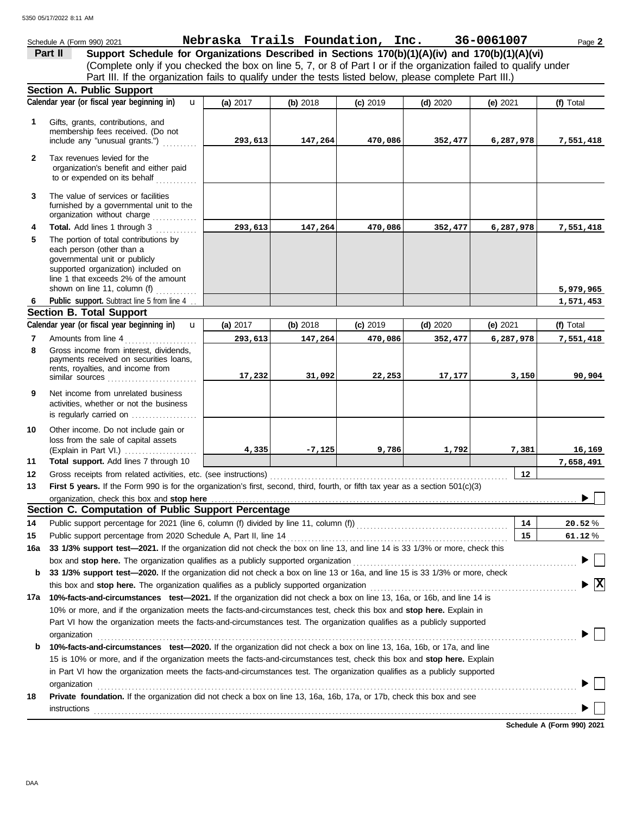|              | Schedule A (Form 990) 2021                                                                                                                                                                                                  | Nebraska Trails Foundation, Inc. 36-0061007 |          |            |            |            | Page 2                                      |
|--------------|-----------------------------------------------------------------------------------------------------------------------------------------------------------------------------------------------------------------------------|---------------------------------------------|----------|------------|------------|------------|---------------------------------------------|
|              | Support Schedule for Organizations Described in Sections 170(b)(1)(A)(iv) and 170(b)(1)(A)(vi)<br>Part II                                                                                                                   |                                             |          |            |            |            |                                             |
|              | (Complete only if you checked the box on line 5, 7, or 8 of Part I or if the organization failed to qualify under                                                                                                           |                                             |          |            |            |            |                                             |
|              | Part III. If the organization fails to qualify under the tests listed below, please complete Part III.)                                                                                                                     |                                             |          |            |            |            |                                             |
|              | <b>Section A. Public Support</b>                                                                                                                                                                                            |                                             |          |            |            |            |                                             |
|              | Calendar year (or fiscal year beginning in)<br>$\mathbf{u}$                                                                                                                                                                 | (a) 2017                                    | (b) 2018 | $(c)$ 2019 | $(d)$ 2020 | (e) 2021   | (f) Total                                   |
| 1            | Gifts, grants, contributions, and<br>membership fees received. (Do not<br>include any "unusual grants.")                                                                                                                    | 293,613                                     | 147,264  | 470,086    | 352,477    | 6,287,978  | 7,551,418                                   |
| $\mathbf{2}$ | Tax revenues levied for the<br>organization's benefit and either paid<br>to or expended on its behalf                                                                                                                       |                                             |          |            |            |            |                                             |
| 3            | The value of services or facilities<br>furnished by a governmental unit to the<br>organization without charge                                                                                                               |                                             |          |            |            |            |                                             |
| 4            | Total. Add lines 1 through 3                                                                                                                                                                                                | 293,613                                     | 147,264  | 470,086    | 352,477    | 6,287,978  | 7,551,418                                   |
| 5            | The portion of total contributions by<br>each person (other than a<br>governmental unit or publicly<br>supported organization) included on<br>line 1 that exceeds 2% of the amount<br>shown on line 11, column (f) $\ldots$ |                                             |          |            |            |            | 5,979,965                                   |
| 6            | Public support. Subtract line 5 from line 4.                                                                                                                                                                                |                                             |          |            |            |            | 1,571,453                                   |
|              | <b>Section B. Total Support</b>                                                                                                                                                                                             |                                             |          |            |            |            |                                             |
|              | Calendar year (or fiscal year beginning in)<br>$\mathbf{u}$                                                                                                                                                                 | (a) 2017                                    | (b) 2018 | $(c)$ 2019 | $(d)$ 2020 | (e) $2021$ | (f) Total                                   |
| 7            | Amounts from line 4                                                                                                                                                                                                         | 293,613                                     | 147,264  | 470,086    | 352,477    | 6,287,978  | 7,551,418                                   |
| 8            | Gross income from interest, dividends,<br>payments received on securities loans,<br>rents, royalties, and income from<br>similar sources                                                                                    | 17,232                                      | 31,092   | 22,253     | 17, 177    | 3,150      | 90,904                                      |
| 9            | Net income from unrelated business<br>activities, whether or not the business<br>is regularly carried on                                                                                                                    |                                             |          |            |            |            |                                             |
| 10<br>11     | Other income. Do not include gain or<br>loss from the sale of capital assets<br>Total support. Add lines 7 through 10                                                                                                       | 4,335                                       | $-7,125$ | 9,786      | 1,792      | 7,381      | 16,169<br>7,658,491                         |
| 12           |                                                                                                                                                                                                                             |                                             |          |            |            | 12         |                                             |
| 13           | First 5 years. If the Form 990 is for the organization's first, second, third, fourth, or fifth tax year as a section 501(c)(3)                                                                                             |                                             |          |            |            |            |                                             |
|              | organization, check this box and stop here                                                                                                                                                                                  |                                             |          |            |            |            |                                             |
|              | Section C. Computation of Public Support Percentage                                                                                                                                                                         |                                             |          |            |            |            |                                             |
| 14           | Public support percentage for 2021 (line 6, column (f) divided by line 11, column (f)) [[[[[[[[[[[[[[[[[[[[[[                                                                                                               |                                             |          |            |            | 14         | 20.52%                                      |
| 15           | Public support percentage from 2020 Schedule A, Part II, line 14                                                                                                                                                            |                                             |          |            |            | 15         | 61.12%                                      |
| 16a          | 33 1/3% support test-2021. If the organization did not check the box on line 13, and line 14 is 33 1/3% or more, check this                                                                                                 |                                             |          |            |            |            |                                             |
|              | box and stop here. The organization qualifies as a publicly supported organization<br>33 1/3% support test-2020. If the organization did not check a box on line 13 or 16a, and line 15 is 33 1/3% or more, check           |                                             |          |            |            |            |                                             |
| b            | this box and stop here. The organization qualifies as a publicly supported organization                                                                                                                                     |                                             |          |            |            |            | $\blacktriangleright \overline{\mathbf{X}}$ |
| 17a          | 10%-facts-and-circumstances test-2021. If the organization did not check a box on line 13, 16a, or 16b, and line 14 is                                                                                                      |                                             |          |            |            |            |                                             |
|              | 10% or more, and if the organization meets the facts-and-circumstances test, check this box and stop here. Explain in                                                                                                       |                                             |          |            |            |            |                                             |
|              | Part VI how the organization meets the facts-and-circumstances test. The organization qualifies as a publicly supported                                                                                                     |                                             |          |            |            |            |                                             |
|              | organization                                                                                                                                                                                                                |                                             |          |            |            |            |                                             |
| b            | 10%-facts-and-circumstances test-2020. If the organization did not check a box on line 13, 16a, 16b, or 17a, and line                                                                                                       |                                             |          |            |            |            |                                             |
|              | 15 is 10% or more, and if the organization meets the facts-and-circumstances test, check this box and stop here. Explain                                                                                                    |                                             |          |            |            |            |                                             |
|              | in Part VI how the organization meets the facts-and-circumstances test. The organization qualifies as a publicly supported                                                                                                  |                                             |          |            |            |            |                                             |
|              | organization                                                                                                                                                                                                                |                                             |          |            |            |            |                                             |
| 18           | Private foundation. If the organization did not check a box on line 13, 16a, 16b, 17a, or 17b, check this box and see<br>instructions                                                                                       |                                             |          |            |            |            |                                             |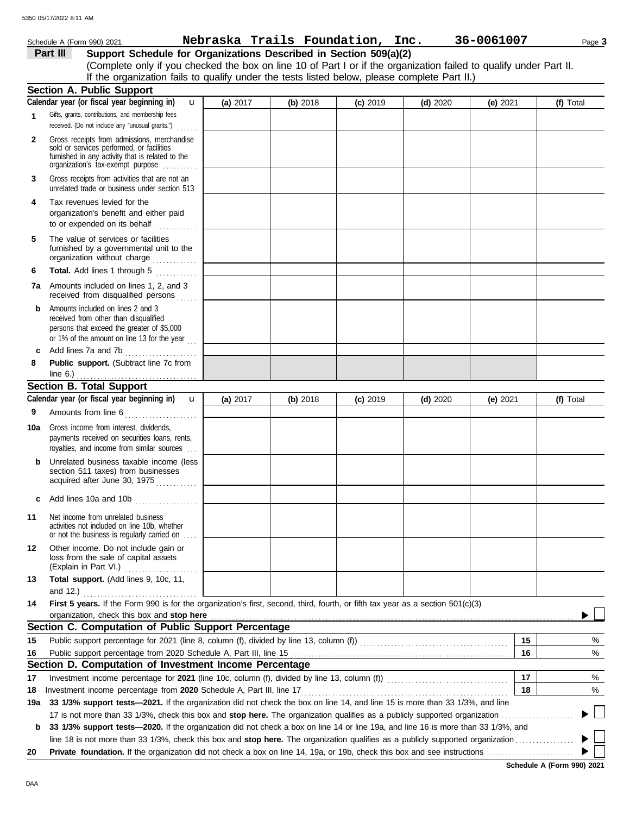|              | Schedule A (Form 990) 2021                                                                                                                                                                                                                                                                 |          |          | Nebraska Trails Foundation, Inc. |            | 36-0061007 |    | Page 3    |
|--------------|--------------------------------------------------------------------------------------------------------------------------------------------------------------------------------------------------------------------------------------------------------------------------------------------|----------|----------|----------------------------------|------------|------------|----|-----------|
|              | Support Schedule for Organizations Described in Section 509(a)(2)<br>Part III                                                                                                                                                                                                              |          |          |                                  |            |            |    |           |
|              | (Complete only if you checked the box on line 10 of Part I or if the organization failed to qualify under Part II.                                                                                                                                                                         |          |          |                                  |            |            |    |           |
|              | If the organization fails to qualify under the tests listed below, please complete Part II.)                                                                                                                                                                                               |          |          |                                  |            |            |    |           |
|              | <b>Section A. Public Support</b><br>Calendar year (or fiscal year beginning in)                                                                                                                                                                                                            |          |          |                                  |            |            |    |           |
|              | $\mathbf{u}$<br>Gifts, grants, contributions, and membership fees                                                                                                                                                                                                                          | (a) 2017 | (b) 2018 | $(c)$ 2019                       | $(d)$ 2020 | (e) 2021   |    | (f) Total |
| 1            | received. (Do not include any "unusual grants.")                                                                                                                                                                                                                                           |          |          |                                  |            |            |    |           |
| $\mathbf{2}$ | Gross receipts from admissions, merchandise<br>sold or services performed, or facilities<br>furnished in any activity that is related to the<br>organization's tax-exempt purpose                                                                                                          |          |          |                                  |            |            |    |           |
| 3            | Gross receipts from activities that are not an<br>unrelated trade or business under section 513                                                                                                                                                                                            |          |          |                                  |            |            |    |           |
| 4            | Tax revenues levied for the<br>organization's benefit and either paid<br>to or expended on its behalf                                                                                                                                                                                      |          |          |                                  |            |            |    |           |
| 5            | The value of services or facilities<br>furnished by a governmental unit to the<br>organization without charge                                                                                                                                                                              |          |          |                                  |            |            |    |           |
| 6            | Total. Add lines 1 through 5                                                                                                                                                                                                                                                               |          |          |                                  |            |            |    |           |
|              | 7a Amounts included on lines 1, 2, and 3<br>received from disqualified persons                                                                                                                                                                                                             |          |          |                                  |            |            |    |           |
| b            | Amounts included on lines 2 and 3<br>received from other than disqualified<br>persons that exceed the greater of \$5,000<br>or 1% of the amount on line 13 for the year $\ldots$                                                                                                           |          |          |                                  |            |            |    |           |
| c            | Add lines 7a and 7b                                                                                                                                                                                                                                                                        |          |          |                                  |            |            |    |           |
| 8            | Public support. (Subtract line 7c from                                                                                                                                                                                                                                                     |          |          |                                  |            |            |    |           |
|              |                                                                                                                                                                                                                                                                                            |          |          |                                  |            |            |    |           |
|              | <b>Section B. Total Support</b>                                                                                                                                                                                                                                                            |          |          |                                  |            |            |    |           |
|              | Calendar year (or fiscal year beginning in)<br>$\mathbf{u}$                                                                                                                                                                                                                                | (a) 2017 | (b) 2018 | $(c)$ 2019                       | $(d)$ 2020 | (e) 2021   |    | (f) Total |
| 9            | Amounts from line 6                                                                                                                                                                                                                                                                        |          |          |                                  |            |            |    |           |
|              | <b>10a</b> Gross income from interest, dividends,<br>payments received on securities loans, rents,<br>royalties, and income from similar sources                                                                                                                                           |          |          |                                  |            |            |    |           |
| b            | Unrelated business taxable income (less<br>section 511 taxes) from businesses<br>acquired after June 30, 1975                                                                                                                                                                              |          |          |                                  |            |            |    |           |
| c            | Add lines 10a and 10b<br>.                                                                                                                                                                                                                                                                 |          |          |                                  |            |            |    |           |
| 11           | Net income from unrelated business<br>activities not included on line 10b, whether<br>or not the business is regularly carried on                                                                                                                                                          |          |          |                                  |            |            |    |           |
| 12           | Other income. Do not include gain or<br>loss from the sale of capital assets<br>(Explain in Part VI.)                                                                                                                                                                                      |          |          |                                  |            |            |    |           |
| 13           | Total support. (Add lines 9, 10c, 11,                                                                                                                                                                                                                                                      |          |          |                                  |            |            |    |           |
|              | and 12.) $\frac{1}{2}$                                                                                                                                                                                                                                                                     |          |          |                                  |            |            |    |           |
| 14           | First 5 years. If the Form 990 is for the organization's first, second, third, fourth, or fifth tax year as a section 501(c)(3)                                                                                                                                                            |          |          |                                  |            |            |    |           |
|              | organization, check this box and stop here <b>constant and according to the constant of the state of state and stop here</b> constant and according to the constant and stop here constant and according to the constant and accord<br>Section C. Computation of Public Support Percentage |          |          |                                  |            |            |    |           |
|              |                                                                                                                                                                                                                                                                                            |          |          |                                  |            |            | 15 | %         |
| 15           |                                                                                                                                                                                                                                                                                            |          |          |                                  |            |            | 16 |           |
| 16           | Section D. Computation of Investment Income Percentage                                                                                                                                                                                                                                     |          |          |                                  |            |            |    | %         |
| 17           | Investment income percentage for 2021 (line 10c, column (f), divided by line 13, column (f)) [[[[[[[[[[[[[[[[[                                                                                                                                                                             |          |          |                                  |            |            | 17 | %         |
| 18           | Investment income percentage from 2020 Schedule A, Part III, line 17                                                                                                                                                                                                                       |          |          |                                  |            |            | 18 | %         |
| 19a          | 33 1/3% support tests-2021. If the organization did not check the box on line 14, and line 15 is more than 33 1/3%, and line                                                                                                                                                               |          |          |                                  |            |            |    |           |
|              |                                                                                                                                                                                                                                                                                            |          |          |                                  |            |            |    |           |
| b            | 33 1/3% support tests-2020. If the organization did not check a box on line 14 or line 19a, and line 16 is more than 33 1/3%, and                                                                                                                                                          |          |          |                                  |            |            |    |           |
|              |                                                                                                                                                                                                                                                                                            |          |          |                                  |            |            |    |           |
| 20           |                                                                                                                                                                                                                                                                                            |          |          |                                  |            |            |    |           |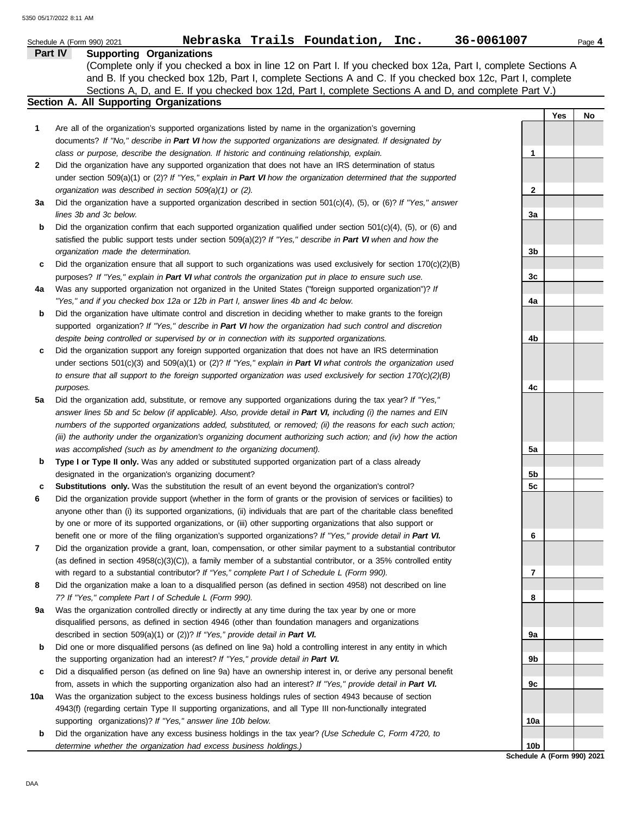|         | Nebraska Trails Foundation, Inc.<br>Schedule A (Form 990) 2021                                                                                | 36-0061007      | Page 4                     |
|---------|-----------------------------------------------------------------------------------------------------------------------------------------------|-----------------|----------------------------|
| Part IV | <b>Supporting Organizations</b>                                                                                                               |                 |                            |
|         | (Complete only if you checked a box in line 12 on Part I. If you checked box 12a, Part I, complete Sections A                                 |                 |                            |
|         | and B. If you checked box 12b, Part I, complete Sections A and C. If you checked box 12c, Part I, complete                                    |                 |                            |
|         | Sections A, D, and E. If you checked box 12d, Part I, complete Sections A and D, and complete Part V.)                                        |                 |                            |
|         | <b>Section A. All Supporting Organizations</b>                                                                                                |                 |                            |
|         |                                                                                                                                               |                 | Yes<br>No                  |
| 1       | Are all of the organization's supported organizations listed by name in the organization's governing                                          |                 |                            |
|         | documents? If "No," describe in Part VI how the supported organizations are designated. If designated by                                      |                 |                            |
|         | class or purpose, describe the designation. If historic and continuing relationship, explain.                                                 | 1               |                            |
| 2       | Did the organization have any supported organization that does not have an IRS determination of status                                        |                 |                            |
|         | under section 509(a)(1) or (2)? If "Yes," explain in Part VI how the organization determined that the supported                               |                 |                            |
|         | organization was described in section $509(a)(1)$ or (2).                                                                                     | $\mathbf{2}$    |                            |
| За      | Did the organization have a supported organization described in section $501(c)(4)$ , (5), or (6)? If "Yes," answer<br>lines 3b and 3c below. | 3a              |                            |
| b       | Did the organization confirm that each supported organization qualified under section $501(c)(4)$ , $(5)$ , or $(6)$ and                      |                 |                            |
|         | satisfied the public support tests under section 509(a)(2)? If "Yes," describe in Part VI when and how the                                    |                 |                            |
|         | organization made the determination.                                                                                                          | 3b              |                            |
| c       | Did the organization ensure that all support to such organizations was used exclusively for section $170(c)(2)(B)$                            |                 |                            |
|         | purposes? If "Yes," explain in Part VI what controls the organization put in place to ensure such use.                                        | 3c              |                            |
| 4a      | Was any supported organization not organized in the United States ("foreign supported organization")? If                                      |                 |                            |
|         | "Yes," and if you checked box 12a or 12b in Part I, answer lines 4b and 4c below.                                                             | 4a              |                            |
| b       | Did the organization have ultimate control and discretion in deciding whether to make grants to the foreign                                   |                 |                            |
|         | supported organization? If "Yes," describe in Part VI how the organization had such control and discretion                                    |                 |                            |
|         | despite being controlled or supervised by or in connection with its supported organizations.                                                  | 4b              |                            |
| c       | Did the organization support any foreign supported organization that does not have an IRS determination                                       |                 |                            |
|         | under sections $501(c)(3)$ and $509(a)(1)$ or (2)? If "Yes," explain in Part VI what controls the organization used                           |                 |                            |
|         | to ensure that all support to the foreign supported organization was used exclusively for section $170(c)(2)(B)$                              |                 |                            |
|         | purposes.                                                                                                                                     | 4c              |                            |
| 5a      | Did the organization add, substitute, or remove any supported organizations during the tax year? If "Yes,"                                    |                 |                            |
|         | answer lines 5b and 5c below (if applicable). Also, provide detail in Part VI, including (i) the names and EIN                                |                 |                            |
|         | numbers of the supported organizations added, substituted, or removed; (ii) the reasons for each such action;                                 |                 |                            |
|         | (iii) the authority under the organization's organizing document authorizing such action; and (iv) how the action                             |                 |                            |
|         | was accomplished (such as by amendment to the organizing document).                                                                           | 5a              |                            |
| b       | Type I or Type II only. Was any added or substituted supported organization part of a class already                                           |                 |                            |
|         | designated in the organization's organizing document?                                                                                         | 5b              |                            |
| с       | Substitutions only. Was the substitution the result of an event beyond the organization's control?                                            | 5c              |                            |
| 6       | Did the organization provide support (whether in the form of grants or the provision of services or facilities) to                            |                 |                            |
|         | anyone other than (i) its supported organizations, (ii) individuals that are part of the charitable class benefited                           |                 |                            |
|         | by one or more of its supported organizations, or (iii) other supporting organizations that also support or                                   |                 |                            |
|         | benefit one or more of the filing organization's supported organizations? If "Yes," provide detail in Part VI.                                | 6               |                            |
| 7       | Did the organization provide a grant, loan, compensation, or other similar payment to a substantial contributor                               |                 |                            |
|         | (as defined in section $4958(c)(3)(C)$ ), a family member of a substantial contributor, or a 35% controlled entity                            |                 |                            |
|         | with regard to a substantial contributor? If "Yes," complete Part I of Schedule L (Form 990).                                                 | 7               |                            |
| 8       | Did the organization make a loan to a disqualified person (as defined in section 4958) not described on line                                  |                 |                            |
|         | 7? If "Yes," complete Part I of Schedule L (Form 990).                                                                                        | 8               |                            |
| 9а      | Was the organization controlled directly or indirectly at any time during the tax year by one or more                                         |                 |                            |
|         | disqualified persons, as defined in section 4946 (other than foundation managers and organizations                                            |                 |                            |
|         | described in section 509(a)(1) or (2))? If "Yes," provide detail in Part VI.                                                                  | 9а              |                            |
| b       | Did one or more disqualified persons (as defined on line 9a) hold a controlling interest in any entity in which                               |                 |                            |
|         | the supporting organization had an interest? If "Yes," provide detail in Part VI.                                                             | 9b              |                            |
| c       | Did a disqualified person (as defined on line 9a) have an ownership interest in, or derive any personal benefit                               |                 |                            |
|         | from, assets in which the supporting organization also had an interest? If "Yes," provide detail in Part VI.                                  | 9с              |                            |
| 10a     | Was the organization subject to the excess business holdings rules of section 4943 because of section                                         |                 |                            |
|         | 4943(f) (regarding certain Type II supporting organizations, and all Type III non-functionally integrated                                     |                 |                            |
|         | supporting organizations)? If "Yes," answer line 10b below.                                                                                   | 10a             |                            |
| b       | Did the organization have any excess business holdings in the tax year? (Use Schedule C, Form 4720, to                                        |                 |                            |
|         | determine whether the organization had excess business holdings.)                                                                             | 10 <sub>b</sub> | Schedule A (Form 990) 2021 |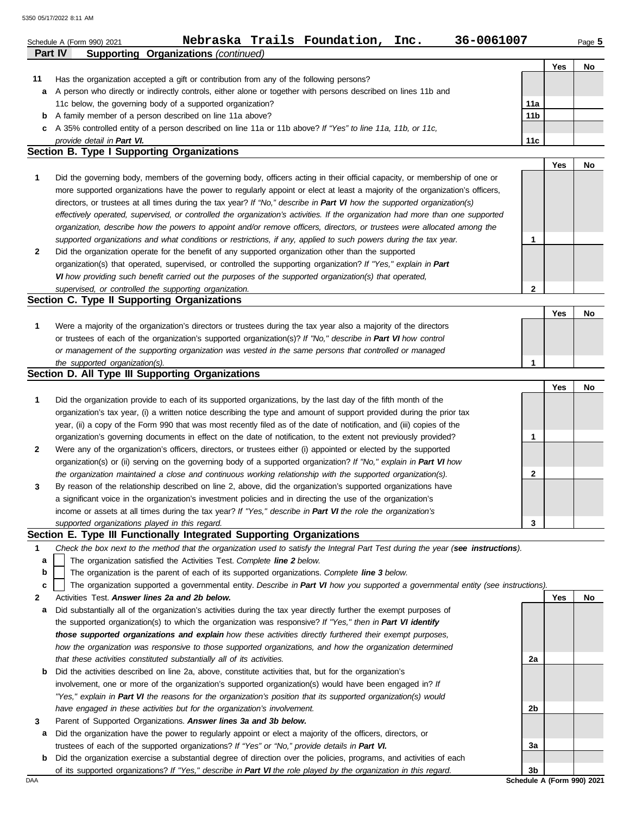| Part IV | Nebraska Trails Foundation,<br>36-0061007<br>Inc.<br>Schedule A (Form 990) 2021<br><b>Supporting Organizations (continued)</b>                                                                                               |                 |     | Page 5 |
|---------|------------------------------------------------------------------------------------------------------------------------------------------------------------------------------------------------------------------------------|-----------------|-----|--------|
|         |                                                                                                                                                                                                                              |                 | Yes | No     |
| 11      | Has the organization accepted a gift or contribution from any of the following persons?                                                                                                                                      |                 |     |        |
| a       | A person who directly or indirectly controls, either alone or together with persons described on lines 11b and                                                                                                               |                 |     |        |
|         | 11c below, the governing body of a supported organization?                                                                                                                                                                   | 11a             |     |        |
| b       | A family member of a person described on line 11a above?                                                                                                                                                                     | 11 <sub>b</sub> |     |        |
| c       | A 35% controlled entity of a person described on line 11a or 11b above? If "Yes" to line 11a, 11b, or 11c,                                                                                                                   |                 |     |        |
|         | provide detail in Part VI.                                                                                                                                                                                                   | 11c             |     |        |
|         | Section B. Type I Supporting Organizations                                                                                                                                                                                   |                 |     |        |
| 1       | Did the governing body, members of the governing body, officers acting in their official capacity, or membership of one or                                                                                                   |                 | Yes | No     |
|         | more supported organizations have the power to regularly appoint or elect at least a majority of the organization's officers,                                                                                                |                 |     |        |
|         | directors, or trustees at all times during the tax year? If "No," describe in Part VI how the supported organization(s)                                                                                                      |                 |     |        |
|         | effectively operated, supervised, or controlled the organization's activities. If the organization had more than one supported                                                                                               |                 |     |        |
|         | organization, describe how the powers to appoint and/or remove officers, directors, or trustees were allocated among the                                                                                                     |                 |     |        |
|         | supported organizations and what conditions or restrictions, if any, applied to such powers during the tax year.                                                                                                             | 1               |     |        |
| 2       | Did the organization operate for the benefit of any supported organization other than the supported                                                                                                                          |                 |     |        |
|         | organization(s) that operated, supervised, or controlled the supporting organization? If "Yes," explain in Part                                                                                                              |                 |     |        |
|         | VI how providing such benefit carried out the purposes of the supported organization(s) that operated,                                                                                                                       |                 |     |        |
|         | supervised, or controlled the supporting organization.                                                                                                                                                                       | $\mathbf{2}$    |     |        |
|         | Section C. Type II Supporting Organizations                                                                                                                                                                                  |                 |     |        |
|         |                                                                                                                                                                                                                              |                 | Yes | No     |
| 1       | Were a majority of the organization's directors or trustees during the tax year also a majority of the directors                                                                                                             |                 |     |        |
|         | or trustees of each of the organization's supported organization(s)? If "No," describe in Part VI how control                                                                                                                |                 |     |        |
|         | or management of the supporting organization was vested in the same persons that controlled or managed                                                                                                                       |                 |     |        |
|         | the supported organization(s).                                                                                                                                                                                               | 1               |     |        |
|         | Section D. All Type III Supporting Organizations                                                                                                                                                                             |                 |     |        |
|         |                                                                                                                                                                                                                              |                 | Yes | No     |
| 1       | Did the organization provide to each of its supported organizations, by the last day of the fifth month of the                                                                                                               |                 |     |        |
|         | organization's tax year, (i) a written notice describing the type and amount of support provided during the prior tax                                                                                                        |                 |     |        |
|         | year, (ii) a copy of the Form 990 that was most recently filed as of the date of notification, and (iii) copies of the                                                                                                       |                 |     |        |
|         | organization's governing documents in effect on the date of notification, to the extent not previously provided?                                                                                                             | 1               |     |        |
| 2       | Were any of the organization's officers, directors, or trustees either (i) appointed or elected by the supported                                                                                                             |                 |     |        |
|         | organization(s) or (ii) serving on the governing body of a supported organization? If "No," explain in Part VI how                                                                                                           |                 |     |        |
|         | the organization maintained a close and continuous working relationship with the supported organization(s).<br>By reason of the relationship described on line 2, above, did the organization's supported organizations have | $\mathbf{2}$    |     |        |
| 3       |                                                                                                                                                                                                                              |                 |     |        |
|         | a significant voice in the organization's investment policies and in directing the use of the organization's<br>income or assets at all times during the tax year? If "Yes," describe in Part VI the role the organization's |                 |     |        |
|         | supported organizations played in this regard.                                                                                                                                                                               | 3               |     |        |
|         | Section E. Type III Functionally Integrated Supporting Organizations                                                                                                                                                         |                 |     |        |
| 1       | Check the box next to the method that the organization used to satisfy the Integral Part Test during the year (see instructions).                                                                                            |                 |     |        |
| a       | The organization satisfied the Activities Test. Complete line 2 below.                                                                                                                                                       |                 |     |        |
| b       | The organization is the parent of each of its supported organizations. Complete line 3 below.                                                                                                                                |                 |     |        |
| c       | The organization supported a governmental entity. Describe in Part VI how you supported a governmental entity (see instructions).                                                                                            |                 |     |        |
| 2       | Activities Test. Answer lines 2a and 2b below.                                                                                                                                                                               |                 | Yes | No     |
| а       | Did substantially all of the organization's activities during the tax year directly further the exempt purposes of                                                                                                           |                 |     |        |
|         | the supported organization(s) to which the organization was responsive? If "Yes," then in Part VI identify                                                                                                                   |                 |     |        |
|         | those supported organizations and explain how these activities directly furthered their exempt purposes,                                                                                                                     |                 |     |        |
|         | how the organization was responsive to those supported organizations, and how the organization determined                                                                                                                    |                 |     |        |
|         | that these activities constituted substantially all of its activities.                                                                                                                                                       | 2a              |     |        |
| b       | Did the activities described on line 2a, above, constitute activities that, but for the organization's                                                                                                                       |                 |     |        |
|         | involvement, one or more of the organization's supported organization(s) would have been engaged in? If                                                                                                                      |                 |     |        |
|         | "Yes," explain in Part VI the reasons for the organization's position that its supported organization(s) would                                                                                                               |                 |     |        |
|         | have engaged in these activities but for the organization's involvement.                                                                                                                                                     | 2b              |     |        |
| 3       | Parent of Supported Organizations. Answer lines 3a and 3b below.                                                                                                                                                             |                 |     |        |
| а       | Did the organization have the power to regularly appoint or elect a majority of the officers, directors, or                                                                                                                  |                 |     |        |
|         | trustees of each of the supported organizations? If "Yes" or "No," provide details in Part VI.                                                                                                                               | За              |     |        |
| b       | Did the organization exercise a substantial degree of direction over the policies, programs, and activities of each                                                                                                          |                 |     |        |

of its supported organizations? *If "Yes," describe in Part VI the role played by the organization in this regard.*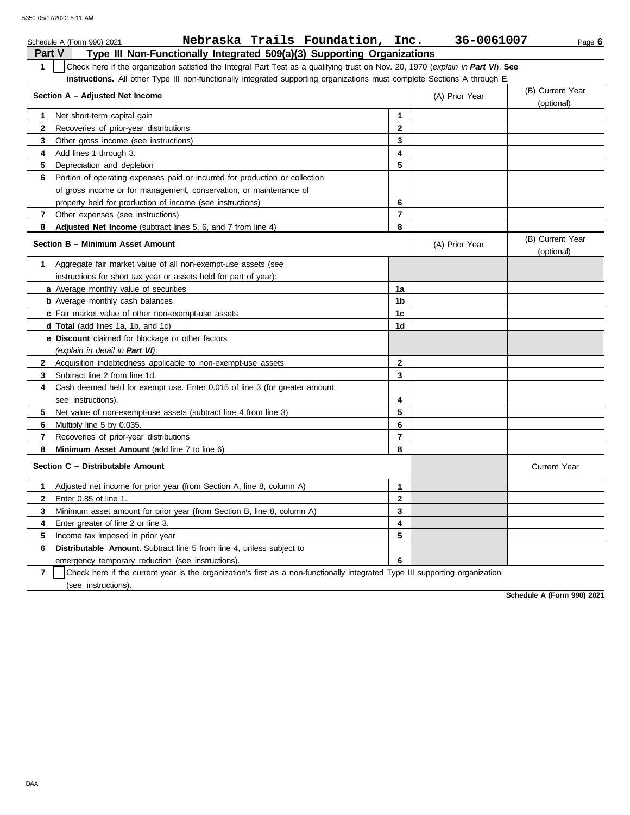|               | Nebraska Trails Foundation, Inc.<br>Schedule A (Form 990) 2021                                                                   |              | 36-0061007     | Page 6                         |
|---------------|----------------------------------------------------------------------------------------------------------------------------------|--------------|----------------|--------------------------------|
| <b>Part V</b> | Type III Non-Functionally Integrated 509(a)(3) Supporting Organizations                                                          |              |                |                                |
| $\mathbf 1$   | Check here if the organization satisfied the Integral Part Test as a qualifying trust on Nov. 20, 1970 (explain in Part VI). See |              |                |                                |
|               | instructions. All other Type III non-functionally integrated supporting organizations must complete Sections A through E.        |              |                |                                |
|               | Section A - Adjusted Net Income                                                                                                  |              | (A) Prior Year | (B) Current Year<br>(optional) |
| 1             | Net short-term capital gain                                                                                                      | 1            |                |                                |
| $\mathbf{2}$  | Recoveries of prior-year distributions                                                                                           | $\mathbf{2}$ |                |                                |
| 3             | Other gross income (see instructions)                                                                                            | 3            |                |                                |
| 4             | Add lines 1 through 3.                                                                                                           | 4            |                |                                |
| 5             | Depreciation and depletion                                                                                                       | 5            |                |                                |
| 6             | Portion of operating expenses paid or incurred for production or collection                                                      |              |                |                                |
|               | of gross income or for management, conservation, or maintenance of                                                               |              |                |                                |
|               | property held for production of income (see instructions)                                                                        | 6            |                |                                |
| 7             | Other expenses (see instructions)                                                                                                | 7            |                |                                |
| 8             | Adjusted Net Income (subtract lines 5, 6, and 7 from line 4)                                                                     | 8            |                |                                |
|               | Section B - Minimum Asset Amount                                                                                                 |              | (A) Prior Year | (B) Current Year<br>(optional) |
| 1             | Aggregate fair market value of all non-exempt-use assets (see                                                                    |              |                |                                |
|               | instructions for short tax year or assets held for part of year):                                                                |              |                |                                |
|               | a Average monthly value of securities                                                                                            | 1a           |                |                                |
|               | <b>b</b> Average monthly cash balances                                                                                           | 1b           |                |                                |
|               | c Fair market value of other non-exempt-use assets                                                                               | 1c           |                |                                |
|               | d Total (add lines 1a, 1b, and 1c)                                                                                               | 1d           |                |                                |
|               | e Discount claimed for blockage or other factors                                                                                 |              |                |                                |
|               | (explain in detail in Part VI):                                                                                                  |              |                |                                |
| $\mathbf{2}$  | Acquisition indebtedness applicable to non-exempt-use assets                                                                     | $\mathbf{2}$ |                |                                |
| 3             | Subtract line 2 from line 1d.                                                                                                    | 3            |                |                                |
| 4             | Cash deemed held for exempt use. Enter 0.015 of line 3 (for greater amount,                                                      |              |                |                                |
|               | see instructions).                                                                                                               | 4            |                |                                |
| 5             | Net value of non-exempt-use assets (subtract line 4 from line 3)                                                                 | 5            |                |                                |
| 6             | Multiply line 5 by 0.035.                                                                                                        | 6            |                |                                |
| 7             | Recoveries of prior-year distributions                                                                                           | 7            |                |                                |
| 8             | Minimum Asset Amount (add line 7 to line 6)                                                                                      | 8            |                |                                |
|               | Section C - Distributable Amount                                                                                                 |              |                | <b>Current Year</b>            |
| 1.            | Adjusted net income for prior year (from Section A, line 8, column A)                                                            | 1            |                |                                |
| $\mathbf{2}$  | Enter 0.85 of line 1.                                                                                                            | $\mathbf{2}$ |                |                                |
| 3             | Minimum asset amount for prior year (from Section B, line 8, column A)                                                           | 3            |                |                                |
| 4             | Enter greater of line 2 or line 3.                                                                                               | 4            |                |                                |
| 5             | Income tax imposed in prior year                                                                                                 | 5            |                |                                |
| 6             | Distributable Amount. Subtract line 5 from line 4, unless subject to                                                             |              |                |                                |
|               | emergency temporary reduction (see instructions).                                                                                | 6            |                |                                |
|               |                                                                                                                                  |              |                |                                |

**7** | Check here if the current year is the organization's first as a non-functionally integrated Type III supporting organization (see instructions).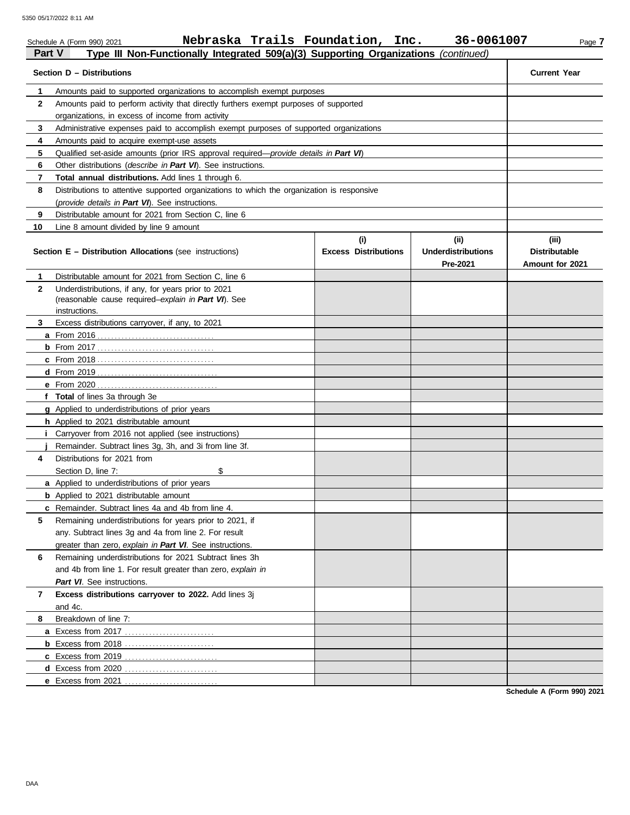|              | Nebraska Trails Foundation, Inc.<br>Schedule A (Form 990) 2021                             |                                    | 36-0061007                                    | Page 7                                           |
|--------------|--------------------------------------------------------------------------------------------|------------------------------------|-----------------------------------------------|--------------------------------------------------|
| Part V       | Type III Non-Functionally Integrated 509(a)(3) Supporting Organizations (continued)        |                                    |                                               |                                                  |
|              | Section D - Distributions                                                                  |                                    |                                               | <b>Current Year</b>                              |
| 1            | Amounts paid to supported organizations to accomplish exempt purposes                      |                                    |                                               |                                                  |
| $\mathbf{2}$ | Amounts paid to perform activity that directly furthers exempt purposes of supported       |                                    |                                               |                                                  |
|              | organizations, in excess of income from activity                                           |                                    |                                               |                                                  |
| 3            | Administrative expenses paid to accomplish exempt purposes of supported organizations      |                                    |                                               |                                                  |
| 4            | Amounts paid to acquire exempt-use assets                                                  |                                    |                                               |                                                  |
| 5            | Qualified set-aside amounts (prior IRS approval required—provide details in Part VI)       |                                    |                                               |                                                  |
| 6            | Other distributions ( <i>describe in Part VI</i> ). See instructions.                      |                                    |                                               |                                                  |
| 7            | <b>Total annual distributions.</b> Add lines 1 through 6.                                  |                                    |                                               |                                                  |
| 8            | Distributions to attentive supported organizations to which the organization is responsive |                                    |                                               |                                                  |
|              | (provide details in Part VI). See instructions.                                            |                                    |                                               |                                                  |
| 9            | Distributable amount for 2021 from Section C, line 6                                       |                                    |                                               |                                                  |
| 10           | Line 8 amount divided by line 9 amount                                                     |                                    |                                               |                                                  |
|              | Section E - Distribution Allocations (see instructions)                                    | (i)<br><b>Excess Distributions</b> | (ii)<br><b>Underdistributions</b><br>Pre-2021 | (iii)<br><b>Distributable</b><br>Amount for 2021 |
| 1            | Distributable amount for 2021 from Section C. line 6                                       |                                    |                                               |                                                  |
| $\mathbf{2}$ | Underdistributions, if any, for years prior to 2021                                        |                                    |                                               |                                                  |
|              | (reasonable cause required-explain in Part VI). See                                        |                                    |                                               |                                                  |
|              | instructions.                                                                              |                                    |                                               |                                                  |
| 3            | Excess distributions carryover, if any, to 2021                                            |                                    |                                               |                                                  |
|              |                                                                                            |                                    |                                               |                                                  |
|              |                                                                                            |                                    |                                               |                                                  |
|              |                                                                                            |                                    |                                               |                                                  |
|              |                                                                                            |                                    |                                               |                                                  |
|              |                                                                                            |                                    |                                               |                                                  |
|              | f Total of lines 3a through 3e                                                             |                                    |                                               |                                                  |
|              | g Applied to underdistributions of prior years                                             |                                    |                                               |                                                  |
|              | h Applied to 2021 distributable amount                                                     |                                    |                                               |                                                  |
|              | Carryover from 2016 not applied (see instructions)                                         |                                    |                                               |                                                  |
|              | Remainder. Subtract lines 3g, 3h, and 3i from line 3f.                                     |                                    |                                               |                                                  |
| 4            | Distributions for 2021 from                                                                |                                    |                                               |                                                  |
|              | \$<br>Section D, line 7:                                                                   |                                    |                                               |                                                  |
|              | a Applied to underdistributions of prior years                                             |                                    |                                               |                                                  |
|              | <b>b</b> Applied to 2021 distributable amount                                              |                                    |                                               |                                                  |
|              | <b>c</b> Remainder. Subtract lines 4a and 4b from line 4.                                  |                                    |                                               |                                                  |
| 5            | Remaining underdistributions for years prior to 2021, if                                   |                                    |                                               |                                                  |
|              | any. Subtract lines 3g and 4a from line 2. For result                                      |                                    |                                               |                                                  |
|              | greater than zero, explain in Part VI. See instructions.                                   |                                    |                                               |                                                  |
| 6            | Remaining underdistributions for 2021 Subtract lines 3h                                    |                                    |                                               |                                                  |
|              | and 4b from line 1. For result greater than zero, explain in                               |                                    |                                               |                                                  |
|              | Part VI. See instructions.                                                                 |                                    |                                               |                                                  |
|              |                                                                                            |                                    |                                               |                                                  |
| 7            | Excess distributions carryover to 2022. Add lines 3j                                       |                                    |                                               |                                                  |
|              | and 4c.                                                                                    |                                    |                                               |                                                  |
| 8            | Breakdown of line 7:                                                                       |                                    |                                               |                                                  |
|              | <b>a</b> Excess from 2017                                                                  |                                    |                                               |                                                  |
|              |                                                                                            |                                    |                                               |                                                  |

**Schedule A (Form 990) 2021**

**c** Excess from 2019 . . . . . . . . . . . . . . . . . . . . . . . . . . . **d** Excess from 2020 . . . . . . . . . . . . . . . . . . . . . . . . . . . **e** Excess from 2021 . . . . . . . . . . . . . . . . . . . . . . . . . . .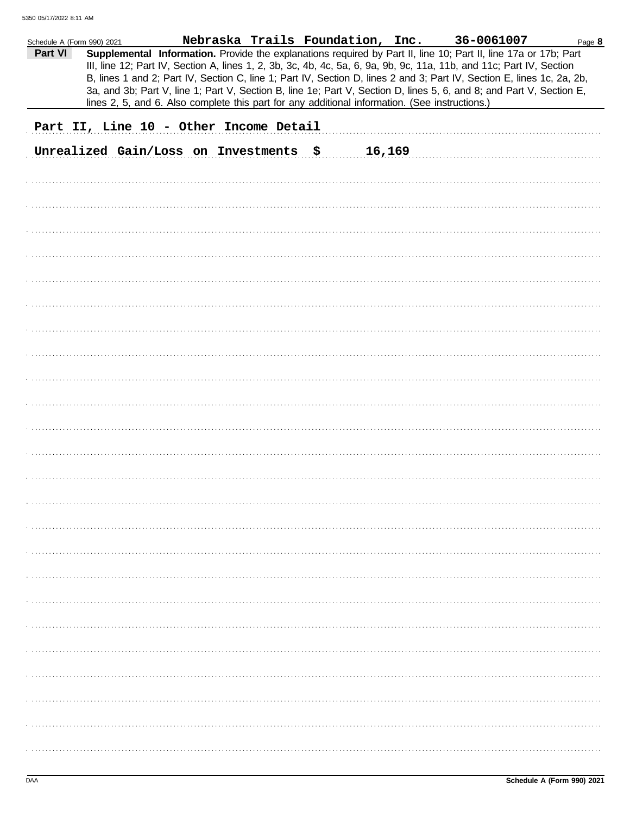| Schedule A (Form 990) 2021 |  |  |                                        | Nebraska Trails Foundation, Inc. |        |                                                                                                | 36-0061007                                                                                                                                                                                                                                                                                                                                                        | Page 8 |
|----------------------------|--|--|----------------------------------------|----------------------------------|--------|------------------------------------------------------------------------------------------------|-------------------------------------------------------------------------------------------------------------------------------------------------------------------------------------------------------------------------------------------------------------------------------------------------------------------------------------------------------------------|--------|
| Part VI                    |  |  |                                        |                                  |        |                                                                                                | Supplemental Information. Provide the explanations required by Part II, line 10; Part II, line 17a or 17b; Part<br>III, line 12; Part IV, Section A, lines 1, 2, 3b, 3c, 4b, 4c, 5a, 6, 9a, 9b, 9c, 11a, 11b, and 11c; Part IV, Section<br>B, lines 1 and 2; Part IV, Section C, line 1; Part IV, Section D, lines 2 and 3; Part IV, Section E, lines 1c, 2a, 2b, |        |
|                            |  |  |                                        |                                  |        | lines 2, 5, and 6. Also complete this part for any additional information. (See instructions.) | 3a, and 3b; Part V, line 1; Part V, Section B, line 1e; Part V, Section D, lines 5, 6, and 8; and Part V, Section E,                                                                                                                                                                                                                                              |        |
|                            |  |  | Part II, Line 10 - Other Income Detail |                                  |        |                                                                                                |                                                                                                                                                                                                                                                                                                                                                                   |        |
|                            |  |  |                                        |                                  |        |                                                                                                |                                                                                                                                                                                                                                                                                                                                                                   |        |
|                            |  |  | Unrealized Gain/Loss on Investments    | \$                               | 16,169 |                                                                                                |                                                                                                                                                                                                                                                                                                                                                                   |        |
|                            |  |  |                                        |                                  |        |                                                                                                |                                                                                                                                                                                                                                                                                                                                                                   |        |
|                            |  |  |                                        |                                  |        |                                                                                                |                                                                                                                                                                                                                                                                                                                                                                   |        |
|                            |  |  |                                        |                                  |        |                                                                                                |                                                                                                                                                                                                                                                                                                                                                                   |        |
|                            |  |  |                                        |                                  |        |                                                                                                |                                                                                                                                                                                                                                                                                                                                                                   |        |
|                            |  |  |                                        |                                  |        |                                                                                                |                                                                                                                                                                                                                                                                                                                                                                   |        |
|                            |  |  |                                        |                                  |        |                                                                                                |                                                                                                                                                                                                                                                                                                                                                                   |        |
|                            |  |  |                                        |                                  |        |                                                                                                |                                                                                                                                                                                                                                                                                                                                                                   |        |
|                            |  |  |                                        |                                  |        |                                                                                                |                                                                                                                                                                                                                                                                                                                                                                   |        |
|                            |  |  |                                        |                                  |        |                                                                                                |                                                                                                                                                                                                                                                                                                                                                                   |        |
|                            |  |  |                                        |                                  |        |                                                                                                |                                                                                                                                                                                                                                                                                                                                                                   |        |
|                            |  |  |                                        |                                  |        |                                                                                                |                                                                                                                                                                                                                                                                                                                                                                   |        |
|                            |  |  |                                        |                                  |        |                                                                                                |                                                                                                                                                                                                                                                                                                                                                                   |        |
|                            |  |  |                                        |                                  |        |                                                                                                |                                                                                                                                                                                                                                                                                                                                                                   |        |
|                            |  |  |                                        |                                  |        |                                                                                                |                                                                                                                                                                                                                                                                                                                                                                   |        |
|                            |  |  |                                        |                                  |        |                                                                                                |                                                                                                                                                                                                                                                                                                                                                                   |        |
|                            |  |  |                                        |                                  |        |                                                                                                |                                                                                                                                                                                                                                                                                                                                                                   |        |
|                            |  |  |                                        |                                  |        |                                                                                                |                                                                                                                                                                                                                                                                                                                                                                   |        |
|                            |  |  |                                        |                                  |        |                                                                                                |                                                                                                                                                                                                                                                                                                                                                                   |        |
|                            |  |  |                                        |                                  |        |                                                                                                |                                                                                                                                                                                                                                                                                                                                                                   |        |
|                            |  |  |                                        |                                  |        |                                                                                                |                                                                                                                                                                                                                                                                                                                                                                   |        |
|                            |  |  |                                        |                                  |        |                                                                                                |                                                                                                                                                                                                                                                                                                                                                                   |        |
|                            |  |  |                                        |                                  |        |                                                                                                |                                                                                                                                                                                                                                                                                                                                                                   |        |
|                            |  |  |                                        |                                  |        |                                                                                                |                                                                                                                                                                                                                                                                                                                                                                   |        |
|                            |  |  |                                        |                                  |        |                                                                                                |                                                                                                                                                                                                                                                                                                                                                                   |        |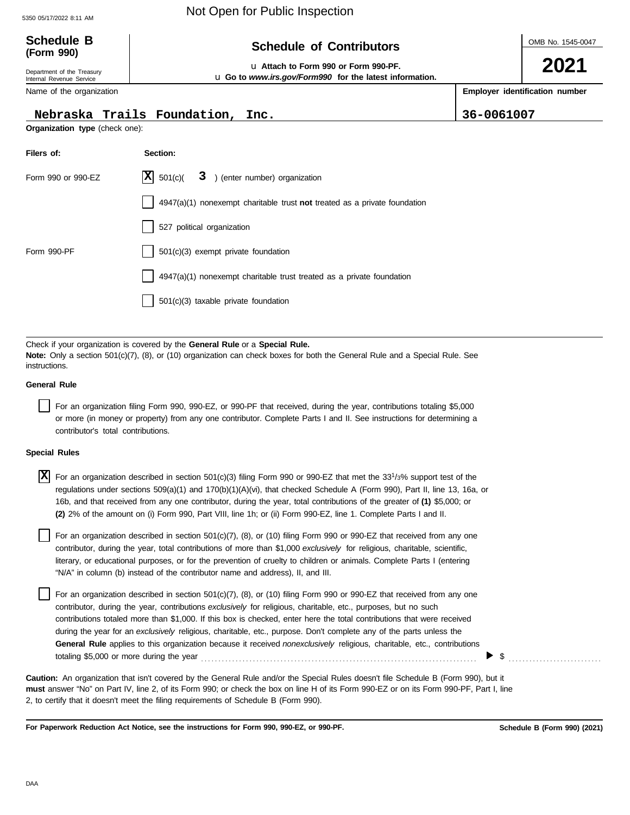## 5350 05/17/2022 8:11 AM Not Open for Public Inspection

| <b>Schedule B</b><br>(Form 990)                                                                                                                            | <b>Schedule of Contributors</b>                                           | OMB No. 1545-0047 |                                |  |  |  |  |
|------------------------------------------------------------------------------------------------------------------------------------------------------------|---------------------------------------------------------------------------|-------------------|--------------------------------|--|--|--|--|
| La Attach to Form 990 or Form 990-PF.<br>Department of the Treasury<br>u Go to www.irs.gov/Form990 for the latest information.<br>Internal Revenue Service |                                                                           |                   |                                |  |  |  |  |
| Name of the organization                                                                                                                                   |                                                                           |                   | Employer identification number |  |  |  |  |
|                                                                                                                                                            | Nebraska Trails Foundation, Inc.                                          | 36-0061007        |                                |  |  |  |  |
| Organization type (check one):                                                                                                                             |                                                                           |                   |                                |  |  |  |  |
| Filers of:                                                                                                                                                 | Section:                                                                  |                   |                                |  |  |  |  |
| Form 990 or 990-EZ                                                                                                                                         | 3 ) (enter number) organization<br>$ \mathbf{X} $ 501(c)(                 |                   |                                |  |  |  |  |
|                                                                                                                                                            | 4947(a)(1) nonexempt charitable trust not treated as a private foundation |                   |                                |  |  |  |  |
|                                                                                                                                                            | 527 political organization                                                |                   |                                |  |  |  |  |
| Form 990-PF                                                                                                                                                | 501(c)(3) exempt private foundation                                       |                   |                                |  |  |  |  |
|                                                                                                                                                            | 4947(a)(1) nonexempt charitable trust treated as a private foundation     |                   |                                |  |  |  |  |
|                                                                                                                                                            | 501(c)(3) taxable private foundation                                      |                   |                                |  |  |  |  |
|                                                                                                                                                            |                                                                           |                   |                                |  |  |  |  |

Check if your organization is covered by the **General Rule** or a **Special Rule. Note:** Only a section 501(c)(7), (8), or (10) organization can check boxes for both the General Rule and a Special Rule. See instructions.

#### **General Rule**

For an organization filing Form 990, 990-EZ, or 990-PF that received, during the year, contributions totaling \$5,000 or more (in money or property) from any one contributor. Complete Parts I and II. See instructions for determining a contributor's total contributions.

#### **Special Rules**

X For an organization described in section 501(c)(3) filing Form 990 or 990-EZ that met the 33<sup>1</sup>/3% support test of the regulations under sections 509(a)(1) and 170(b)(1)(A)(vi), that checked Schedule A (Form 990), Part II, line 13, 16a, or 16b, and that received from any one contributor, during the year, total contributions of the greater of **(1)** \$5,000; or **(2)** 2% of the amount on (i) Form 990, Part VIII, line 1h; or (ii) Form 990-EZ, line 1. Complete Parts I and II.

literary, or educational purposes, or for the prevention of cruelty to children or animals. Complete Parts I (entering For an organization described in section  $501(c)(7)$ ,  $(8)$ , or  $(10)$  filing Form 990 or 990-EZ that received from any one contributor, during the year, total contributions of more than \$1,000 *exclusively* for religious, charitable, scientific, "N/A" in column (b) instead of the contributor name and address), II, and III.

For an organization described in section 501(c)(7), (8), or (10) filing Form 990 or 990-EZ that received from any one contributor, during the year, contributions *exclusively* for religious, charitable, etc., purposes, but no such contributions totaled more than \$1,000. If this box is checked, enter here the total contributions that were received during the year for an *exclusively* religious, charitable, etc., purpose. Don't complete any of the parts unless the **General Rule** applies to this organization because it received *nonexclusively* religious, charitable, etc., contributions totaling \$5,000 or more during the year . . . . . . . . . . . . . . . . . . . . . . . . . . . . . . . . . . . . . . . . . . . . . . . . . . . . . . . . . . . . . . . . . . . . . . . . . . . . . . . .

**must** answer "No" on Part IV, line 2, of its Form 990; or check the box on line H of its Form 990-EZ or on its Form 990-PF, Part I, line 2, to certify that it doesn't meet the filing requirements of Schedule B (Form 990). **Caution:** An organization that isn't covered by the General Rule and/or the Special Rules doesn't file Schedule B (Form 990), but it

**For Paperwork Reduction Act Notice, see the instructions for Form 990, 990-EZ, or 990-PF.**

 $\triangleright$  \$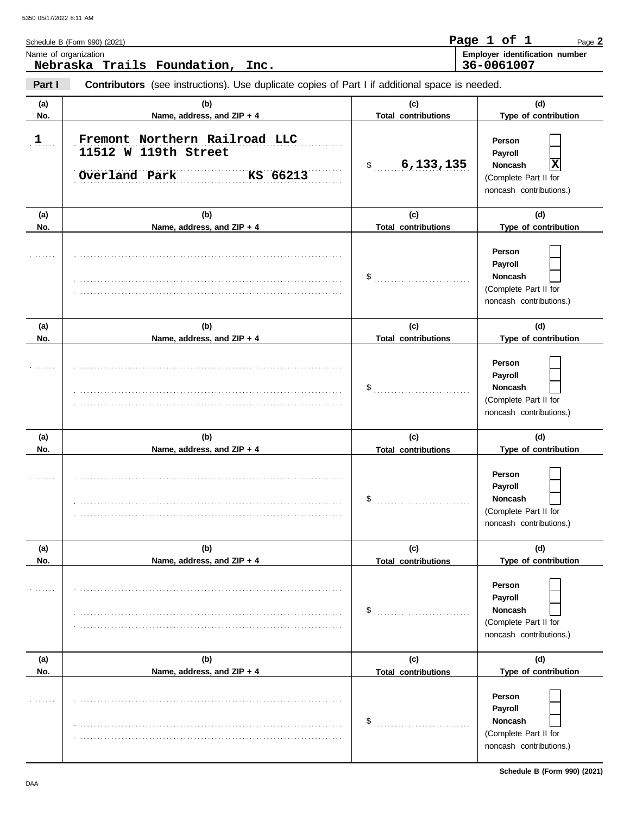|              | Schedule B (Form 990) (2021)                                                                   |                                   | Page 1 of 1<br>Page 2                                                                                              |
|--------------|------------------------------------------------------------------------------------------------|-----------------------------------|--------------------------------------------------------------------------------------------------------------------|
|              | Name of organization<br>Nebraska Trails Foundation, Inc.                                       |                                   | Employer identification number<br>36-0061007                                                                       |
| Part I       | Contributors (see instructions). Use duplicate copies of Part I if additional space is needed. |                                   |                                                                                                                    |
| (a)<br>No.   | (b)<br>Name, address, and ZIP + 4                                                              | (c)<br><b>Total contributions</b> | (d)<br>Type of contribution                                                                                        |
| $\mathbf{1}$ | Fremont Northern Railroad LLC<br>11512 W 119th Street<br>Overland Park<br>KS 66213             | 6,133,135<br>$\frac{1}{2}$        | Person<br>Payroll<br>$\overline{\mathbf{x}}$<br><b>Noncash</b><br>(Complete Part II for<br>noncash contributions.) |
| (a)<br>No.   | (b)<br>Name, address, and ZIP + 4                                                              | (c)<br><b>Total contributions</b> | (d)<br>Type of contribution                                                                                        |
|              |                                                                                                | $\$\$                             | Person<br>Payroll<br><b>Noncash</b><br>(Complete Part II for<br>noncash contributions.)                            |
| (a)<br>No.   | (b)<br>Name, address, and ZIP + 4                                                              | (c)<br><b>Total contributions</b> | (d)<br>Type of contribution                                                                                        |
|              |                                                                                                | \$                                | Person<br>Payroll<br><b>Noncash</b><br>(Complete Part II for<br>noncash contributions.)                            |
| (a)<br>No.   | (b)<br>Name, address, and ZIP + 4                                                              | (c)<br><b>Total contributions</b> | (d)<br>Type of contribution                                                                                        |
|              |                                                                                                | \$                                | Person<br>Payroll<br>Noncash<br>(Complete Part II for<br>noncash contributions.)                                   |
| (a)          | (b)                                                                                            | (c)                               | (d)                                                                                                                |
| No.          | Name, address, and ZIP + 4                                                                     | <b>Total contributions</b><br>\$  | Type of contribution<br>Person<br>Payroll<br>Noncash<br>(Complete Part II for<br>noncash contributions.)           |
| (a)<br>No.   | (b)<br>Name, address, and ZIP + 4                                                              | (c)<br><b>Total contributions</b> | (d)<br>Type of contribution                                                                                        |
|              |                                                                                                | \$                                | Person<br>Payroll<br>Noncash<br>(Complete Part II for<br>noncash contributions.)                                   |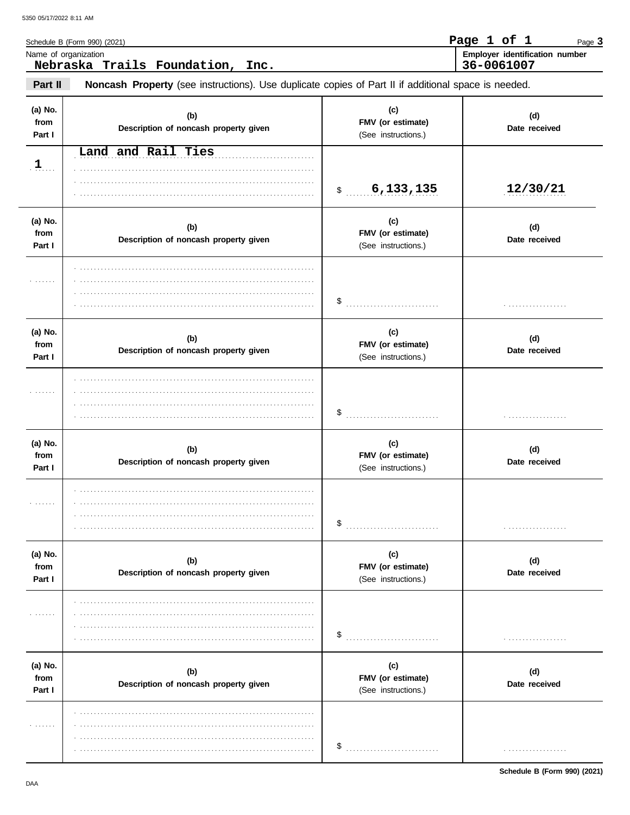| Schedule B (Form 990) (2021)                             | Page 1 of 1                                  |  | Page 3 |
|----------------------------------------------------------|----------------------------------------------|--|--------|
| Name of organization<br>Nebraska Trails Foundation, Inc. | Employer identification number<br>36-0061007 |  |        |
|                                                          |                                              |  |        |

Noncash Property (see instructions). Use duplicate copies of Part II if additional space is needed. Part II

| (a) No.<br>from<br>Part I | (b)<br>Description of noncash property given | (c)<br>FMV (or estimate)<br>(See instructions.) | (d)<br>Date received |
|---------------------------|----------------------------------------------|-------------------------------------------------|----------------------|
| 1                         | Land and Rail Ties                           |                                                 |                      |
|                           |                                              | \$30, 133, 135                                  | 12/30/21             |
| (a) No.<br>from<br>Part I | (b)<br>Description of noncash property given | (c)<br>FMV (or estimate)<br>(See instructions.) | (d)<br>Date received |
| .                         |                                              |                                                 | .                    |
| (a) No.<br>from<br>Part I | (b)<br>Description of noncash property given | (c)<br>FMV (or estimate)<br>(See instructions.) | (d)<br>Date received |
| .                         |                                              |                                                 | .                    |
| (a) No.<br>from<br>Part I | (b)<br>Description of noncash property given | (c)<br>FMV (or estimate)<br>(See instructions.) | (d)<br>Date received |
| .                         |                                              |                                                 | .                    |
| (a) No.<br>from<br>Part I | (b)<br>Description of noncash property given | (c)<br>FMV (or estimate)<br>(See instructions.) | (d)<br>Date received |
| .                         |                                              | \$                                              | .                    |
| (a) No.<br>from<br>Part I | (b)<br>Description of noncash property given | (c)<br>FMV (or estimate)<br>(See instructions.) | (d)<br>Date received |
| .                         |                                              | \$                                              | .                    |

Schedule B (Form 990) (2021)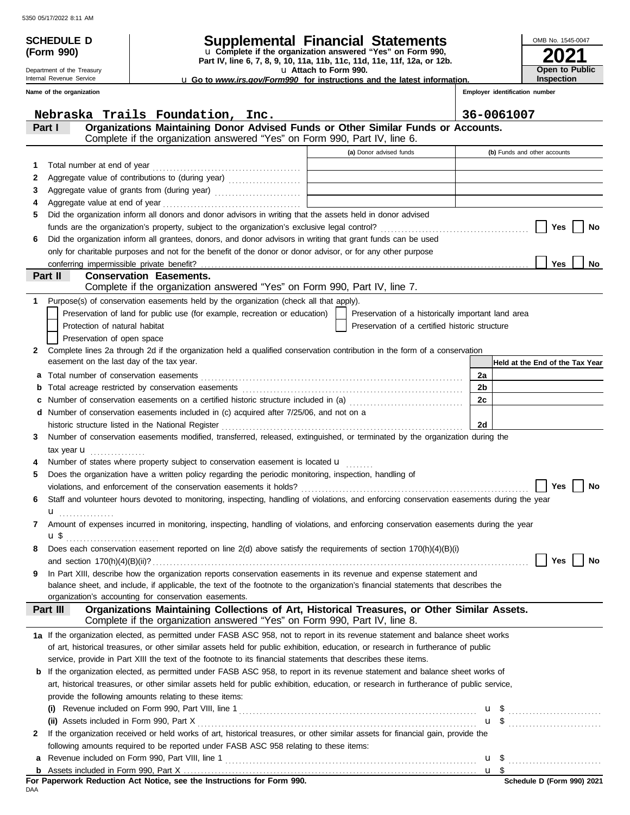| <b>SCHEDULE D</b>                                      |                                                                                                                                                                                                                                           | <b>Supplemental Financial Statements</b>                                                                  |                      | OMB No. 1545-0047                   |  |
|--------------------------------------------------------|-------------------------------------------------------------------------------------------------------------------------------------------------------------------------------------------------------------------------------------------|-----------------------------------------------------------------------------------------------------------|----------------------|-------------------------------------|--|
| (Form 990)                                             |                                                                                                                                                                                                                                           | u Complete if the organization answered "Yes" on Form 990,                                                |                      |                                     |  |
|                                                        |                                                                                                                                                                                                                                           | Part IV, line 6, 7, 8, 9, 10, 11a, 11b, 11c, 11d, 11e, 11f, 12a, or 12b.                                  |                      |                                     |  |
| Department of the Treasury<br>Internal Revenue Service |                                                                                                                                                                                                                                           | La Attach to Form 990.<br><b>u</b> Go to www.irs.gov/Form990 for instructions and the latest information. |                      | Open to Public<br><b>Inspection</b> |  |
| Name of the organization                               |                                                                                                                                                                                                                                           |                                                                                                           |                      | Employer identification number      |  |
|                                                        | Nebraska Trails Foundation, Inc.                                                                                                                                                                                                          |                                                                                                           | 36-0061007           |                                     |  |
| Part I                                                 | Organizations Maintaining Donor Advised Funds or Other Similar Funds or Accounts.                                                                                                                                                         |                                                                                                           |                      |                                     |  |
|                                                        | Complete if the organization answered "Yes" on Form 990, Part IV, line 6.                                                                                                                                                                 |                                                                                                           |                      |                                     |  |
|                                                        |                                                                                                                                                                                                                                           | (a) Donor advised funds                                                                                   |                      | (b) Funds and other accounts        |  |
| 1                                                      | Total number at end of year<br>[10] matter continuous contract and of year<br>[10] matter contract and of year<br>[10] matter contract and of year<br>[10] matter contract and of year<br>[10] matter contract and of year<br>[10] matter | the control of the control of the control of the control of the control of                                |                      |                                     |  |
| 2                                                      | Aggregate value of contributions to (during year)                                                                                                                                                                                         | <u> 1980 - Johann Barbara, martxa alemaniar amerikan a</u>                                                |                      |                                     |  |
| 3                                                      | Aggregate value of grants from (during year)                                                                                                                                                                                              | the control of the control of the control of the control of the control of the control of                 |                      |                                     |  |
| 4                                                      | Did the organization inform all donors and donor advisors in writing that the assets held in donor advised                                                                                                                                |                                                                                                           |                      |                                     |  |
| 5                                                      |                                                                                                                                                                                                                                           |                                                                                                           |                      | Yes<br>No                           |  |
| 6                                                      | Did the organization inform all grantees, donors, and donor advisors in writing that grant funds can be used                                                                                                                              |                                                                                                           |                      |                                     |  |
|                                                        | only for charitable purposes and not for the benefit of the donor or donor advisor, or for any other purpose                                                                                                                              |                                                                                                           |                      |                                     |  |
|                                                        |                                                                                                                                                                                                                                           |                                                                                                           |                      | <b>Yes</b><br>No                    |  |
| Part II                                                | <b>Conservation Easements.</b>                                                                                                                                                                                                            |                                                                                                           |                      |                                     |  |
|                                                        | Complete if the organization answered "Yes" on Form 990, Part IV, line 7.                                                                                                                                                                 |                                                                                                           |                      |                                     |  |
| 1                                                      | Purpose(s) of conservation easements held by the organization (check all that apply).                                                                                                                                                     |                                                                                                           |                      |                                     |  |
|                                                        | Preservation of land for public use (for example, recreation or education)                                                                                                                                                                | Preservation of a historically important land area                                                        |                      |                                     |  |
| Protection of natural habitat                          |                                                                                                                                                                                                                                           | Preservation of a certified historic structure                                                            |                      |                                     |  |
| Preservation of open space                             |                                                                                                                                                                                                                                           |                                                                                                           |                      |                                     |  |
| 2<br>easement on the last day of the tax year.         | Complete lines 2a through 2d if the organization held a qualified conservation contribution in the form of a conservation                                                                                                                 |                                                                                                           |                      |                                     |  |
|                                                        |                                                                                                                                                                                                                                           |                                                                                                           |                      | Held at the End of the Tax Year     |  |
| а                                                      |                                                                                                                                                                                                                                           |                                                                                                           | 2a<br>2 <sub>b</sub> |                                     |  |
| b<br>c                                                 | Number of conservation easements on a certified historic structure included in (a) [[[[[[ [ ]]]]                                                                                                                                          |                                                                                                           | 2c                   |                                     |  |
| d                                                      | Number of conservation easements included in (c) acquired after 7/25/06, and not on a                                                                                                                                                     |                                                                                                           |                      |                                     |  |
|                                                        | historic structure listed in the National Register                                                                                                                                                                                        |                                                                                                           | 2d                   |                                     |  |
| 3                                                      | Number of conservation easements modified, transferred, released, extinguished, or terminated by the organization during the                                                                                                              |                                                                                                           |                      |                                     |  |
| tax year $\mathbf u$                                   |                                                                                                                                                                                                                                           |                                                                                                           |                      |                                     |  |
|                                                        | Number of states where property subject to conservation easement is located <b>u</b>                                                                                                                                                      |                                                                                                           |                      |                                     |  |
| 5                                                      | Does the organization have a written policy regarding the periodic monitoring, inspection, handling of                                                                                                                                    |                                                                                                           |                      |                                     |  |
|                                                        |                                                                                                                                                                                                                                           |                                                                                                           |                      | Yes<br>No                           |  |
| 6                                                      | Staff and volunteer hours devoted to monitoring, inspecting, handling of violations, and enforcing conservation easements during the year                                                                                                 |                                                                                                           |                      |                                     |  |
| u <sub></sub>                                          |                                                                                                                                                                                                                                           |                                                                                                           |                      |                                     |  |
| 7                                                      | Amount of expenses incurred in monitoring, inspecting, handling of violations, and enforcing conservation easements during the year                                                                                                       |                                                                                                           |                      |                                     |  |
| <b>u</b> \$                                            |                                                                                                                                                                                                                                           |                                                                                                           |                      |                                     |  |
| 8                                                      | Does each conservation easement reported on line 2(d) above satisfy the requirements of section 170(h)(4)(B)(i)                                                                                                                           |                                                                                                           |                      | Yes<br>No                           |  |
| 9                                                      | In Part XIII, describe how the organization reports conservation easements in its revenue and expense statement and                                                                                                                       |                                                                                                           |                      |                                     |  |
|                                                        | balance sheet, and include, if applicable, the text of the footnote to the organization's financial statements that describes the                                                                                                         |                                                                                                           |                      |                                     |  |
|                                                        | organization's accounting for conservation easements.                                                                                                                                                                                     |                                                                                                           |                      |                                     |  |
| Part III                                               | Organizations Maintaining Collections of Art, Historical Treasures, or Other Similar Assets.                                                                                                                                              |                                                                                                           |                      |                                     |  |
|                                                        | Complete if the organization answered "Yes" on Form 990, Part IV, line 8.                                                                                                                                                                 |                                                                                                           |                      |                                     |  |
|                                                        | 1a If the organization elected, as permitted under FASB ASC 958, not to report in its revenue statement and balance sheet works                                                                                                           |                                                                                                           |                      |                                     |  |
|                                                        | of art, historical treasures, or other similar assets held for public exhibition, education, or research in furtherance of public                                                                                                         |                                                                                                           |                      |                                     |  |
|                                                        | service, provide in Part XIII the text of the footnote to its financial statements that describes these items.                                                                                                                            |                                                                                                           |                      |                                     |  |
| b                                                      | If the organization elected, as permitted under FASB ASC 958, to report in its revenue statement and balance sheet works of                                                                                                               |                                                                                                           |                      |                                     |  |
|                                                        | art, historical treasures, or other similar assets held for public exhibition, education, or research in furtherance of public service,                                                                                                   |                                                                                                           |                      |                                     |  |
|                                                        | provide the following amounts relating to these items:                                                                                                                                                                                    |                                                                                                           |                      |                                     |  |
| (ii) Assets included in Form 990, Part X               |                                                                                                                                                                                                                                           |                                                                                                           |                      | $\mathbf{u}$ \$                     |  |
| 2                                                      | If the organization received or held works of art, historical treasures, or other similar assets for financial gain, provide the                                                                                                          |                                                                                                           |                      |                                     |  |
|                                                        | following amounts required to be reported under FASB ASC 958 relating to these items:                                                                                                                                                     |                                                                                                           |                      |                                     |  |
| а                                                      |                                                                                                                                                                                                                                           |                                                                                                           |                      | $\mathbf{u}$ \$                     |  |
|                                                        |                                                                                                                                                                                                                                           |                                                                                                           |                      |                                     |  |

**For Paperwork Reduction Act Notice, see the Instructions for Form 990.**<br><sub>DAA</sub>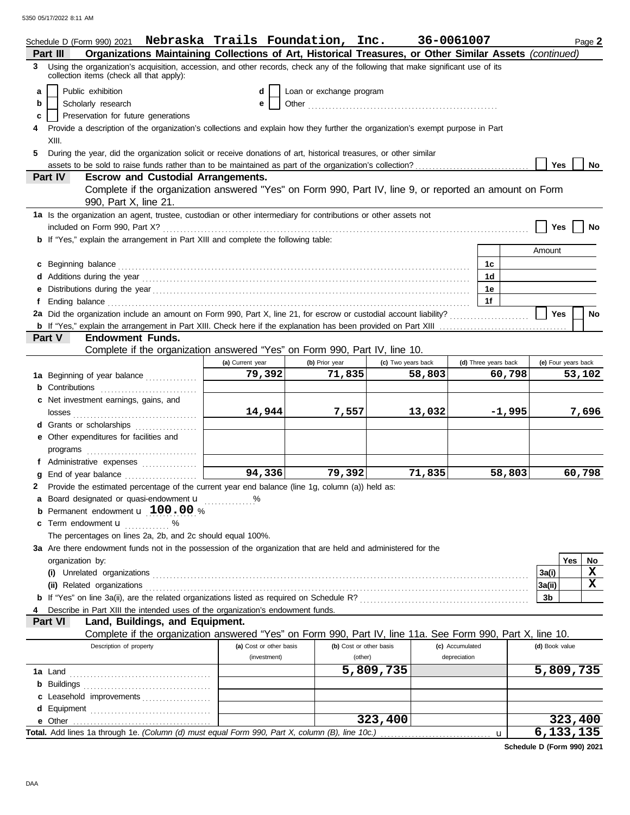|    |                  | Schedule D (Form 990) 2021 Nebraska Trails Foundation, Inc. 36-0061007                                                                                                                                                               |                         |                          |                         |                    |                 |                      |          |                | Page 2              |
|----|------------------|--------------------------------------------------------------------------------------------------------------------------------------------------------------------------------------------------------------------------------------|-------------------------|--------------------------|-------------------------|--------------------|-----------------|----------------------|----------|----------------|---------------------|
|    | Part III         | Organizations Maintaining Collections of Art, Historical Treasures, or Other Similar Assets (continued)                                                                                                                              |                         |                          |                         |                    |                 |                      |          |                |                     |
|    |                  | 3 Using the organization's acquisition, accession, and other records, check any of the following that make significant use of its<br>collection items (check all that apply):                                                        |                         |                          |                         |                    |                 |                      |          |                |                     |
| a  |                  | Public exhibition                                                                                                                                                                                                                    | d                       | Loan or exchange program |                         |                    |                 |                      |          |                |                     |
| b  |                  | Scholarly research                                                                                                                                                                                                                   | e                       |                          |                         |                    |                 |                      |          |                |                     |
| c  |                  | Preservation for future generations                                                                                                                                                                                                  |                         |                          |                         |                    |                 |                      |          |                |                     |
|    |                  | Provide a description of the organization's collections and explain how they further the organization's exempt purpose in Part                                                                                                       |                         |                          |                         |                    |                 |                      |          |                |                     |
|    | XIII.            |                                                                                                                                                                                                                                      |                         |                          |                         |                    |                 |                      |          |                |                     |
| 5. |                  | During the year, did the organization solicit or receive donations of art, historical treasures, or other similar                                                                                                                    |                         |                          |                         |                    |                 |                      |          |                |                     |
|    |                  | assets to be sold to raise funds rather than to be maintained as part of the organization's collection?                                                                                                                              |                         |                          |                         |                    |                 |                      |          | <b>Yes</b>     | No                  |
|    | Part IV          | <b>Escrow and Custodial Arrangements.</b>                                                                                                                                                                                            |                         |                          |                         |                    |                 |                      |          |                |                     |
|    |                  | Complete if the organization answered "Yes" on Form 990, Part IV, line 9, or reported an amount on Form                                                                                                                              |                         |                          |                         |                    |                 |                      |          |                |                     |
|    |                  | 990, Part X, line 21.                                                                                                                                                                                                                |                         |                          |                         |                    |                 |                      |          |                |                     |
|    |                  | 1a Is the organization an agent, trustee, custodian or other intermediary for contributions or other assets not                                                                                                                      |                         |                          |                         |                    |                 |                      |          |                |                     |
|    |                  |                                                                                                                                                                                                                                      |                         |                          |                         |                    |                 |                      |          | Yes            | No                  |
|    |                  | <b>b</b> If "Yes," explain the arrangement in Part XIII and complete the following table:                                                                                                                                            |                         |                          |                         |                    |                 |                      |          |                |                     |
|    |                  |                                                                                                                                                                                                                                      |                         |                          |                         |                    |                 |                      |          | Amount         |                     |
|    |                  | c Beginning balance <b>contract to the contract of the set of the contract of the contract of the contract of the contract of the contract of the contract of the contract of the contract of the contract of the contract of th</b> |                         |                          |                         |                    |                 | 1c                   |          |                |                     |
|    |                  |                                                                                                                                                                                                                                      |                         |                          |                         |                    |                 | 1d                   |          |                |                     |
|    |                  |                                                                                                                                                                                                                                      |                         |                          |                         |                    |                 | 1е                   |          |                |                     |
| f  |                  | Ending balance contains and account of the contact of the contact of the contact of the contact of the contact of the contact of the contact of the contact of the contact of the contact of the contact of the contact of the       |                         |                          |                         |                    |                 | 1f                   |          |                |                     |
|    |                  | 2a Did the organization include an amount on Form 990, Part X, line 21, for escrow or custodial account liability?                                                                                                                   |                         |                          |                         |                    |                 |                      |          | <b>Yes</b>     | No                  |
|    |                  |                                                                                                                                                                                                                                      |                         |                          |                         |                    |                 |                      |          |                |                     |
|    | Part V           | <b>Endowment Funds.</b>                                                                                                                                                                                                              |                         |                          |                         |                    |                 |                      |          |                |                     |
|    |                  | Complete if the organization answered "Yes" on Form 990, Part IV, line 10.                                                                                                                                                           |                         |                          |                         |                    |                 |                      |          |                |                     |
|    |                  |                                                                                                                                                                                                                                      | (a) Current year        | (b) Prior year           |                         | (c) Two years back |                 | (d) Three years back |          |                | (e) Four years back |
|    |                  | 1a Beginning of year balance                                                                                                                                                                                                         | 79,392                  | 71,835                   |                         | 58,803             |                 |                      | 60,798   |                | 53,102              |
|    |                  | <b>b</b> Contributions                                                                                                                                                                                                               |                         |                          |                         |                    |                 |                      |          |                |                     |
|    |                  | c Net investment earnings, gains, and                                                                                                                                                                                                |                         |                          |                         |                    |                 |                      |          |                |                     |
|    |                  |                                                                                                                                                                                                                                      | 14,944                  | 7,557                    |                         | 13,032             |                 |                      | $-1,995$ |                | 7,696               |
|    |                  | d Grants or scholarships                                                                                                                                                                                                             |                         |                          |                         |                    |                 |                      |          |                |                     |
|    |                  | e Other expenditures for facilities and                                                                                                                                                                                              |                         |                          |                         |                    |                 |                      |          |                |                     |
|    |                  |                                                                                                                                                                                                                                      |                         |                          |                         |                    |                 |                      |          |                |                     |
|    |                  | f Administrative expenses                                                                                                                                                                                                            |                         |                          |                         |                    |                 |                      |          |                |                     |
| g  |                  | End of year balance                                                                                                                                                                                                                  | $\overline{94,336}$     | 79,392                   |                         | 71,835             |                 |                      | 58,803   |                | 60,798              |
|    |                  | 2 Provide the estimated percentage of the current year end balance (line 1g, column (a)) held as:                                                                                                                                    |                         |                          |                         |                    |                 |                      |          |                |                     |
|    |                  | a Board designated or quasi-endowment u                                                                                                                                                                                              |                         |                          |                         |                    |                 |                      |          |                |                     |
|    |                  | <b>b</b> Permanent endowment $\mathbf{u}$ 100.00 %                                                                                                                                                                                   |                         |                          |                         |                    |                 |                      |          |                |                     |
|    |                  | c Term endowment <b>u</b> %                                                                                                                                                                                                          |                         |                          |                         |                    |                 |                      |          |                |                     |
|    |                  | The percentages on lines 2a, 2b, and 2c should equal 100%.                                                                                                                                                                           |                         |                          |                         |                    |                 |                      |          |                |                     |
|    |                  | 3a Are there endowment funds not in the possession of the organization that are held and administered for the                                                                                                                        |                         |                          |                         |                    |                 |                      |          |                |                     |
|    | organization by: |                                                                                                                                                                                                                                      |                         |                          |                         |                    |                 |                      |          |                | Yes<br>No           |
|    |                  |                                                                                                                                                                                                                                      |                         |                          |                         |                    |                 |                      |          | 3a(i)          | X                   |
|    |                  | (ii) Related organizations <b>constants</b> and constant of the constant of the constant of the constant of the constant of the constant of the constant of the constant of the constant of the constant of the constant of the con  |                         |                          |                         |                    |                 |                      |          | 3a(ii)         | $\mathbf x$         |
|    |                  |                                                                                                                                                                                                                                      |                         |                          |                         |                    |                 |                      |          | 3b             |                     |
|    |                  | Describe in Part XIII the intended uses of the organization's endowment funds.                                                                                                                                                       |                         |                          |                         |                    |                 |                      |          |                |                     |
|    | Part VI          | Land, Buildings, and Equipment.                                                                                                                                                                                                      |                         |                          |                         |                    |                 |                      |          |                |                     |
|    |                  | Complete if the organization answered "Yes" on Form 990, Part IV, line 11a. See Form 990, Part X, line 10.                                                                                                                           |                         |                          |                         |                    |                 |                      |          |                |                     |
|    |                  | Description of property                                                                                                                                                                                                              | (a) Cost or other basis |                          | (b) Cost or other basis |                    | (c) Accumulated |                      |          | (d) Book value |                     |
|    |                  |                                                                                                                                                                                                                                      | (investment)            |                          | (other)                 |                    | depreciation    |                      |          |                |                     |
|    |                  |                                                                                                                                                                                                                                      |                         |                          | 5,809,735               |                    |                 |                      |          |                | 5,809,735           |
|    |                  |                                                                                                                                                                                                                                      |                         |                          |                         |                    |                 |                      |          |                |                     |
|    |                  | c Leasehold improvements                                                                                                                                                                                                             |                         |                          |                         |                    |                 |                      |          |                |                     |
| d  |                  |                                                                                                                                                                                                                                      |                         |                          |                         |                    |                 |                      |          |                |                     |
|    |                  |                                                                                                                                                                                                                                      |                         |                          |                         | 323,400            |                 |                      |          |                | 323,400             |
|    |                  |                                                                                                                                                                                                                                      |                         |                          |                         |                    |                 | u                    |          |                | 6, 133, 135         |

**Schedule D (Form 990) 2021**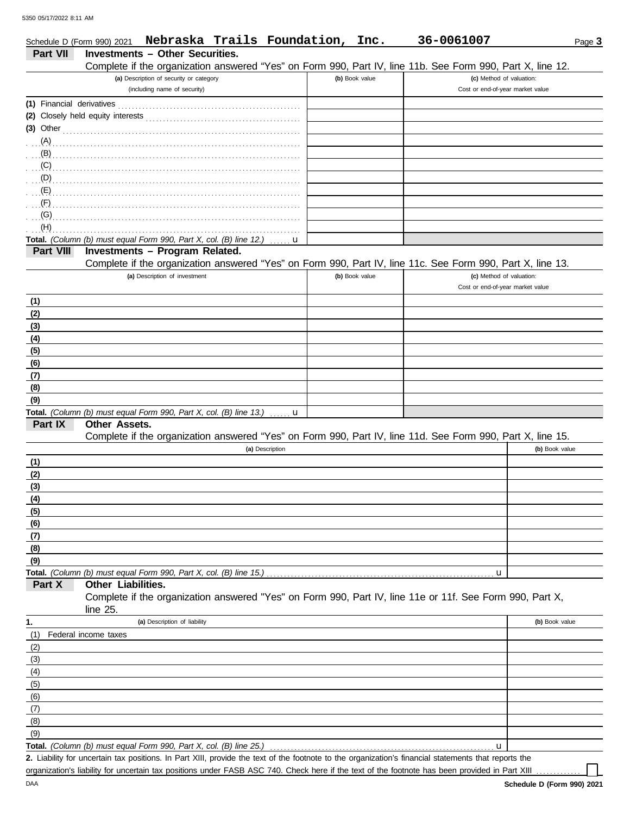|                           | Schedule D (Form 990) 2021 |                                                                                                            | Nebraska Trails Foundation, Inc. |                  |                | 36-0061007                       |                | Page 3 |
|---------------------------|----------------------------|------------------------------------------------------------------------------------------------------------|----------------------------------|------------------|----------------|----------------------------------|----------------|--------|
| Part VII                  |                            | <b>Investments - Other Securities.</b>                                                                     |                                  |                  |                |                                  |                |        |
|                           |                            | Complete if the organization answered "Yes" on Form 990, Part IV, line 11b. See Form 990, Part X, line 12. |                                  |                  |                |                                  |                |        |
|                           |                            | (a) Description of security or category                                                                    |                                  |                  | (b) Book value | (c) Method of valuation:         |                |        |
|                           |                            | (including name of security)                                                                               |                                  |                  |                | Cost or end-of-year market value |                |        |
| (1) Financial derivatives |                            |                                                                                                            |                                  |                  |                |                                  |                |        |
|                           |                            |                                                                                                            |                                  |                  |                |                                  |                |        |
| $(3)$ Other               |                            |                                                                                                            |                                  |                  |                |                                  |                |        |
| (A)                       |                            |                                                                                                            |                                  |                  |                |                                  |                |        |
| (B)                       |                            |                                                                                                            |                                  |                  |                |                                  |                |        |
| (C)                       |                            |                                                                                                            |                                  |                  |                |                                  |                |        |
| (D)                       |                            |                                                                                                            |                                  |                  |                |                                  |                |        |
| (E)                       |                            |                                                                                                            |                                  |                  |                |                                  |                |        |
| (F)<br>(G)                |                            |                                                                                                            |                                  |                  |                |                                  |                |        |
| (H)                       |                            |                                                                                                            |                                  |                  |                |                                  |                |        |
|                           |                            | Total. (Column (b) must equal Form 990, Part X, col. (B) line 12.)                                         |                                  | u                |                |                                  |                |        |
| Part VIII                 |                            | Investments - Program Related.                                                                             |                                  |                  |                |                                  |                |        |
|                           |                            | Complete if the organization answered "Yes" on Form 990, Part IV, line 11c. See Form 990, Part X, line 13. |                                  |                  |                |                                  |                |        |
|                           |                            | (a) Description of investment                                                                              |                                  |                  | (b) Book value | (c) Method of valuation:         |                |        |
|                           |                            |                                                                                                            |                                  |                  |                | Cost or end-of-year market value |                |        |
| (1)                       |                            |                                                                                                            |                                  |                  |                |                                  |                |        |
| (2)                       |                            |                                                                                                            |                                  |                  |                |                                  |                |        |
| (3)                       |                            |                                                                                                            |                                  |                  |                |                                  |                |        |
| (4)                       |                            |                                                                                                            |                                  |                  |                |                                  |                |        |
| (5)                       |                            |                                                                                                            |                                  |                  |                |                                  |                |        |
| (6)                       |                            |                                                                                                            |                                  |                  |                |                                  |                |        |
| (7)                       |                            |                                                                                                            |                                  |                  |                |                                  |                |        |
| (8)                       |                            |                                                                                                            |                                  |                  |                |                                  |                |        |
| (9)                       |                            |                                                                                                            |                                  |                  |                |                                  |                |        |
|                           |                            | Total. (Column (b) must equal Form 990, Part X, col. (B) line 13.)                                         |                                  | u<br>dia a a a a |                |                                  |                |        |
| Part IX                   | Other Assets.              |                                                                                                            |                                  |                  |                |                                  |                |        |
|                           |                            | Complete if the organization answered "Yes" on Form 990, Part IV, line 11d. See Form 990, Part X, line 15. |                                  | (a) Description  |                |                                  | (b) Book value |        |
| (1)                       |                            |                                                                                                            |                                  |                  |                |                                  |                |        |
| (2)                       |                            |                                                                                                            |                                  |                  |                |                                  |                |        |
| (3)                       |                            |                                                                                                            |                                  |                  |                |                                  |                |        |
| (4)                       |                            |                                                                                                            |                                  |                  |                |                                  |                |        |
| (5)                       |                            |                                                                                                            |                                  |                  |                |                                  |                |        |
| (6)                       |                            |                                                                                                            |                                  |                  |                |                                  |                |        |
| (7)                       |                            |                                                                                                            |                                  |                  |                |                                  |                |        |
| (8)                       |                            |                                                                                                            |                                  |                  |                |                                  |                |        |
| (9)                       |                            |                                                                                                            |                                  |                  |                |                                  |                |        |
|                           |                            | Total. (Column (b) must equal Form 990, Part X, col. (B) line 15.)                                         |                                  |                  |                | u                                |                |        |
| Part X                    | Other Liabilities.         |                                                                                                            |                                  |                  |                |                                  |                |        |
|                           |                            | Complete if the organization answered "Yes" on Form 990, Part IV, line 11e or 11f. See Form 990, Part X,   |                                  |                  |                |                                  |                |        |
|                           | line 25.                   |                                                                                                            |                                  |                  |                |                                  |                |        |
| 1.                        |                            | (a) Description of liability                                                                               |                                  |                  |                |                                  | (b) Book value |        |
| (1)                       | Federal income taxes       |                                                                                                            |                                  |                  |                |                                  |                |        |
| (2)                       |                            |                                                                                                            |                                  |                  |                |                                  |                |        |
| (3)                       |                            |                                                                                                            |                                  |                  |                |                                  |                |        |
| (4)                       |                            |                                                                                                            |                                  |                  |                |                                  |                |        |
| (5)                       |                            |                                                                                                            |                                  |                  |                |                                  |                |        |
| (6)                       |                            |                                                                                                            |                                  |                  |                |                                  |                |        |
| (7)<br>(8)                |                            |                                                                                                            |                                  |                  |                |                                  |                |        |
| (9)                       |                            |                                                                                                            |                                  |                  |                |                                  |                |        |
|                           |                            | Total. (Column (b) must equal Form 990, Part X, col. (B) line 25.)                                         |                                  |                  |                | u                                |                |        |
|                           |                            |                                                                                                            |                                  |                  |                |                                  |                |        |

Liability for uncertain tax positions. In Part XIII, provide the text of the footnote to the organization's financial statements that reports the **2.** organization's liability for uncertain tax positions under FASB ASC 740. Check here if the text of the footnote has been provided in Part XIII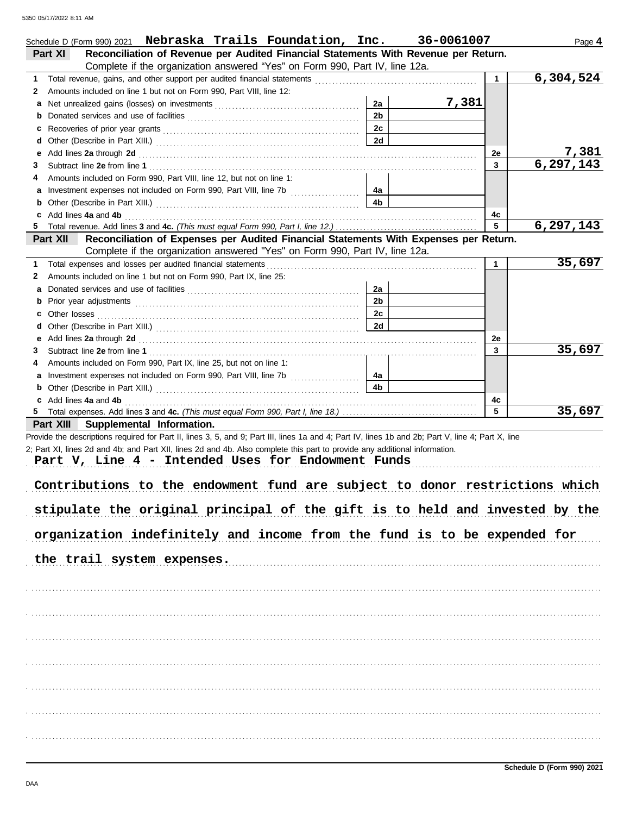|    | Schedule D (Form 990) 2021  Nebraska Trails Foundation, Inc.                                                                                                                                                                                                                                                                                                                                                                                                                                                                                                                     |                | 36-0061007 |              | Page 4      |
|----|----------------------------------------------------------------------------------------------------------------------------------------------------------------------------------------------------------------------------------------------------------------------------------------------------------------------------------------------------------------------------------------------------------------------------------------------------------------------------------------------------------------------------------------------------------------------------------|----------------|------------|--------------|-------------|
|    | Reconciliation of Revenue per Audited Financial Statements With Revenue per Return.<br>Part XI                                                                                                                                                                                                                                                                                                                                                                                                                                                                                   |                |            |              |             |
|    | Complete if the organization answered "Yes" on Form 990, Part IV, line 12a.                                                                                                                                                                                                                                                                                                                                                                                                                                                                                                      |                |            |              |             |
| 1  |                                                                                                                                                                                                                                                                                                                                                                                                                                                                                                                                                                                  |                |            | $\mathbf{1}$ | 6,304,524   |
| 2  | Amounts included on line 1 but not on Form 990, Part VIII, line 12:                                                                                                                                                                                                                                                                                                                                                                                                                                                                                                              |                |            |              |             |
| а  |                                                                                                                                                                                                                                                                                                                                                                                                                                                                                                                                                                                  | 2a             | 7,381      |              |             |
| b  |                                                                                                                                                                                                                                                                                                                                                                                                                                                                                                                                                                                  | 2 <sub>b</sub> |            |              |             |
| c  |                                                                                                                                                                                                                                                                                                                                                                                                                                                                                                                                                                                  | 2c             |            |              |             |
| d  |                                                                                                                                                                                                                                                                                                                                                                                                                                                                                                                                                                                  | 2d             |            |              |             |
| е  | Add lines 2a through 2d [11] All and the contract of the contract of the contract of the contract of the contract of the contract of the contract of the contract of the contract of the contract of the contract of the contr                                                                                                                                                                                                                                                                                                                                                   |                |            | 2e           | 7,381       |
| 3  |                                                                                                                                                                                                                                                                                                                                                                                                                                                                                                                                                                                  |                |            | 3            | 6, 297, 143 |
| 4  | Amounts included on Form 990, Part VIII, line 12, but not on line 1:                                                                                                                                                                                                                                                                                                                                                                                                                                                                                                             |                |            |              |             |
| а  |                                                                                                                                                                                                                                                                                                                                                                                                                                                                                                                                                                                  | 4а             |            |              |             |
| b  |                                                                                                                                                                                                                                                                                                                                                                                                                                                                                                                                                                                  | 4b             |            |              |             |
| c  | Add lines 4a and 4b                                                                                                                                                                                                                                                                                                                                                                                                                                                                                                                                                              |                |            | 4с           |             |
| 5. |                                                                                                                                                                                                                                                                                                                                                                                                                                                                                                                                                                                  |                |            | 5            | 6, 297, 143 |
|    | Reconciliation of Expenses per Audited Financial Statements With Expenses per Return.<br>Part XII                                                                                                                                                                                                                                                                                                                                                                                                                                                                                |                |            |              |             |
|    | Complete if the organization answered "Yes" on Form 990, Part IV, line 12a.                                                                                                                                                                                                                                                                                                                                                                                                                                                                                                      |                |            |              |             |
|    |                                                                                                                                                                                                                                                                                                                                                                                                                                                                                                                                                                                  |                |            | $\mathbf{1}$ | 35,697      |
| 1  | Total expenses and losses per audited financial statements                                                                                                                                                                                                                                                                                                                                                                                                                                                                                                                       |                |            |              |             |
| 2  | Amounts included on line 1 but not on Form 990, Part IX, line 25:                                                                                                                                                                                                                                                                                                                                                                                                                                                                                                                |                |            |              |             |
| а  |                                                                                                                                                                                                                                                                                                                                                                                                                                                                                                                                                                                  | 2a             |            |              |             |
| b  |                                                                                                                                                                                                                                                                                                                                                                                                                                                                                                                                                                                  | 2 <sub>b</sub> |            |              |             |
| c  | Other losses                                                                                                                                                                                                                                                                                                                                                                                                                                                                                                                                                                     | 2c             |            |              |             |
| d  |                                                                                                                                                                                                                                                                                                                                                                                                                                                                                                                                                                                  | 2d             |            |              |             |
| е  | Add lines 2a through 2d [11] Additional Property and Table 2014 10:00 PM and Table 2014 10:00 PM and Table 20                                                                                                                                                                                                                                                                                                                                                                                                                                                                    |                |            | 2e           |             |
| 3  |                                                                                                                                                                                                                                                                                                                                                                                                                                                                                                                                                                                  |                |            | 3            | 35,697      |
| 4  | Amounts included on Form 990, Part IX, line 25, but not on line 1:                                                                                                                                                                                                                                                                                                                                                                                                                                                                                                               |                |            |              |             |
| а  | Investment expenses not included on Form 990, Part VIII, line 7b [                                                                                                                                                                                                                                                                                                                                                                                                                                                                                                               | 4a             |            |              |             |
| b  |                                                                                                                                                                                                                                                                                                                                                                                                                                                                                                                                                                                  | 4b             |            |              |             |
|    | c Add lines 4a and 4b                                                                                                                                                                                                                                                                                                                                                                                                                                                                                                                                                            |                |            | 4c           |             |
|    |                                                                                                                                                                                                                                                                                                                                                                                                                                                                                                                                                                                  |                |            | 5            | 35,697      |
|    | Part XIII Supplemental Information.                                                                                                                                                                                                                                                                                                                                                                                                                                                                                                                                              |                |            |              |             |
|    | Provide the descriptions required for Part II, lines 3, 5, and 9; Part III, lines 1a and 4; Part IV, lines 1b and 2b; Part V, line 4; Part X, line<br>2; Part XI, lines 2d and 4b; and Part XII, lines 2d and 4b. Also complete this part to provide any additional information.<br>Part V, Line 4 - Intended Uses for Endowment Funds<br>Contributions to the endowment fund are subject to donor restrictions which<br>stipulate the original principal of the gift is to held and invested by the<br>organization indefinitely and income from the fund is to be expended for |                |            |              |             |
|    | the trail system expenses.                                                                                                                                                                                                                                                                                                                                                                                                                                                                                                                                                       |                |            |              |             |
|    |                                                                                                                                                                                                                                                                                                                                                                                                                                                                                                                                                                                  |                |            |              |             |
|    |                                                                                                                                                                                                                                                                                                                                                                                                                                                                                                                                                                                  |                |            |              |             |
|    |                                                                                                                                                                                                                                                                                                                                                                                                                                                                                                                                                                                  |                |            |              |             |
|    |                                                                                                                                                                                                                                                                                                                                                                                                                                                                                                                                                                                  |                |            |              |             |
|    |                                                                                                                                                                                                                                                                                                                                                                                                                                                                                                                                                                                  |                |            |              |             |
|    |                                                                                                                                                                                                                                                                                                                                                                                                                                                                                                                                                                                  |                |            |              |             |
|    |                                                                                                                                                                                                                                                                                                                                                                                                                                                                                                                                                                                  |                |            |              |             |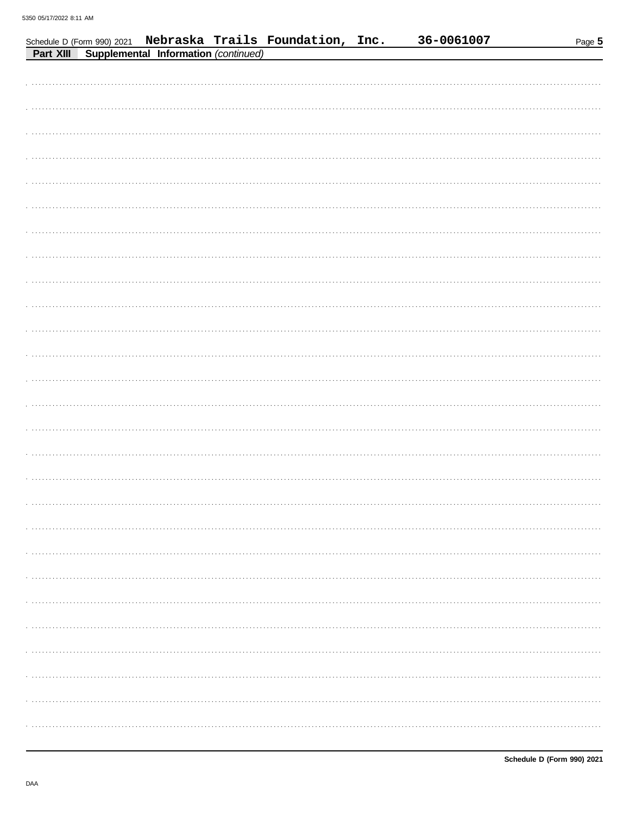|           |                                      | Schedule D (Form 990) 2021 Nebraska Trails Foundation, Inc. | 36-0061007 | Page 5 |
|-----------|--------------------------------------|-------------------------------------------------------------|------------|--------|
| Part XIII | Supplemental Information (continued) |                                                             |            |        |
|           |                                      |                                                             |            |        |
|           |                                      |                                                             |            |        |
|           |                                      |                                                             |            |        |
|           |                                      |                                                             |            |        |
|           |                                      |                                                             |            |        |
|           |                                      |                                                             |            |        |
|           |                                      |                                                             |            |        |
|           |                                      |                                                             |            |        |
|           |                                      |                                                             |            |        |
|           |                                      |                                                             |            |        |
|           |                                      |                                                             |            |        |
|           |                                      |                                                             |            |        |
|           |                                      |                                                             |            |        |
|           |                                      |                                                             |            |        |
|           |                                      |                                                             |            |        |
|           |                                      |                                                             |            |        |
|           |                                      |                                                             |            |        |
|           |                                      |                                                             |            |        |
|           |                                      |                                                             |            |        |
|           |                                      |                                                             |            |        |
|           |                                      |                                                             |            |        |
|           |                                      |                                                             |            |        |
|           |                                      |                                                             |            |        |
|           |                                      |                                                             |            |        |
|           |                                      |                                                             |            |        |
|           |                                      |                                                             |            |        |
|           |                                      |                                                             |            |        |
|           |                                      |                                                             |            |        |
|           |                                      |                                                             |            |        |
|           |                                      |                                                             |            |        |
|           |                                      |                                                             |            |        |
|           |                                      |                                                             |            |        |
|           |                                      |                                                             |            |        |
|           |                                      |                                                             |            |        |
|           |                                      |                                                             |            |        |
|           |                                      |                                                             |            |        |
|           |                                      |                                                             |            |        |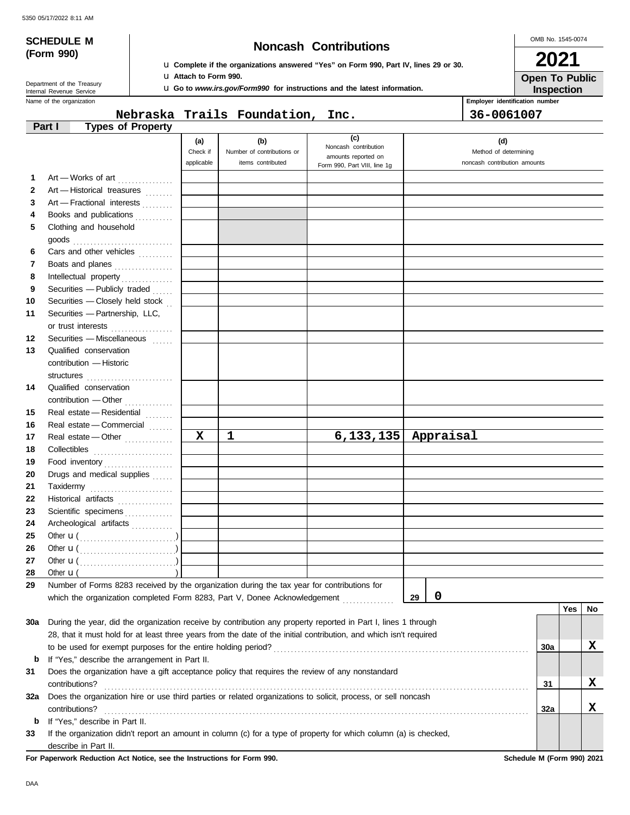## **SCHEDULE M Noncash Contributions**

OMB No. 1545-0074 **2021**

|  | (Form 990) |  |
|--|------------|--|
|--|------------|--|

u **Complete if the organizations answered "Yes" on Form 990, Part IV, lines 29 or 30.** u **Attach to Form 990.**

Name of the organization Department of the Treasury<br>Internal Revenue Service

**Part I Types of Property**

|             | <b>Let</b> Attach to Form 990. | <b>LI Go to</b> www.irs.gov/Form990 for instructions and the latest information. |     |                                | <b>Open To Public</b><br><b>Inspection</b> |
|-------------|--------------------------------|----------------------------------------------------------------------------------|-----|--------------------------------|--------------------------------------------|
|             |                                |                                                                                  |     | Employer identification number |                                            |
|             |                                | Nebraska Trails Foundation, Inc.                                                 |     | 36-0061007                     |                                            |
| of Property |                                |                                                                                  |     |                                |                                            |
|             | (a)                            |                                                                                  | (c) |                                |                                            |

|     |                                                                                                                                                                                                                                                                                                                                                                                                                                                                                | (c)<br>(b)<br>(d)<br>(a) |                            |                                             |                              |            |     |    |
|-----|--------------------------------------------------------------------------------------------------------------------------------------------------------------------------------------------------------------------------------------------------------------------------------------------------------------------------------------------------------------------------------------------------------------------------------------------------------------------------------|--------------------------|----------------------------|---------------------------------------------|------------------------------|------------|-----|----|
|     |                                                                                                                                                                                                                                                                                                                                                                                                                                                                                | Check if                 | Number of contributions or | Noncash contribution<br>amounts reported on | Method of determining        |            |     |    |
|     |                                                                                                                                                                                                                                                                                                                                                                                                                                                                                | applicable               | items contributed          | Form 990, Part VIII, line 1g                | noncash contribution amounts |            |     |    |
| 1   | Art - Works of art                                                                                                                                                                                                                                                                                                                                                                                                                                                             |                          |                            |                                             |                              |            |     |    |
| 2   | Art - Historical treasures                                                                                                                                                                                                                                                                                                                                                                                                                                                     |                          |                            |                                             |                              |            |     |    |
| 3   | Art - Fractional interests                                                                                                                                                                                                                                                                                                                                                                                                                                                     |                          |                            |                                             |                              |            |     |    |
| 4   | Books and publications                                                                                                                                                                                                                                                                                                                                                                                                                                                         |                          |                            |                                             |                              |            |     |    |
| 5   | Clothing and household                                                                                                                                                                                                                                                                                                                                                                                                                                                         |                          |                            |                                             |                              |            |     |    |
|     | goods $\begin{array}{ccc}\n & \cdots \\  & \cdots\n \end{array}$                                                                                                                                                                                                                                                                                                                                                                                                               |                          |                            |                                             |                              |            |     |    |
| 6   | Cars and other vehicles                                                                                                                                                                                                                                                                                                                                                                                                                                                        |                          |                            |                                             |                              |            |     |    |
| 7   | Boats and planes                                                                                                                                                                                                                                                                                                                                                                                                                                                               |                          |                            |                                             |                              |            |     |    |
| 8   | Intellectual property                                                                                                                                                                                                                                                                                                                                                                                                                                                          |                          |                            |                                             |                              |            |     |    |
| 9   | Securities - Publicly traded                                                                                                                                                                                                                                                                                                                                                                                                                                                   |                          |                            |                                             |                              |            |     |    |
| 10  | Securities - Closely held stock                                                                                                                                                                                                                                                                                                                                                                                                                                                |                          |                            |                                             |                              |            |     |    |
| 11  | Securities - Partnership, LLC,                                                                                                                                                                                                                                                                                                                                                                                                                                                 |                          |                            |                                             |                              |            |     |    |
|     | or trust interests<br>.                                                                                                                                                                                                                                                                                                                                                                                                                                                        |                          |                            |                                             |                              |            |     |    |
| 12  | Securities - Miscellaneous                                                                                                                                                                                                                                                                                                                                                                                                                                                     |                          |                            |                                             |                              |            |     |    |
| 13  | Qualified conservation                                                                                                                                                                                                                                                                                                                                                                                                                                                         |                          |                            |                                             |                              |            |     |    |
|     | contribution - Historic                                                                                                                                                                                                                                                                                                                                                                                                                                                        |                          |                            |                                             |                              |            |     |    |
|     |                                                                                                                                                                                                                                                                                                                                                                                                                                                                                |                          |                            |                                             |                              |            |     |    |
| 14  | Qualified conservation                                                                                                                                                                                                                                                                                                                                                                                                                                                         |                          |                            |                                             |                              |            |     |    |
|     | contribution - Other<br>.                                                                                                                                                                                                                                                                                                                                                                                                                                                      |                          |                            |                                             |                              |            |     |    |
| 15  |                                                                                                                                                                                                                                                                                                                                                                                                                                                                                |                          |                            |                                             |                              |            |     |    |
| 16  | Real estate - Commercial                                                                                                                                                                                                                                                                                                                                                                                                                                                       |                          |                            |                                             |                              |            |     |    |
| 17  | Real estate - Other                                                                                                                                                                                                                                                                                                                                                                                                                                                            | X                        | 1                          |                                             | $6,133,135$ Appraisal        |            |     |    |
| 18  |                                                                                                                                                                                                                                                                                                                                                                                                                                                                                |                          |                            |                                             |                              |            |     |    |
| 19  | Food inventory                                                                                                                                                                                                                                                                                                                                                                                                                                                                 |                          |                            |                                             |                              |            |     |    |
| 20  | Drugs and medical supplies                                                                                                                                                                                                                                                                                                                                                                                                                                                     |                          |                            |                                             |                              |            |     |    |
| 21  | $\begin{minipage}[c]{0.9\linewidth} \textbf{Taxidermy} \end{minipage}[t]{\begin{minipage}[c]{0.9\linewidth} \textbf{Taxidermy} \end{minipage}[t]{\begin{minipage}[c]{0.9\linewidth} \textbf{C} & \textbf{0.13}\end{minipage}[t]{\begin{minipage}[c]{0.9\linewidth} \textbf{C} & \textbf{0.13}\end{minipage}[t]{\begin{minipage}[c]{0.9\linewidth} \textbf{C} & \textbf{0.13}\end{minipage}[t]{\begin{minipage}[c]{0.9\linewidth} \textbf{C} & \textbf{0.13}\end{minipage}[t]{$ |                          |                            |                                             |                              |            |     |    |
| 22  | Historical artifacts                                                                                                                                                                                                                                                                                                                                                                                                                                                           |                          |                            |                                             |                              |            |     |    |
| 23  | Scientific specimens                                                                                                                                                                                                                                                                                                                                                                                                                                                           |                          |                            |                                             |                              |            |     |    |
| 24  | Archeological artifacts                                                                                                                                                                                                                                                                                                                                                                                                                                                        |                          |                            |                                             |                              |            |     |    |
| 25  |                                                                                                                                                                                                                                                                                                                                                                                                                                                                                |                          |                            |                                             |                              |            |     |    |
| 26  | Other $\mathbf{u}(\dots, \dots, \dots, \dots, \dots)$                                                                                                                                                                                                                                                                                                                                                                                                                          |                          |                            |                                             |                              |            |     |    |
| 27  |                                                                                                                                                                                                                                                                                                                                                                                                                                                                                |                          |                            |                                             |                              |            |     |    |
| 28  | Other $\mathbf{u}$ (                                                                                                                                                                                                                                                                                                                                                                                                                                                           |                          |                            |                                             |                              |            |     |    |
| 29  | Number of Forms 8283 received by the organization during the tax year for contributions for<br>which the organization completed Form 8283, Part V, Donee Acknowledgement                                                                                                                                                                                                                                                                                                       |                          |                            |                                             | $\pmb{0}$                    |            |     |    |
|     |                                                                                                                                                                                                                                                                                                                                                                                                                                                                                |                          |                            |                                             | 29                           |            | Yes | No |
| 30a | During the year, did the organization receive by contribution any property reported in Part I, lines 1 through                                                                                                                                                                                                                                                                                                                                                                 |                          |                            |                                             |                              |            |     |    |
|     | 28, that it must hold for at least three years from the date of the initial contribution, and which isn't required                                                                                                                                                                                                                                                                                                                                                             |                          |                            |                                             |                              |            |     |    |
|     | to be used for exempt purposes for the entire holding period?                                                                                                                                                                                                                                                                                                                                                                                                                  |                          |                            |                                             |                              | <b>30a</b> |     | x  |
| b   | If "Yes," describe the arrangement in Part II.                                                                                                                                                                                                                                                                                                                                                                                                                                 |                          |                            |                                             |                              |            |     |    |
| 31  | Does the organization have a gift acceptance policy that requires the review of any nonstandard                                                                                                                                                                                                                                                                                                                                                                                |                          |                            |                                             |                              |            |     |    |
|     | contributions?                                                                                                                                                                                                                                                                                                                                                                                                                                                                 |                          |                            |                                             |                              | 31         |     | X  |
| 32a | Does the organization hire or use third parties or related organizations to solicit, process, or sell noncash                                                                                                                                                                                                                                                                                                                                                                  |                          |                            |                                             |                              |            |     |    |
|     | contributions?                                                                                                                                                                                                                                                                                                                                                                                                                                                                 |                          |                            |                                             |                              | 32a        |     | x  |
| b   | If "Yes," describe in Part II.                                                                                                                                                                                                                                                                                                                                                                                                                                                 |                          |                            |                                             |                              |            |     |    |
| 33  | If the organization didn't report an amount in column (c) for a type of property for which column (a) is checked,                                                                                                                                                                                                                                                                                                                                                              |                          |                            |                                             |                              |            |     |    |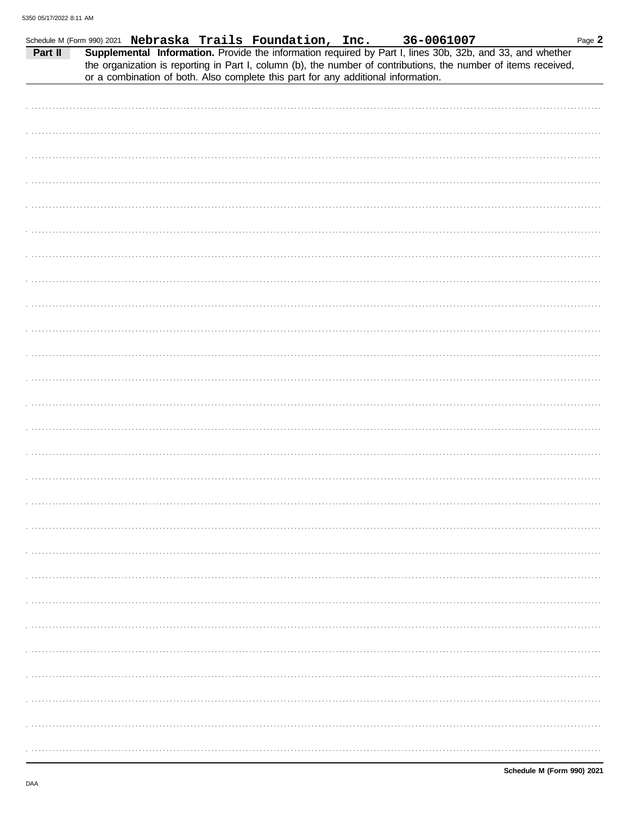| Part II |  | Schedule M (Form 990) 2021 Nebraska Trails Foundation, Inc.<br>or a combination of both. Also complete this part for any additional information. | 36-0061007<br>Supplemental Information. Provide the information required by Part I, lines 30b, 32b, and 33, and whether<br>the organization is reporting in Part I, column (b), the number of contributions, the number of items received, | Page 2 |
|---------|--|--------------------------------------------------------------------------------------------------------------------------------------------------|--------------------------------------------------------------------------------------------------------------------------------------------------------------------------------------------------------------------------------------------|--------|
|         |  |                                                                                                                                                  |                                                                                                                                                                                                                                            |        |
|         |  |                                                                                                                                                  |                                                                                                                                                                                                                                            |        |
|         |  |                                                                                                                                                  |                                                                                                                                                                                                                                            |        |
|         |  |                                                                                                                                                  |                                                                                                                                                                                                                                            |        |
|         |  |                                                                                                                                                  |                                                                                                                                                                                                                                            |        |
|         |  |                                                                                                                                                  |                                                                                                                                                                                                                                            |        |
|         |  |                                                                                                                                                  |                                                                                                                                                                                                                                            |        |
|         |  |                                                                                                                                                  |                                                                                                                                                                                                                                            |        |
|         |  |                                                                                                                                                  |                                                                                                                                                                                                                                            |        |
|         |  |                                                                                                                                                  |                                                                                                                                                                                                                                            |        |
|         |  |                                                                                                                                                  |                                                                                                                                                                                                                                            |        |
|         |  |                                                                                                                                                  |                                                                                                                                                                                                                                            |        |
|         |  |                                                                                                                                                  |                                                                                                                                                                                                                                            |        |
|         |  |                                                                                                                                                  |                                                                                                                                                                                                                                            |        |
|         |  |                                                                                                                                                  |                                                                                                                                                                                                                                            |        |
|         |  |                                                                                                                                                  |                                                                                                                                                                                                                                            |        |
|         |  |                                                                                                                                                  |                                                                                                                                                                                                                                            |        |
|         |  |                                                                                                                                                  |                                                                                                                                                                                                                                            |        |
|         |  |                                                                                                                                                  |                                                                                                                                                                                                                                            |        |
|         |  |                                                                                                                                                  |                                                                                                                                                                                                                                            |        |
|         |  |                                                                                                                                                  |                                                                                                                                                                                                                                            |        |
|         |  |                                                                                                                                                  |                                                                                                                                                                                                                                            |        |
|         |  |                                                                                                                                                  |                                                                                                                                                                                                                                            |        |
|         |  |                                                                                                                                                  |                                                                                                                                                                                                                                            |        |
|         |  |                                                                                                                                                  |                                                                                                                                                                                                                                            |        |
|         |  |                                                                                                                                                  |                                                                                                                                                                                                                                            |        |
|         |  |                                                                                                                                                  |                                                                                                                                                                                                                                            |        |
|         |  |                                                                                                                                                  |                                                                                                                                                                                                                                            |        |